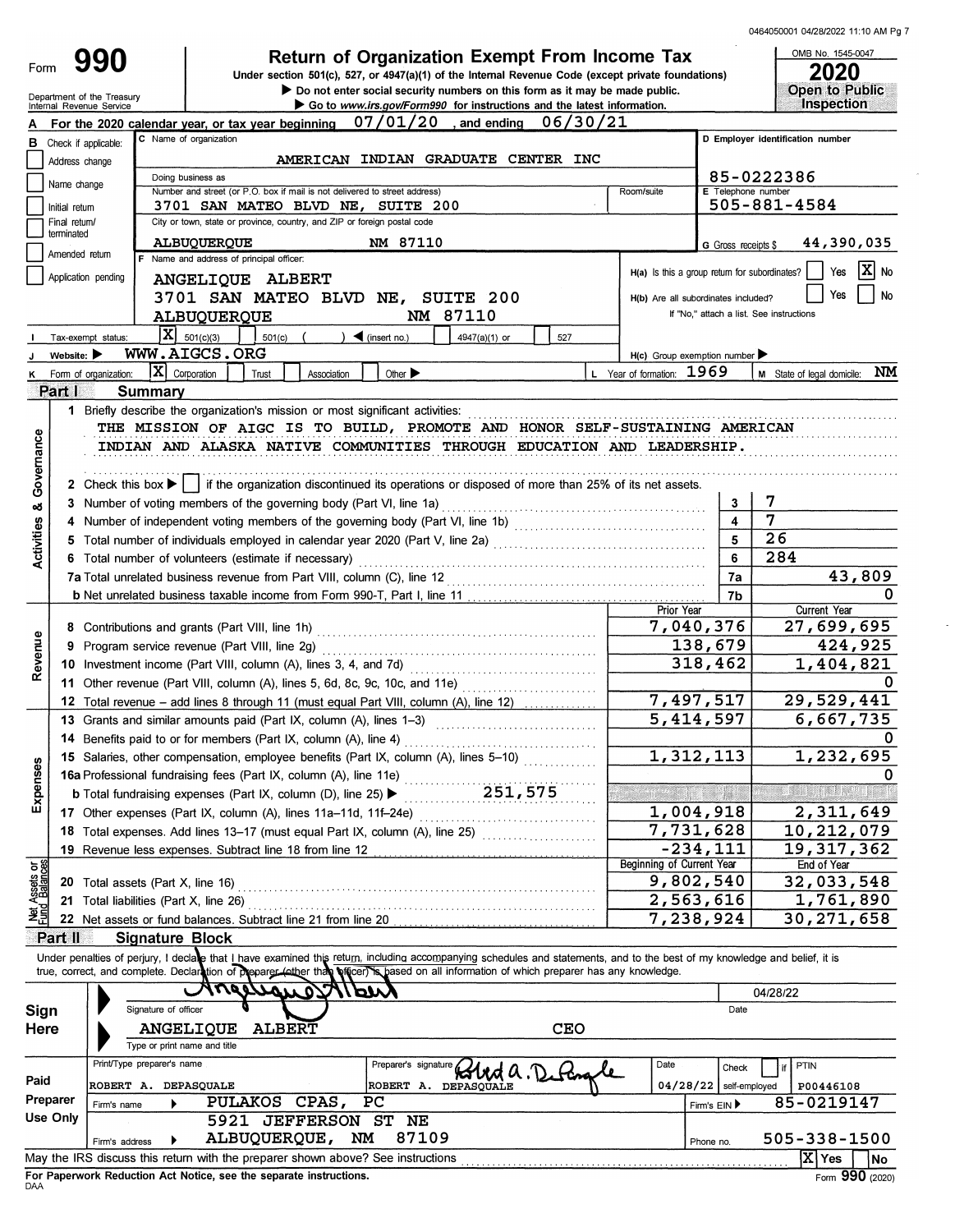| 0464050001 04/28/2022 11:10 AM Pg 7 |  |  |  |  |  |  |
|-------------------------------------|--|--|--|--|--|--|
|-------------------------------------|--|--|--|--|--|--|

 $\sigma_{\rm c}$ 

| Form                         | 990                            | Under section 501(c), 527, or 4947(a)(1) of the Internal Revenue Code (except private foundations)                                                                                                   |                              | Return of Organization Exempt From Income Tax                                                     |            |                                               |                          | OMB No. 1545-0047<br>2020                  |
|------------------------------|--------------------------------|------------------------------------------------------------------------------------------------------------------------------------------------------------------------------------------------------|------------------------------|---------------------------------------------------------------------------------------------------|------------|-----------------------------------------------|--------------------------|--------------------------------------------|
|                              | Department of the Treasury     |                                                                                                                                                                                                      |                              | Do not enter social security numbers on this form as it may be made public.                       |            |                                               |                          | <b>Open to Public</b><br><b>Inspection</b> |
|                              | Internal Revenue Service       | For the 2020 calendar year, or tax year beginning                                                                                                                                                    | 07/01/20                     | Go to www.irs.gov/Form990 for instructions and the latest information.<br>, and ending $06/30/21$ |            |                                               |                          |                                            |
| в                            | Check if applicable:           | C Name of organization                                                                                                                                                                               |                              |                                                                                                   |            |                                               |                          | D Employer identification number           |
|                              | Address change                 |                                                                                                                                                                                                      |                              | AMERICAN INDIAN GRADUATE CENTER INC                                                               |            |                                               |                          |                                            |
|                              | Name change                    | Doing business as                                                                                                                                                                                    |                              |                                                                                                   |            |                                               |                          | 85-0222386                                 |
|                              |                                | Number and street (or P.O. box if mail is not delivered to street address)<br>3701 SAN MATEO BLVD NE, SUITE 200                                                                                      |                              |                                                                                                   |            | Room/suite                                    | E Telephone number       | 505-881-4584                               |
|                              | Initial retum<br>Final retum/  | City or town, state or province, country, and ZIP or foreign postal code                                                                                                                             |                              |                                                                                                   |            |                                               |                          |                                            |
|                              | terminated                     | <b>ALBUOUEROUE</b>                                                                                                                                                                                   | NM 87110                     |                                                                                                   |            |                                               | G Gross receipts \$      | 44,390,035                                 |
|                              | Amended return                 | F Name and address of principal officer:                                                                                                                                                             |                              |                                                                                                   |            |                                               |                          |                                            |
|                              | Application pending            | ANGELIQUE ALBERT                                                                                                                                                                                     |                              |                                                                                                   |            | H(a) Is this a group return for subordinates? |                          | x<br>Yes<br>No                             |
|                              |                                | 3701 SAN MATEO BLVD NE, SUITE 200                                                                                                                                                                    |                              |                                                                                                   |            | H(b) Are all subordinates included?           |                          | No<br>Yes                                  |
|                              |                                | ALBUQUERQUE                                                                                                                                                                                          |                              | NM 87110                                                                                          |            |                                               |                          | If "No," attach a list. See instructions   |
|                              | Tax-exempt status:             | $ \mathbf{X} _{501(c)(3)}$<br>501(c)                                                                                                                                                                 | $\triangleleft$ (insert no.) | 4947(a)(1) or                                                                                     | 527        |                                               |                          |                                            |
|                              | Website: $\blacktriangleright$ | WWW.AIGCS.ORG                                                                                                                                                                                        |                              |                                                                                                   |            | $H(c)$ Group exemption number                 |                          |                                            |
|                              | Form of organization:          | $ \mathbf{X} $ Corporation<br>Trust<br>Association                                                                                                                                                   | Other $\blacktriangleright$  |                                                                                                   |            | L Year of formation: 1969                     |                          | NΜ<br>M State of legal domicile:           |
|                              | Part I                         | <b>Summary</b>                                                                                                                                                                                       |                              |                                                                                                   |            |                                               |                          |                                            |
|                              |                                | 1 Briefly describe the organization's mission or most significant activities:                                                                                                                        |                              |                                                                                                   |            |                                               |                          |                                            |
|                              |                                | THE MISSION OF AIGC IS TO BUILD, PROMOTE AND HONOR SELF-SUSTAINING AMERICAN                                                                                                                          |                              |                                                                                                   |            |                                               |                          |                                            |
| Governance                   |                                | INDIAN AND ALASKA NATIVE COMMUNITIES THROUGH EDUCATION AND LEADERSHIP.                                                                                                                               |                              |                                                                                                   |            |                                               |                          |                                            |
|                              |                                | 2 Check this box $\blacktriangleright$   if the organization discontinued its operations or disposed of more than 25% of its net assets.                                                             |                              |                                                                                                   |            |                                               |                          |                                            |
|                              |                                | 3 Number of voting members of the governing body (Part VI, line 1a)                                                                                                                                  |                              |                                                                                                   |            |                                               | 3                        | 7                                          |
| œ                            | 4                              | Number of independent voting members of the governing body (Part VI, line 1b)                                                                                                                        |                              |                                                                                                   |            |                                               | $\overline{\mathbf{4}}$  | 7                                          |
|                              |                                |                                                                                                                                                                                                      |                              |                                                                                                   |            |                                               | 5                        | 26                                         |
| <b>Activities</b>            |                                | 6 Total number of volunteers (estimate if necessary)                                                                                                                                                 |                              |                                                                                                   |            |                                               | 6                        | 284                                        |
|                              |                                | 7a Total unrelated business revenue from Part VIII, column (C), line 12                                                                                                                              |                              |                                                                                                   |            |                                               | 7a                       | 43,809                                     |
|                              |                                |                                                                                                                                                                                                      |                              |                                                                                                   |            |                                               | 7b                       | O                                          |
|                              |                                |                                                                                                                                                                                                      |                              |                                                                                                   |            | Prior Year                                    |                          | <b>Current Year</b>                        |
|                              |                                |                                                                                                                                                                                                      |                              |                                                                                                   |            | 7,040,376                                     |                          | 27,699,695                                 |
| Revenue                      | 9                              | Program service revenue (Part VIII, line 2g)                                                                                                                                                         |                              |                                                                                                   |            |                                               | 138,679                  | 424,925                                    |
|                              |                                |                                                                                                                                                                                                      |                              |                                                                                                   |            |                                               | 318,462                  | 1,404,821                                  |
|                              |                                | 11 Other revenue (Part VIII, column (A), lines 5, 6d, 8c, 9c, 10c, and 11e) [[[[[[[[[[[[[[[[[[[[[[[[[[[[[[[[[                                                                                        |                              |                                                                                                   |            |                                               | 7,497,517                | 29,529,441                                 |
|                              | 12                             | Total revenue - add lines 8 through 11 (must equal Part VIII, column (A), line 12)<br>13 Grants and similar amounts paid (Part IX, column (A), lines 1-3)                                            |                              |                                                                                                   | .          | 5,414,597                                     |                          | 6,667,735                                  |
|                              |                                | 14 Benefits paid to or for members (Part IX, column (A), line 4)                                                                                                                                     |                              |                                                                                                   |            |                                               |                          |                                            |
|                              |                                | 15 Salaries, other compensation, employee benefits (Part IX, column (A), lines 5-10)                                                                                                                 |                              |                                                                                                   |            |                                               | 1,312,113                | 1,232,695                                  |
| Expenses                     |                                | 16a Professional fundraising fees (Part IX, column (A), line 11e)                                                                                                                                    |                              |                                                                                                   |            |                                               |                          | 0                                          |
|                              |                                | <b>b</b> Total fundraising expenses (Part IX, column (D), line 25) >                                                                                                                                 |                              | 251,575                                                                                           |            |                                               |                          |                                            |
|                              |                                | 17 Other expenses (Part IX, column (A), lines 11a-11d, 11f-24e)                                                                                                                                      |                              |                                                                                                   |            |                                               | 1,004,918                | 2,311,649                                  |
|                              |                                | 18 Total expenses. Add lines 13-17 (must equal Part IX, column (A), line 25) [[[[[[[[[[[[[[[[[[[[[[[[[[[[[[[[                                                                                        |                              |                                                                                                   |            |                                               | 7,731,628                | 10,212,079                                 |
|                              |                                | 19 Revenue less expenses. Subtract line 18 from line 12                                                                                                                                              |                              |                                                                                                   |            |                                               | $-234, 111$              | 19, 317, 362                               |
| Assets or<br><b>Balances</b> |                                |                                                                                                                                                                                                      |                              |                                                                                                   |            | Beginning of Current Year                     |                          | End of Year                                |
|                              |                                | 20 Total assets (Part X, line 16)                                                                                                                                                                    |                              |                                                                                                   |            | 9,802,540                                     |                          | 32,033,548                                 |
|                              |                                | 21 Total liabilities (Part X, line 26)                                                                                                                                                               |                              |                                                                                                   |            | 2,563,616                                     |                          | 1,761,890                                  |
|                              |                                | 22 Net assets or fund balances. Subtract line 21 from line 20 [11] [11] Net assets or fund balances. Subtract line 21 from line 20                                                                   |                              |                                                                                                   |            | 7,238,924                                     |                          | 30,271,658                                 |
|                              | Part II                        | <b>Signature Block</b><br>Under penalties of perjury, I declate that I have examined this return, including accompanying schedules and statements, and to the best of my knowledge and belief, it is |                              |                                                                                                   |            |                                               |                          |                                            |
|                              |                                | true, correct, and complete. Declaration of preparer (other than officer) spased on all information of which preparer has any knowledge.                                                             |                              |                                                                                                   |            |                                               |                          |                                            |
|                              |                                | LI C<br>romo:                                                                                                                                                                                        | 'DM                          |                                                                                                   |            |                                               |                          | 04/28/22                                   |
| Sign                         |                                | Signature of officer                                                                                                                                                                                 |                              |                                                                                                   |            |                                               | Date                     |                                            |
| Here                         |                                | ANGELIQUE<br><b>ALBERT</b>                                                                                                                                                                           |                              |                                                                                                   | <b>CEO</b> |                                               |                          |                                            |
|                              |                                | Type or print name and title                                                                                                                                                                         |                              |                                                                                                   |            |                                               |                          |                                            |
|                              |                                | Print/Type preparer's name                                                                                                                                                                           | Preparer's signature         | d a.D.f                                                                                           |            | Date                                          | Check                    | PTIN                                       |
| Paid                         |                                | ROBERT A. DEPASQUALE                                                                                                                                                                                 |                              | ROBERT A. DEPASQUALE                                                                              |            |                                               | $04/28/22$ self-employed | P00446108                                  |
|                              | Preparer<br>Firm's name        | PULAKOS CPAS,                                                                                                                                                                                        | PC                           |                                                                                                   |            |                                               | Firm's EIN ▶             | 85-0219147                                 |
|                              | Use Only                       | 5921 JEFFERSON ST NE                                                                                                                                                                                 |                              |                                                                                                   |            |                                               |                          |                                            |
|                              | Firm's address                 | ALBUQUERQUE,                                                                                                                                                                                         | NM<br>87109                  |                                                                                                   |            |                                               | Phone no.                | 505-338-1500                               |
|                              |                                | May the IRS discuss this return with the preparer shown above? See instructions                                                                                                                      |                              |                                                                                                   |            |                                               |                          | X Yes<br>No                                |
| DAA                          |                                | For Paperwork Reduction Act Notice, see the separate instructions.                                                                                                                                   |                              |                                                                                                   |            |                                               |                          | Form 990 (2020)                            |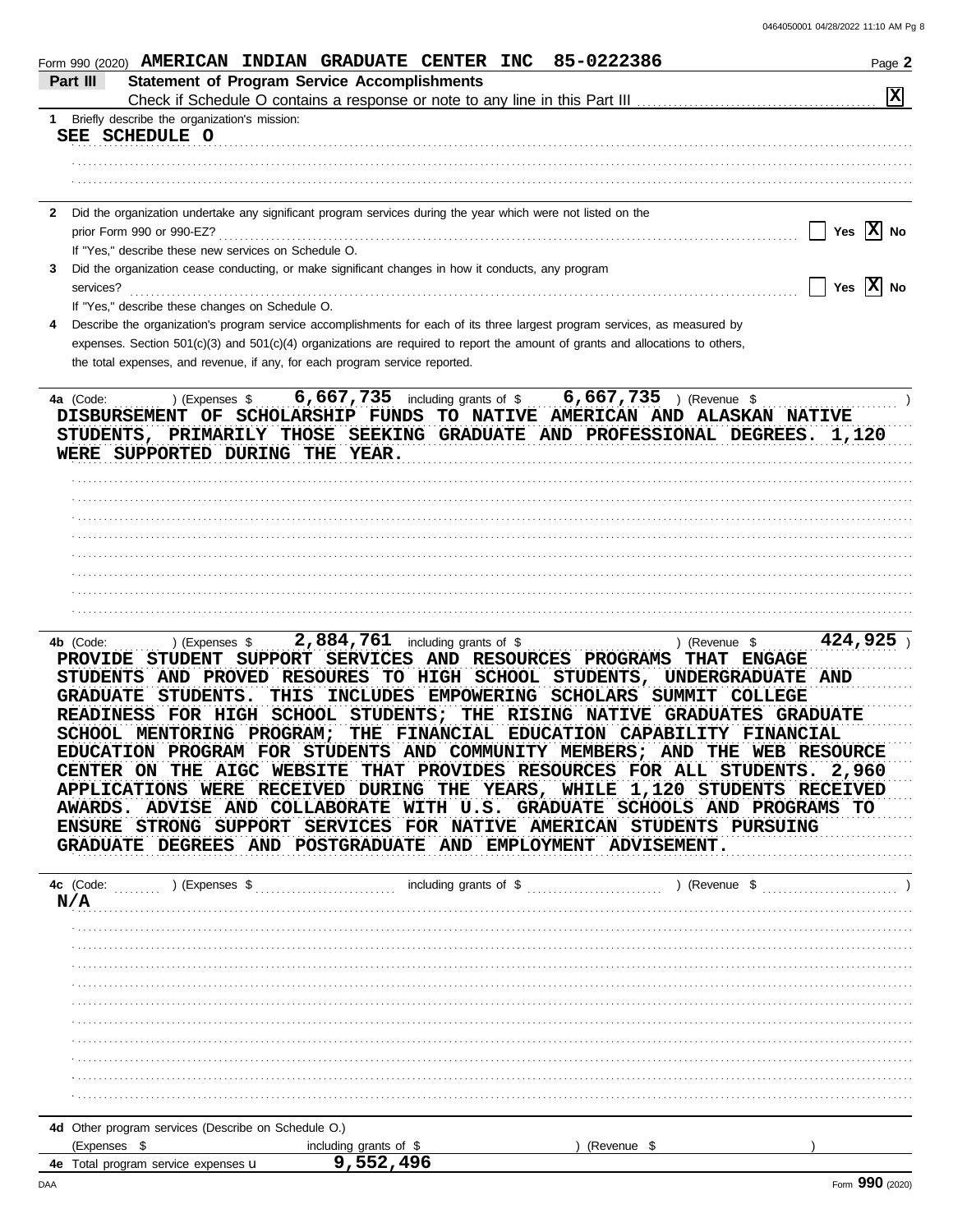0464050001 04/28/2022 11:10 AM Pg 8

|           | $F_{\text{Orm}}$ 990 (2020) AMERICAN INDIAN GRADUATE CENTER INC 85-0222386                                                                                                                                                                                                                                                                                                                                                                                                                                                                                                                                                                                                                                                                                                                                                                                                                                                                                                 | Page 2                      |
|-----------|----------------------------------------------------------------------------------------------------------------------------------------------------------------------------------------------------------------------------------------------------------------------------------------------------------------------------------------------------------------------------------------------------------------------------------------------------------------------------------------------------------------------------------------------------------------------------------------------------------------------------------------------------------------------------------------------------------------------------------------------------------------------------------------------------------------------------------------------------------------------------------------------------------------------------------------------------------------------------|-----------------------------|
| Part III  | <b>Statement of Program Service Accomplishments</b>                                                                                                                                                                                                                                                                                                                                                                                                                                                                                                                                                                                                                                                                                                                                                                                                                                                                                                                        |                             |
|           |                                                                                                                                                                                                                                                                                                                                                                                                                                                                                                                                                                                                                                                                                                                                                                                                                                                                                                                                                                            | $ \mathbf{x} $              |
|           | 1 Briefly describe the organization's mission:                                                                                                                                                                                                                                                                                                                                                                                                                                                                                                                                                                                                                                                                                                                                                                                                                                                                                                                             |                             |
|           | SEE SCHEDULE O                                                                                                                                                                                                                                                                                                                                                                                                                                                                                                                                                                                                                                                                                                                                                                                                                                                                                                                                                             |                             |
|           |                                                                                                                                                                                                                                                                                                                                                                                                                                                                                                                                                                                                                                                                                                                                                                                                                                                                                                                                                                            |                             |
|           |                                                                                                                                                                                                                                                                                                                                                                                                                                                                                                                                                                                                                                                                                                                                                                                                                                                                                                                                                                            |                             |
| 2         | Did the organization undertake any significant program services during the year which were not listed on the                                                                                                                                                                                                                                                                                                                                                                                                                                                                                                                                                                                                                                                                                                                                                                                                                                                               |                             |
|           |                                                                                                                                                                                                                                                                                                                                                                                                                                                                                                                                                                                                                                                                                                                                                                                                                                                                                                                                                                            | Yes $ X $ No                |
|           | If "Yes," describe these new services on Schedule O.                                                                                                                                                                                                                                                                                                                                                                                                                                                                                                                                                                                                                                                                                                                                                                                                                                                                                                                       |                             |
| 3         | Did the organization cease conducting, or make significant changes in how it conducts, any program                                                                                                                                                                                                                                                                                                                                                                                                                                                                                                                                                                                                                                                                                                                                                                                                                                                                         |                             |
|           | services?                                                                                                                                                                                                                                                                                                                                                                                                                                                                                                                                                                                                                                                                                                                                                                                                                                                                                                                                                                  | Yes $ \overline{X} $ No     |
|           | If "Yes," describe these changes on Schedule O.                                                                                                                                                                                                                                                                                                                                                                                                                                                                                                                                                                                                                                                                                                                                                                                                                                                                                                                            |                             |
| 4         | Describe the organization's program service accomplishments for each of its three largest program services, as measured by                                                                                                                                                                                                                                                                                                                                                                                                                                                                                                                                                                                                                                                                                                                                                                                                                                                 |                             |
|           | expenses. Section 501(c)(3) and 501(c)(4) organizations are required to report the amount of grants and allocations to others,                                                                                                                                                                                                                                                                                                                                                                                                                                                                                                                                                                                                                                                                                                                                                                                                                                             |                             |
|           | the total expenses, and revenue, if any, for each program service reported.                                                                                                                                                                                                                                                                                                                                                                                                                                                                                                                                                                                                                                                                                                                                                                                                                                                                                                |                             |
|           | ) (Expenses $\frac{1}{2}$ , 667, 735 including grants of $\frac{1}{2}$ , 667, 735 ) (Revenue $\frac{1}{2}$<br>4a (Code:                                                                                                                                                                                                                                                                                                                                                                                                                                                                                                                                                                                                                                                                                                                                                                                                                                                    |                             |
|           | DISBURSEMENT OF SCHOLARSHIP FUNDS TO NATIVE AMERICAN AND ALASKAN NATIVE<br>STUDENTS, PRIMARILY THOSE SEEKING GRADUATE AND PROFESSIONAL DEGREES. 1,120<br>WERE SUPPORTED DURING THE YEAR.                                                                                                                                                                                                                                                                                                                                                                                                                                                                                                                                                                                                                                                                                                                                                                                   |                             |
|           |                                                                                                                                                                                                                                                                                                                                                                                                                                                                                                                                                                                                                                                                                                                                                                                                                                                                                                                                                                            |                             |
|           |                                                                                                                                                                                                                                                                                                                                                                                                                                                                                                                                                                                                                                                                                                                                                                                                                                                                                                                                                                            |                             |
|           |                                                                                                                                                                                                                                                                                                                                                                                                                                                                                                                                                                                                                                                                                                                                                                                                                                                                                                                                                                            |                             |
|           |                                                                                                                                                                                                                                                                                                                                                                                                                                                                                                                                                                                                                                                                                                                                                                                                                                                                                                                                                                            |                             |
|           |                                                                                                                                                                                                                                                                                                                                                                                                                                                                                                                                                                                                                                                                                                                                                                                                                                                                                                                                                                            |                             |
|           |                                                                                                                                                                                                                                                                                                                                                                                                                                                                                                                                                                                                                                                                                                                                                                                                                                                                                                                                                                            |                             |
|           |                                                                                                                                                                                                                                                                                                                                                                                                                                                                                                                                                                                                                                                                                                                                                                                                                                                                                                                                                                            |                             |
|           |                                                                                                                                                                                                                                                                                                                                                                                                                                                                                                                                                                                                                                                                                                                                                                                                                                                                                                                                                                            |                             |
|           | ) (Expenses $\sqrt[6]{2,884,761}$ including grants of $\sqrt[6]{2,2884}$<br>) (Revenue \$<br>4b (Code: $\ldots$<br>PROVIDE STUDENT SUPPORT SERVICES AND RESOURCES PROGRAMS THAT ENGAGE<br>STUDENTS AND PROVED RESOURES TO HIGH SCHOOL STUDENTS, UNDERGRADUATE AND<br>STUDENTS.<br>THIS INCLUDES EMPOWERING SCHOLARS SUMMIT COLLEGE<br><b>GRADUATE</b><br>READINESS FOR HIGH SCHOOL STUDENTS; THE RISING NATIVE GRADUATES GRADUATE<br>SCHOOL MENTORING PROGRAM; THE FINANCIAL EDUCATION CAPABILITY FINANCIAL<br>EDUCATION PROGRAM FOR STUDENTS AND COMMUNITY MEMBERS; AND THE WEB RESOURCE<br>CENTER ON THE AIGC WEBSITE THAT PROVIDES RESOURCES FOR ALL STUDENTS. 2,960<br>APPLICATIONS WERE RECEIVED DURING THE YEARS, WHILE 1,120 STUDENTS RECEIVED<br>AWARDS. ADVISE AND COLLABORATE WITH U.S. GRADUATE SCHOOLS AND PROGRAMS TO<br>ENSURE STRONG SUPPORT SERVICES FOR NATIVE AMERICAN STUDENTS PURSUING<br>GRADUATE DEGREES AND POSTGRADUATE AND EMPLOYMENT ADVISEMENT. | 424,925                     |
| N/A       |                                                                                                                                                                                                                                                                                                                                                                                                                                                                                                                                                                                                                                                                                                                                                                                                                                                                                                                                                                            |                             |
|           |                                                                                                                                                                                                                                                                                                                                                                                                                                                                                                                                                                                                                                                                                                                                                                                                                                                                                                                                                                            |                             |
|           |                                                                                                                                                                                                                                                                                                                                                                                                                                                                                                                                                                                                                                                                                                                                                                                                                                                                                                                                                                            |                             |
|           |                                                                                                                                                                                                                                                                                                                                                                                                                                                                                                                                                                                                                                                                                                                                                                                                                                                                                                                                                                            |                             |
|           |                                                                                                                                                                                                                                                                                                                                                                                                                                                                                                                                                                                                                                                                                                                                                                                                                                                                                                                                                                            |                             |
|           |                                                                                                                                                                                                                                                                                                                                                                                                                                                                                                                                                                                                                                                                                                                                                                                                                                                                                                                                                                            |                             |
|           |                                                                                                                                                                                                                                                                                                                                                                                                                                                                                                                                                                                                                                                                                                                                                                                                                                                                                                                                                                            |                             |
|           |                                                                                                                                                                                                                                                                                                                                                                                                                                                                                                                                                                                                                                                                                                                                                                                                                                                                                                                                                                            |                             |
|           |                                                                                                                                                                                                                                                                                                                                                                                                                                                                                                                                                                                                                                                                                                                                                                                                                                                                                                                                                                            |                             |
|           |                                                                                                                                                                                                                                                                                                                                                                                                                                                                                                                                                                                                                                                                                                                                                                                                                                                                                                                                                                            |                             |
|           |                                                                                                                                                                                                                                                                                                                                                                                                                                                                                                                                                                                                                                                                                                                                                                                                                                                                                                                                                                            |                             |
|           | 4d Other program services (Describe on Schedule O.)                                                                                                                                                                                                                                                                                                                                                                                                                                                                                                                                                                                                                                                                                                                                                                                                                                                                                                                        |                             |
|           | (Expenses \$<br>including grants of \$<br>) (Revenue \$                                                                                                                                                                                                                                                                                                                                                                                                                                                                                                                                                                                                                                                                                                                                                                                                                                                                                                                    |                             |
|           | 9,552,496<br>4e Total program service expenses u                                                                                                                                                                                                                                                                                                                                                                                                                                                                                                                                                                                                                                                                                                                                                                                                                                                                                                                           | $F_{\text{c}}$ QQO $(2020)$ |
| <b>DA</b> |                                                                                                                                                                                                                                                                                                                                                                                                                                                                                                                                                                                                                                                                                                                                                                                                                                                                                                                                                                            |                             |

Form 990 (2020)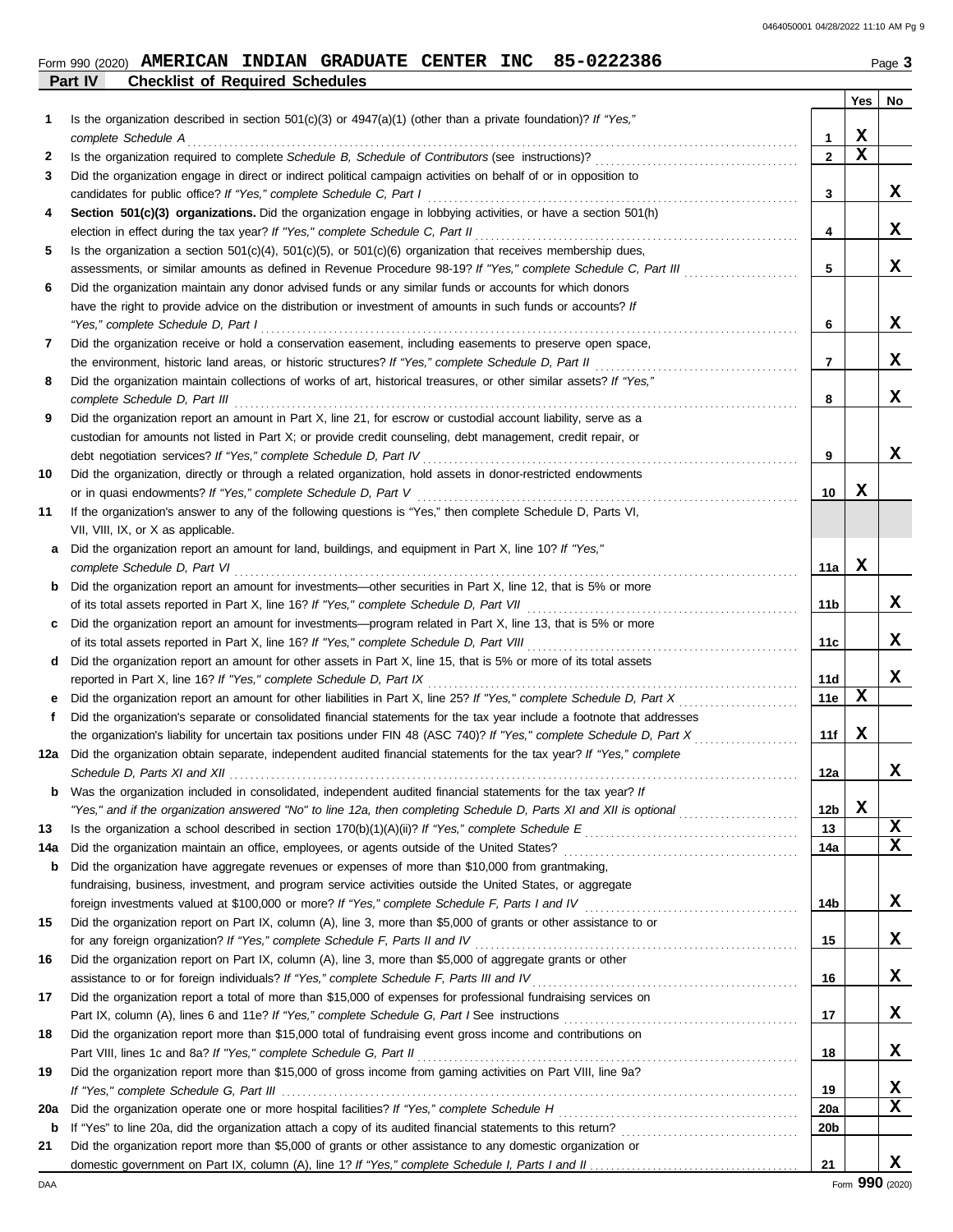# **Form 990 (2020) AMERICAN INDIAN GRADUATE CENTER INC 85-0222386** Page 3

|     | Part IV<br><b>Checklist of Required Schedules</b>                                                                       |                 |             |             |
|-----|-------------------------------------------------------------------------------------------------------------------------|-----------------|-------------|-------------|
|     |                                                                                                                         |                 | Yes         | No          |
| 1   | Is the organization described in section $501(c)(3)$ or $4947(a)(1)$ (other than a private foundation)? If "Yes,"       |                 |             |             |
|     | complete Schedule A                                                                                                     | 1               | X           |             |
| 2   |                                                                                                                         | $\overline{2}$  | $\mathbf x$ |             |
| 3   | Did the organization engage in direct or indirect political campaign activities on behalf of or in opposition to        |                 |             |             |
|     | candidates for public office? If "Yes," complete Schedule C, Part I                                                     | 3               |             | X           |
| 4   | Section 501(c)(3) organizations. Did the organization engage in lobbying activities, or have a section 501(h)           |                 |             |             |
|     | election in effect during the tax year? If "Yes," complete Schedule C, Part II                                          | 4               |             | X           |
| 5   | Is the organization a section $501(c)(4)$ , $501(c)(5)$ , or $501(c)(6)$ organization that receives membership dues,    |                 |             |             |
|     | assessments, or similar amounts as defined in Revenue Procedure 98-19? If "Yes," complete Schedule C, Part III          | 5               |             | X.          |
| 6   | Did the organization maintain any donor advised funds or any similar funds or accounts for which donors                 |                 |             |             |
|     | have the right to provide advice on the distribution or investment of amounts in such funds or accounts? If             |                 |             |             |
|     | "Yes," complete Schedule D, Part I                                                                                      | 6               |             | X.          |
| 7   | Did the organization receive or hold a conservation easement, including easements to preserve open space,               |                 |             |             |
|     | the environment, historic land areas, or historic structures? If "Yes," complete Schedule D, Part II                    | $\overline{7}$  |             | X.          |
| 8   | Did the organization maintain collections of works of art, historical treasures, or other similar assets? If "Yes,"     |                 |             |             |
|     | complete Schedule D, Part III                                                                                           | 8               |             | X           |
| 9   | Did the organization report an amount in Part X, line 21, for escrow or custodial account liability, serve as a         |                 |             |             |
|     | custodian for amounts not listed in Part X; or provide credit counseling, debt management, credit repair, or            |                 |             |             |
|     | debt negotiation services? If "Yes," complete Schedule D, Part IV                                                       | 9               |             | X.          |
| 10  | Did the organization, directly or through a related organization, hold assets in donor-restricted endowments            |                 |             |             |
|     |                                                                                                                         | 10              | x           |             |
|     | or in quasi endowments? If "Yes," complete Schedule D, Part V                                                           |                 |             |             |
| 11  | If the organization's answer to any of the following questions is "Yes," then complete Schedule D, Parts VI,            |                 |             |             |
|     | VII, VIII, IX, or X as applicable.                                                                                      |                 |             |             |
| a   | Did the organization report an amount for land, buildings, and equipment in Part X, line 10? If "Yes,"                  |                 |             |             |
|     | complete Schedule D, Part VI                                                                                            | 11a             | х           |             |
| b   | Did the organization report an amount for investments—other securities in Part X, line 12, that is 5% or more           |                 |             |             |
|     |                                                                                                                         | 11b             |             | X           |
| c   | Did the organization report an amount for investments—program related in Part X, line 13, that is 5% or more            |                 |             |             |
|     |                                                                                                                         | 11c             |             | X           |
| d   | Did the organization report an amount for other assets in Part X, line 15, that is 5% or more of its total assets       |                 |             |             |
|     | reported in Part X, line 16? If "Yes," complete Schedule D, Part IX                                                     | 11d             |             | X.          |
| е   | Did the organization report an amount for other liabilities in Part X, line 25? If "Yes," complete Schedule D, Part X   | 11e             | $\mathbf x$ |             |
| f   | Did the organization's separate or consolidated financial statements for the tax year include a footnote that addresses |                 |             |             |
|     | the organization's liability for uncertain tax positions under FIN 48 (ASC 740)? If "Yes," complete Schedule D, Part X  | 11f             | x           |             |
| 12a | Did the organization obtain separate, independent audited financial statements for the tax year? If "Yes," complete     |                 |             |             |
|     | Schedule D, Parts XI and XII                                                                                            | 12a             |             |             |
| b   | Was the organization included in consolidated, independent audited financial statements for the tax year? If            |                 |             |             |
|     | "Yes," and if the organization answered "No" to line 12a, then completing Schedule D, Parts XI and XII is optional      | 12 <sub>b</sub> | x           |             |
| 13  |                                                                                                                         | 13              |             | $\mathbf X$ |
| 14a | Did the organization maintain an office, employees, or agents outside of the United States?                             | 14a             |             | $\mathbf x$ |
| b   | Did the organization have aggregate revenues or expenses of more than \$10,000 from grantmaking,                        |                 |             |             |
|     | fundraising, business, investment, and program service activities outside the United States, or aggregate               |                 |             |             |
|     | foreign investments valued at \$100,000 or more? If "Yes," complete Schedule F, Parts I and IV [[[[[[[[[[[[[[[[         | 14b             |             | X.          |
| 15  | Did the organization report on Part IX, column (A), line 3, more than \$5,000 of grants or other assistance to or       |                 |             |             |
|     | for any foreign organization? If "Yes," complete Schedule F, Parts II and IV                                            | 15              |             | X.          |
| 16  | Did the organization report on Part IX, column (A), line 3, more than \$5,000 of aggregate grants or other              |                 |             |             |
|     | assistance to or for foreign individuals? If "Yes," complete Schedule F, Parts III and IV [[[[[[[[[[[[[[[[[[[           | 16              |             | X.          |
|     |                                                                                                                         |                 |             |             |
| 17  | Did the organization report a total of more than \$15,000 of expenses for professional fundraising services on          |                 |             | X           |
|     |                                                                                                                         | 17              |             |             |
| 18  | Did the organization report more than \$15,000 total of fundraising event gross income and contributions on             |                 |             |             |
|     | Part VIII, lines 1c and 8a? If "Yes," complete Schedule G, Part II                                                      | 18              |             | X.          |
| 19  | Did the organization report more than \$15,000 of gross income from gaming activities on Part VIII, line 9a?            |                 |             |             |
|     |                                                                                                                         | 19              |             | X           |
| 20a |                                                                                                                         | 20a             |             | $\mathbf x$ |
| b   |                                                                                                                         | 20 <sub>b</sub> |             |             |
| 21  | Did the organization report more than \$5,000 of grants or other assistance to any domestic organization or             |                 |             |             |
|     |                                                                                                                         | 21              |             | X.          |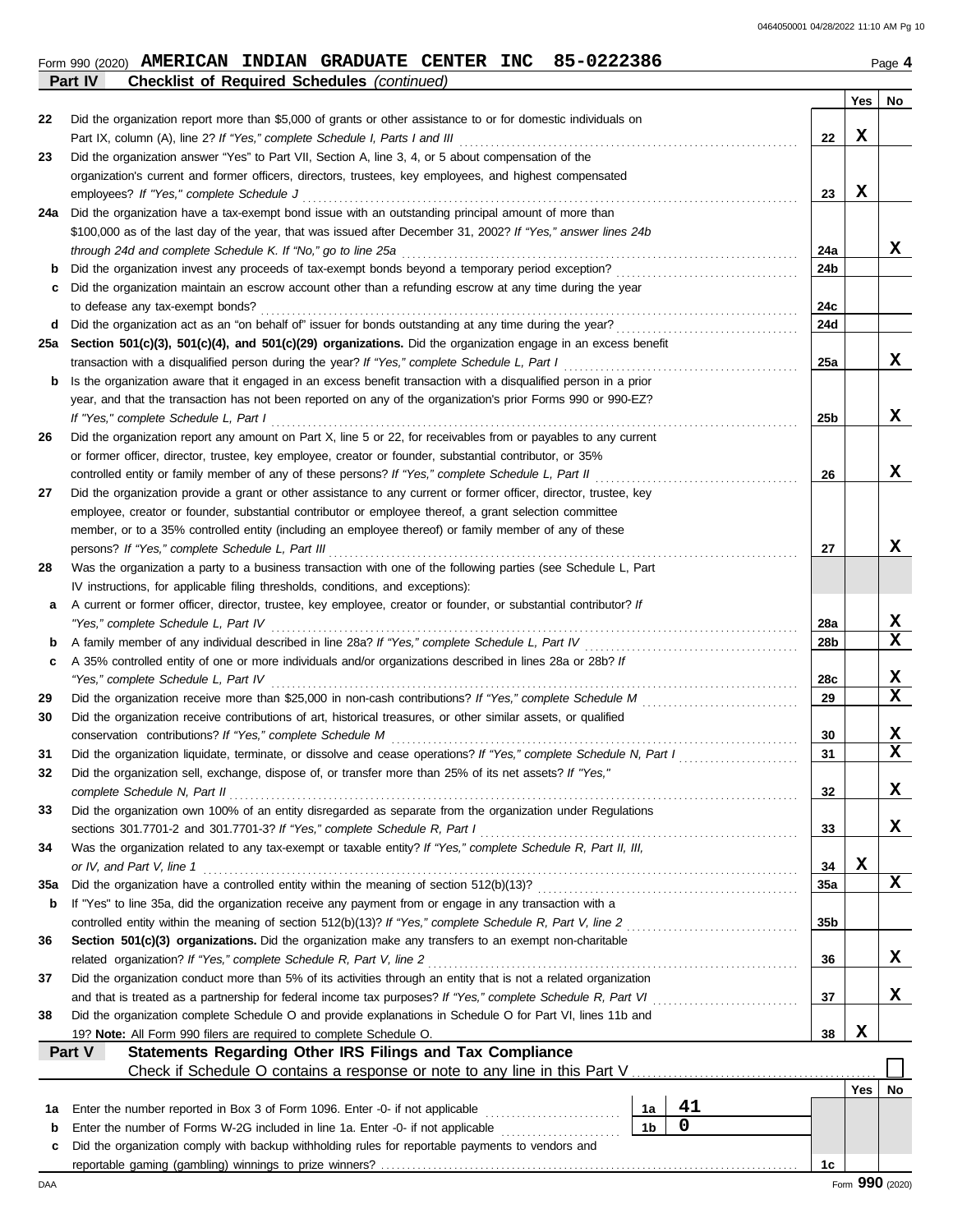#### **Yes No Form 990 (2020) AMERICAN INDIAN GRADUATE CENTER INC 85-0222386** Page 4 **Part IV Checklist of Required Schedules** *(continued)* **28 a b c 29 30 31 32 33 34 35a 36 37** Was the organization a party to a business transaction with one of the following parties (see Schedule L, Part A current or former officer, director, trustee, key employee, creator or founder, or substantial contributor? *If* "Yes," complete Schedule L, Part IV A family member of any individual described in line 28a? *If "Yes," complete Schedule L, Part IV* . . . . . . . . . . . . . . . . . . . . . . . . . . . . . . . . . . . . . . . . . A 35% controlled entity of one or more individuals and/or organizations described in lines 28a or 28b? *If "Yes," complete Schedule L, Part IV* . . . . . . . . . . . . . . . . . . . . . . . . . . . . . . . . . . . . . . . . . . . . . . . . . . . . . . . . . . . . . . . . . . . . . . . . . . . . . . . . . . . . . . . . . . . . . . . . . . . . . Did the organization receive more than \$25,000 in non-cash contributions? *If "Yes," complete Schedule M* . . . . . . . . . . . . . . . . . . . . . . . . . . . . . . Did the organization receive contributions of art, historical treasures, or other similar assets, or qualified conservation contributions? If "Yes," complete Schedule M ................... Did the organization liquidate, terminate, or dissolve and cease operations? *If "Yes," complete Schedule N, Part I* . . . . . . . . . . . . . . . . . . . . . . . Did the organization sell, exchange, dispose of, or transfer more than 25% of its net assets? *If "Yes," complete Schedule N, Part II* . . . . . . . . . . . . . . . . . . . . . . . . . . . . . . . . . . . . . . . . . . . . . . . . . . . . . . . . . . . . . . . . . . . . . . . . . . . . . . . . . . . . . . . . . . . . . . . . . . . . . . . . . . . . . Did the organization own 100% of an entity disregarded as separate from the organization under Regulations sections 301.7701-2 and 301.7701-3? *If "Yes," complete Schedule R, Part I* . . . . . . . . . . . . . . . . . . . . . . . . . . . . . . . . . . . . . . . . . . . . . . . . . . . . . . . . . . . . . Was the organization related to any tax-exempt or taxable entity? *If "Yes," complete Schedule R, Part II, III, or IV, and Part V, line 1* . . . . . . . . . . . . . . . . . . . . . . . . . . . . . . . . . . . . . . . . . . . . . . . . . . . . . . . . . . . . . . . . . . . . . . . . . . . . . . . . . . . . . . . . . . . . . . . . . . . . . . . . . . . . . . . . . . Did the organization have a controlled entity within the meaning of section 512(b)(13)? . . . . . . . . . . . . . . . . . . . . . . . . . . . . . . . . . . . . . . . . . . . . . . . . . . If "Yes" to line 35a, did the organization receive any payment from or engage in any transaction with a **Section 501(c)(3) organizations.** Did the organization make any transfers to an exempt non-charitable related organization? If "Yes," complete Schedule R, Part V, line 2 Did the organization conduct more than 5% of its activities through an entity that is not a related organization and that is treated as a partnership for federal income tax purposes? *If "Yes," complete Schedule R, Part VI* . . . . . . . . . . . . . . . . . . . . . . . . . . . . **37 36 35a 34 33 32 31 30 29 28a 28b 28c 22 23 24a 24b 24c 24d 25a 25b 26 27** employee, creator or founder, substantial contributor or employee thereof, a grant selection committee Did the organization provide a grant or other assistance to any current or former officer, director, trustee, key or former officer, director, trustee, key employee, creator or founder, substantial contributor, or 35% Did the organization report any amount on Part X, line 5 or 22, for receivables from or payables to any current year, and that the transaction has not been reported on any of the organization's prior Forms 990 or 990-EZ? **b** Is the organization aware that it engaged in an excess benefit transaction with a disqualified person in a prior transaction with a disqualified person during the year? *If "Yes," complete Schedule L, Part I* . . . . . . . . . . . . . . . . . . . . . . . . . . . . . . . . . . . . . . . . . . . . . **Section 501(c)(3), 501(c)(4), and 501(c)(29) organizations.** Did the organization engage in an excess benefit **25a** Did the organization act as an "on behalf of" issuer for bonds outstanding at any time during the year? . . . . . . . . . . . . . . . . . . . . . . . . . . . . . . . . . . . **d** to defease any tax-exempt bonds? . . . . . . . . . . . . . . . . . . . . . . . . . . . . . . . . . . . . . . . . . . . . . . . . . . . . . . . . . . . . . . . . . . . . . . . . . . . . . . . . . . . . . . . . . . . . . . . . . . . . . . . Did the organization maintain an escrow account other than a refunding escrow at any time during the year Did the organization invest any proceeds of tax-exempt bonds beyond a temporary period exception? . . . . . . . . . . . . . . . . . . . . . . . . . . . . . . . . . . . **b** *through 24d and complete Schedule K. If "No," go to line 25a* . . . . . . . . . . . . . . . . . . . . . . . . . . . . . . . . . . . . . . . . . . . . . . . . . . . . . . . . . . . . . . . . . . . . . . . . . . . . \$100,000 as of the last day of the year, that was issued after December 31, 2002? *If "Yes," answer lines 24b* Did the organization have a tax-exempt bond issue with an outstanding principal amount of more than organization's current and former officers, directors, trustees, key employees, and highest compensated Did the organization answer "Yes" to Part VII, Section A, line 3, 4, or 5 about compensation of the Did the organization report more than \$5,000 of grants or other assistance to or for domestic individuals on **27 26 c 24a 23 22** Part IX, column (A), line 2? *If "Yes," complete Schedule I, Parts I and III* . . . . . . . . . . . . . . . . . . . . . . . . . . . . . . . . . . . . . . . . . . . . . . . . . . . . . . . . . . . . . . . . . employees? *If "Yes," complete Schedule J* . . . . . . . . . . . . . . . . . . . . . . . . . . . . . . . . . . . . . . . . . . . . . . . . . . . . . . . . . . . . . . . . . . . . . . . . . . . . . . . . . . . . . . . . . . . . . . . *If "Yes," complete Schedule L, Part I* . . . . . . . . . . . . . . . . . . . . . . . . . . . . . . . . . . . . . . . . . . . . . . . . . . . . . . . . . . . . . . . . . . . . . . . . . . . . . . . . . . . . . . . . . . . . . . . . . . . . . persons? *If "Yes," complete Schedule L, Part III* . . . . . . . . . . . . . . . . . . . . . . . . . . . . . . . . . . . . . . . . . . . . . . . . . . . . . . . . . . . . . . . . . . . . . . . . . . . . . . . . . . . . . . . . . . IV instructions, for applicable filing thresholds, conditions, and exceptions): **38** Did the organization complete Schedule O and provide explanations in Schedule O for Part VI, lines 11b and 19? **Note:** All Form 990 filers are required to complete Schedule O. **38 b** controlled entity within the meaning of section 512(b)(13)? If "Yes," complete Schedule R, Part V, line 2 **35b** controlled entity or family member of any of these persons? *If "Yes," complete Schedule L, Part II* . . . . . . . . . . . . . . . . . . . . . . . . . . . . . . . . . . . . . . . Check if Schedule O contains a response or note to any line in this Part V **Part V Statements Regarding Other IRS Filings and Tax Compliance** member, or to a 35% controlled entity (including an employee thereof) or family member of any of these **X X X X X X X X X X X X X X X X X X X X**

|    |                                                                                                  |  |    | No |
|----|--------------------------------------------------------------------------------------------------|--|----|----|
| 1а | Enter the number reported in Box 3 of Form 1096. Enter -0- if not applicable                     |  |    |    |
|    | Enter the number of Forms W-2G included in line 1a. Enter -0- if not applicable                  |  |    |    |
|    | Did the organization comply with backup withholding rules for reportable payments to vendors and |  |    |    |
|    | reportable gaming (gambling) winnings to prize winners?                                          |  | 1c |    |

## DAA Form **990** (2020)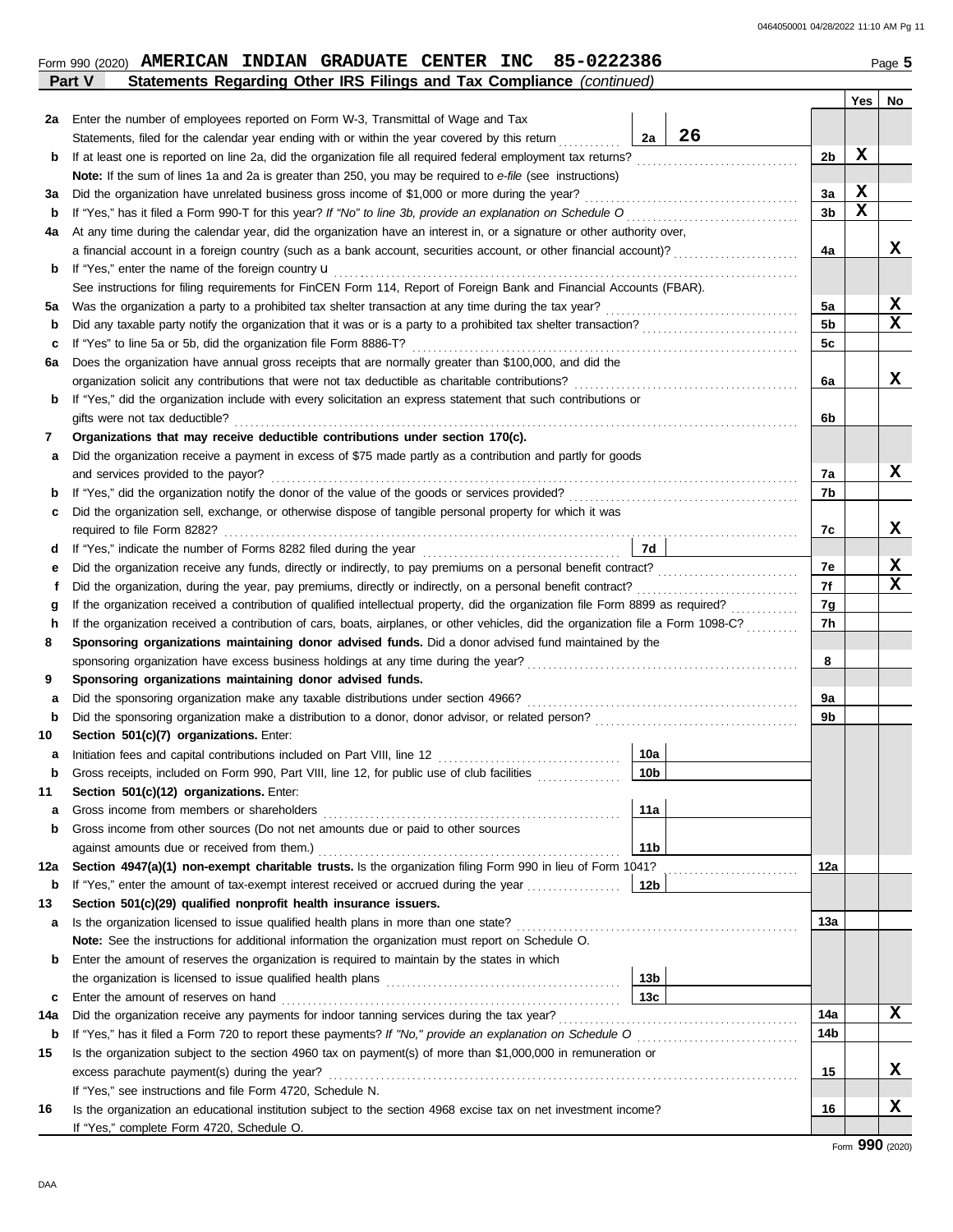| Form 990 (2020) | AMERICAN INDIAN GRADUATE CENTER INC 85-0222386                        |  |  |  | Page 5 |
|-----------------|-----------------------------------------------------------------------|--|--|--|--------|
| <b>Part V</b>   | Statements Regarding Other IRS Filings and Tax Compliance (continued) |  |  |  |        |

|           |                                                                                                                                    |                 |    |                | Yes | No     |
|-----------|------------------------------------------------------------------------------------------------------------------------------------|-----------------|----|----------------|-----|--------|
| 2a        | Enter the number of employees reported on Form W-3, Transmittal of Wage and Tax                                                    |                 |    |                |     |        |
|           | Statements, filed for the calendar year ending with or within the year covered by this return                                      | 2a              | 26 |                |     |        |
| b         |                                                                                                                                    |                 |    | 2 <sub>b</sub> | x   |        |
|           | Note: If the sum of lines 1a and 2a is greater than 250, you may be required to e-file (see instructions)                          |                 |    |                |     |        |
| За        | Did the organization have unrelated business gross income of \$1,000 or more during the year?                                      |                 |    | 3a             | x   |        |
| b         |                                                                                                                                    |                 |    | 3 <sub>b</sub> | X   |        |
| 4a        | At any time during the calendar year, did the organization have an interest in, or a signature or other authority over,            |                 |    |                |     |        |
|           | a financial account in a foreign country (such as a bank account, securities account, or other financial account)?                 |                 |    | 4a             |     | X      |
| b         | If "Yes," enter the name of the foreign country <b>u</b>                                                                           |                 |    |                |     |        |
|           | See instructions for filing requirements for FinCEN Form 114, Report of Foreign Bank and Financial Accounts (FBAR).                |                 |    |                |     |        |
| <b>5a</b> |                                                                                                                                    |                 |    | 5a             |     | X      |
| b         |                                                                                                                                    |                 |    | 5 <sub>b</sub> |     | X      |
| c         | If "Yes" to line 5a or 5b, did the organization file Form 8886-T?                                                                  |                 |    | 5c             |     |        |
| 6а        | Does the organization have annual gross receipts that are normally greater than \$100,000, and did the                             |                 |    |                |     |        |
|           |                                                                                                                                    |                 |    | 6a             |     | x      |
| b         | If "Yes," did the organization include with every solicitation an express statement that such contributions or                     |                 |    |                |     |        |
|           | gifts were not tax deductible?                                                                                                     |                 |    | 6b             |     |        |
| 7         | Organizations that may receive deductible contributions under section 170(c).                                                      |                 |    |                |     |        |
| а         | Did the organization receive a payment in excess of \$75 made partly as a contribution and partly for goods                        |                 |    |                |     |        |
|           | and services provided to the payor?                                                                                                |                 |    | 7a             |     | x      |
| b         |                                                                                                                                    |                 |    | 7b             |     |        |
| c         | Did the organization sell, exchange, or otherwise dispose of tangible personal property for which it was                           |                 |    |                |     |        |
|           |                                                                                                                                    |                 |    | 7с             |     | X      |
| d         |                                                                                                                                    | 7d              |    |                |     |        |
| е         |                                                                                                                                    |                 |    | 7e             |     | X<br>x |
| f         |                                                                                                                                    |                 |    | 7f             |     |        |
| g         | If the organization received a contribution of qualified intellectual property, did the organization file Form 8899 as required?   |                 |    | 7g             |     |        |
| h         | If the organization received a contribution of cars, boats, airplanes, or other vehicles, did the organization file a Form 1098-C? |                 |    | 7h             |     |        |
| 8         | Sponsoring organizations maintaining donor advised funds. Did a donor advised fund maintained by the                               |                 |    | 8              |     |        |
| 9         | Sponsoring organizations maintaining donor advised funds.                                                                          |                 |    |                |     |        |
|           | Did the sponsoring organization make any taxable distributions under section 4966?                                                 |                 |    | 9a             |     |        |
| а<br>b    |                                                                                                                                    |                 |    | 9 <sub>b</sub> |     |        |
| 10        | Section 501(c)(7) organizations. Enter:                                                                                            |                 |    |                |     |        |
| а         | Initiation fees and capital contributions included on Part VIII, line 12                                                           | 10a             |    |                |     |        |
| b         | Gross receipts, included on Form 990, Part VIII, line 12, for public use of club facilities                                        | 10 <sub>b</sub> |    |                |     |        |
| 11        | Section 501(c)(12) organizations. Enter:                                                                                           |                 |    |                |     |        |
| а         |                                                                                                                                    | 11a             |    |                |     |        |
| b         | Gross income from other sources (Do not net amounts due or paid to other sources                                                   |                 |    |                |     |        |
|           |                                                                                                                                    | 11 <sub>b</sub> |    |                |     |        |
| 12a       | Section 4947(a)(1) non-exempt charitable trusts. Is the organization filing Form 990 in lieu of Form 1041?                         |                 |    | 12a            |     |        |
| b         | If "Yes," enter the amount of tax-exempt interest received or accrued during the year                                              | 12b             |    |                |     |        |
| 13        | Section 501(c)(29) qualified nonprofit health insurance issuers.                                                                   |                 |    |                |     |        |
| а         |                                                                                                                                    |                 |    | 13a            |     |        |
|           | Note: See the instructions for additional information the organization must report on Schedule O.                                  |                 |    |                |     |        |
| b         | Enter the amount of reserves the organization is required to maintain by the states in which                                       |                 |    |                |     |        |
|           |                                                                                                                                    | 13 <sub>b</sub> |    |                |     |        |
| c         | Enter the amount of reserves on hand                                                                                               | 13c             |    |                |     |        |
| 14a       |                                                                                                                                    |                 |    | 14a            |     | X      |
| b         |                                                                                                                                    |                 |    | 14b            |     |        |
| 15        | Is the organization subject to the section 4960 tax on payment(s) of more than \$1,000,000 in remuneration or                      |                 |    |                |     |        |
|           |                                                                                                                                    |                 |    | 15             |     | x      |
|           | If "Yes," see instructions and file Form 4720, Schedule N.                                                                         |                 |    |                |     |        |
| 16        | Is the organization an educational institution subject to the section 4968 excise tax on net investment income?                    |                 |    | 16             |     | x      |
|           | If "Yes," complete Form 4720, Schedule O.                                                                                          |                 |    |                |     |        |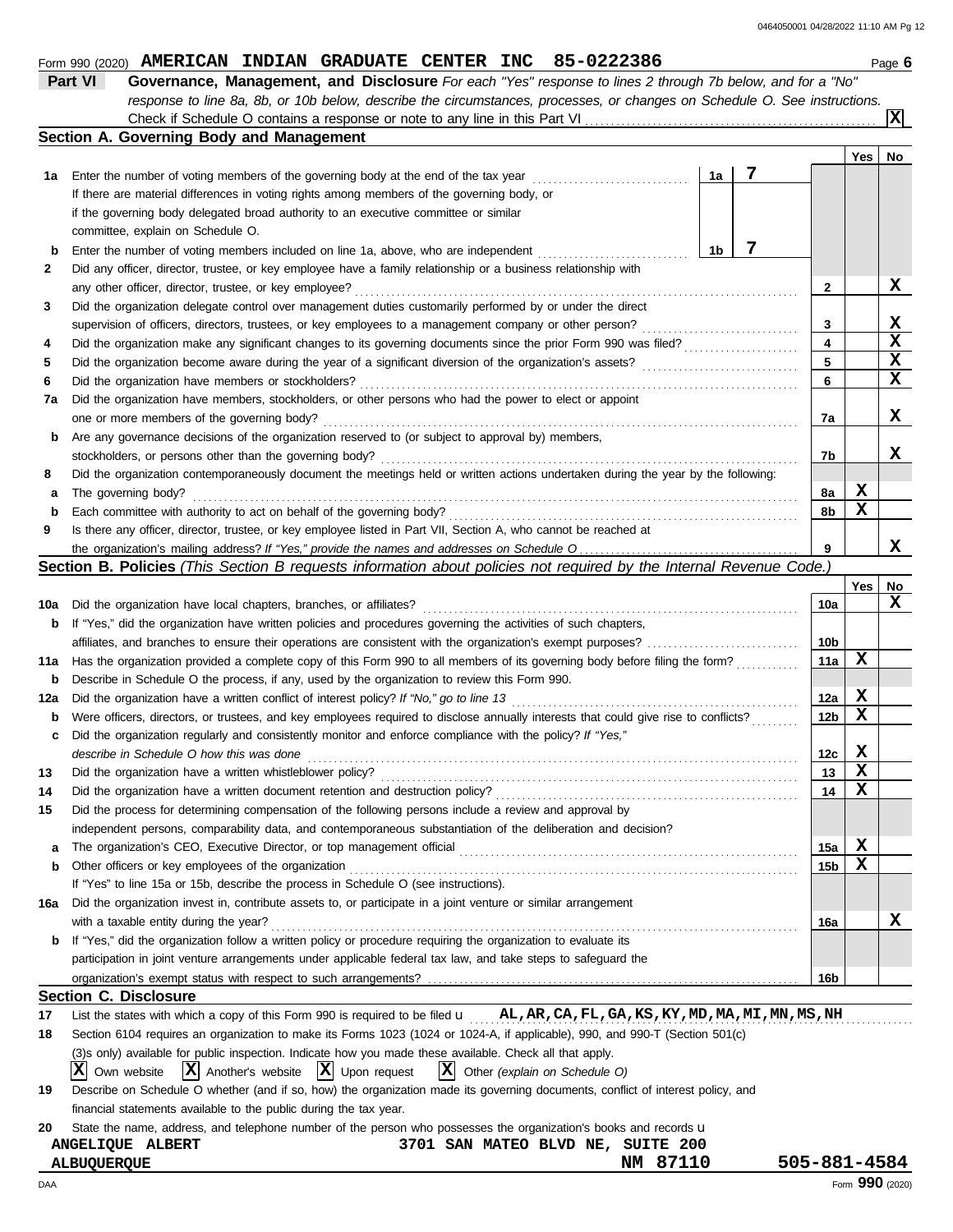|     | Part VI<br>Governance, Management, and Disclosure For each "Yes" response to lines 2 through 7b below, and for a "No"                  |   |                 |                         |     |
|-----|----------------------------------------------------------------------------------------------------------------------------------------|---|-----------------|-------------------------|-----|
|     | response to line 8a, 8b, or 10b below, describe the circumstances, processes, or changes on Schedule O. See instructions.              |   |                 |                         |     |
|     |                                                                                                                                        |   |                 |                         | Ixl |
|     | Section A. Governing Body and Management                                                                                               |   |                 |                         |     |
|     |                                                                                                                                        |   |                 | <b>Yes</b>              | No  |
| 1а  | 1a<br>Enter the number of voting members of the governing body at the end of the tax year                                              | 7 |                 |                         |     |
|     | If there are material differences in voting rights among members of the governing body, or                                             |   |                 |                         |     |
|     | if the governing body delegated broad authority to an executive committee or similar                                                   |   |                 |                         |     |
|     | committee, explain on Schedule O.                                                                                                      |   |                 |                         |     |
|     | Enter the number of voting members included on line 1a, above, who are independent<br>1b                                               | 7 |                 |                         |     |
| 2   | Did any officer, director, trustee, or key employee have a family relationship or a business relationship with                         |   |                 |                         |     |
|     | any other officer, director, trustee, or key employee?                                                                                 |   | 2               |                         | x   |
| 3   | Did the organization delegate control over management duties customarily performed by or under the direct                              |   |                 |                         |     |
|     | supervision of officers, directors, trustees, or key employees to a management company or other person?                                |   | 3               |                         | X   |
| 4   | Did the organization make any significant changes to its governing documents since the prior Form 990 was filed?                       |   | 4               |                         | X   |
| 5   |                                                                                                                                        |   | 5               |                         | X   |
| 6   |                                                                                                                                        |   | 6               |                         | X   |
| 7a  | Did the organization have members, stockholders, or other persons who had the power to elect or appoint                                |   |                 |                         |     |
|     | one or more members of the governing body?                                                                                             |   | 7a              |                         | x   |
| b   | Are any governance decisions of the organization reserved to (or subject to approval by) members,                                      |   |                 |                         |     |
|     |                                                                                                                                        |   | 7b              |                         | x   |
| 8   | Did the organization contemporaneously document the meetings held or written actions undertaken during the year by the following:      |   |                 |                         |     |
|     | The governing body?                                                                                                                    |   | 8a              | X                       |     |
|     |                                                                                                                                        |   | 8b              | $\mathbf x$             |     |
| 9   | Is there any officer, director, trustee, or key employee listed in Part VII, Section A, who cannot be reached at                       |   |                 |                         |     |
|     |                                                                                                                                        |   | 9               |                         | x   |
|     | Section B. Policies (This Section B requests information about policies not required by the Internal Revenue Code.)                    |   |                 |                         |     |
|     |                                                                                                                                        |   |                 | Yes                     | No  |
| 10a |                                                                                                                                        |   | 10a             |                         | x   |
| b   | If "Yes," did the organization have written policies and procedures governing the activities of such chapters,                         |   |                 |                         |     |
|     | affiliates, and branches to ensure their operations are consistent with the organization's exempt purposes?                            |   | 10b             |                         |     |
| 11a | Has the organization provided a complete copy of this Form 990 to all members of its governing body before filing the form?            |   | 11a             | x                       |     |
| b   | Describe in Schedule O the process, if any, used by the organization to review this Form 990.                                          |   |                 |                         |     |
| 12a |                                                                                                                                        |   | 12a             | X                       |     |
| b   | Were officers, directors, or trustees, and key employees required to disclose annually interests that could give rise to conflicts?    |   | 12 <sub>b</sub> | $\mathbf x$             |     |
| c   | Did the organization regularly and consistently monitor and enforce compliance with the policy? If "Yes,"                              |   |                 |                         |     |
|     | describe in Schedule O how this was done <i>communication</i> and contained a series of the schedule O how this was done               |   | 12c             | X                       |     |
| 13  | Did the organization have a written whistleblower policy?                                                                              |   | 13              | $\overline{\mathbf{x}}$ |     |
| 14  | Did the organization have a written document retention and destruction policy?                                                         |   | 14              | X                       |     |
| 15  | Did the process for determining compensation of the following persons include a review and approval by                                 |   |                 |                         |     |
|     | independent persons, comparability data, and contemporaneous substantiation of the deliberation and decision?                          |   |                 |                         |     |
| a   | The organization's CEO, Executive Director, or top management official                                                                 |   | 15a             | X                       |     |
| b   | Other officers or key employees of the organization                                                                                    |   | 15 <sub>b</sub> | X                       |     |
|     | If "Yes" to line 15a or 15b, describe the process in Schedule O (see instructions).                                                    |   |                 |                         |     |
| 16a | Did the organization invest in, contribute assets to, or participate in a joint venture or similar arrangement                         |   |                 |                         |     |
|     | with a taxable entity during the year?                                                                                                 |   | 16a             |                         | x   |
| b   | If "Yes," did the organization follow a written policy or procedure requiring the organization to evaluate its                         |   |                 |                         |     |
|     | participation in joint venture arrangements under applicable federal tax law, and take steps to safeguard the                          |   |                 |                         |     |
|     |                                                                                                                                        |   | 16b             |                         |     |
|     | <b>Section C. Disclosure</b>                                                                                                           |   |                 |                         |     |
| 17  | List the states with which a copy of this Form 990 is required to be filed <b>u</b> AL, AR, CA, FL, GA, KS, KY, MD, MA, MI, MN, MS, NH |   |                 |                         |     |
| 18  | Section 6104 requires an organization to make its Forms 1023 (1024 or 1024-A, if applicable), 990, and 990-T (Section 501(c)           |   |                 |                         |     |
|     | (3) sonly) available for public inspection. Indicate how you made these available. Check all that apply.                               |   |                 |                         |     |
|     | X <br>$ \mathbf{X} $ Upon request<br>$ {\bf X} $<br> X <br>Another's website<br>Other (explain on Schedule O)<br>Own website           |   |                 |                         |     |
| 19  | Describe on Schedule O whether (and if so, how) the organization made its governing documents, conflict of interest policy, and        |   |                 |                         |     |
|     | financial statements available to the public during the tax year.                                                                      |   |                 |                         |     |
| 20  | State the name, address, and telephone number of the person who possesses the organization's books and records u                       |   |                 |                         |     |
|     | ANGELIQUE ALBERT<br>3701 SAN MATEO BLVD NE, SUITE 200                                                                                  |   |                 |                         |     |
|     | NM 87110<br>ALBUQUERQUE                                                                                                                |   | 505-881-4584    |                         |     |
| DAA |                                                                                                                                        |   |                 | Form 990 (2020)         |     |

**Form 990 (2020) AMERICAN INDIAN GRADUATE CENTER INC 85-0222386** Page 6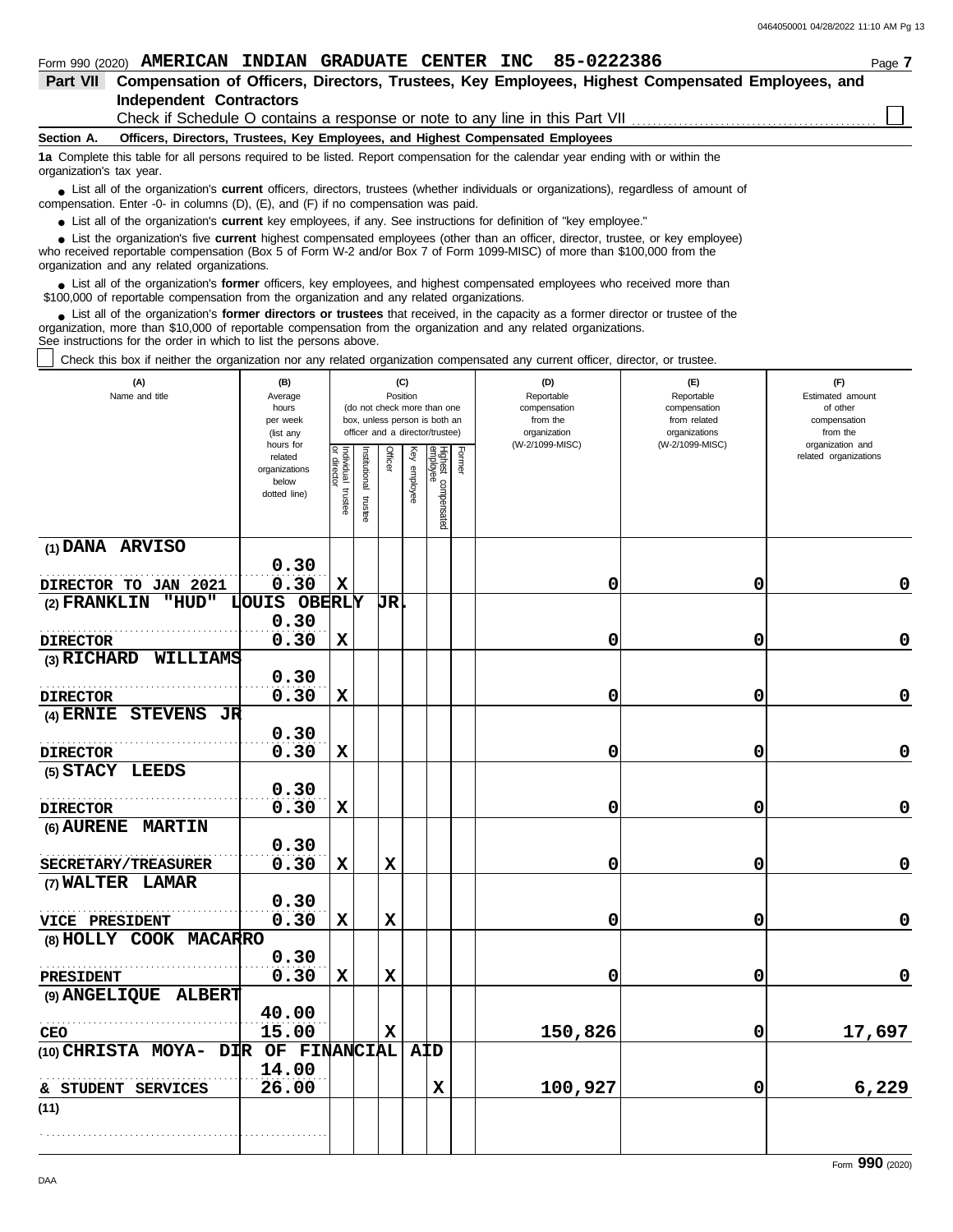|                          | Form 990 (2020) AMERICAN INDIAN GRADUATE CENTER INC 85-0222386                                                                                                                                                                                              | Page 7 |
|--------------------------|-------------------------------------------------------------------------------------------------------------------------------------------------------------------------------------------------------------------------------------------------------------|--------|
| <b>Part VII</b>          | Compensation of Officers, Directors, Trustees, Key Employees, Highest Compensated Employees, and                                                                                                                                                            |        |
|                          | <b>Independent Contractors</b>                                                                                                                                                                                                                              |        |
|                          | Check if Schedule O contains a response or note to any line in this Part VII                                                                                                                                                                                |        |
| Section A.               | Officers, Directors, Trustees, Key Employees, and Highest Compensated Employees                                                                                                                                                                             |        |
| organization's tax year. | 1a Complete this table for all persons required to be listed. Report compensation for the calendar vear ending with or within the                                                                                                                           |        |
|                          | • List all of the organization's <b>current</b> officers, directors, trustees (whether individuals or organizations), regardless of amount of<br>compensation. Enter -0- in columns $(D)$ , $(E)$ , and $(F)$ if no compensation was paid.                  |        |
|                          | • List all of the organization's current key employees, if any. See instructions for definition of "key employee."                                                                                                                                          |        |
|                          | • List the organization's five current highest compensated employees (other than an officer, director, trustee, or key employee)<br>who received reportable compensation (Box 5 of Form W-2 and/or Box 7 of Form 1099-MISC) of more than \$100,000 from the |        |

organization and any related organizations. List all of the organization's **former** officers, key employees, and highest compensated employees who received more than • List all of the organization's **former** officers, key employees, and highest compensate \$100,000 of reportable compensation from the organization and any related organizations.

List all of the organization's **former directors or trustees** that received, in the capacity as a former director or trustee of the organization, more than \$10,000 of reportable compensation from the organization and any related organizations. See instructions for the order in which to list the persons above. **•**

Check this box if neither the organization nor any related organization compensated any current officer, director, or trustee.

| (A)<br>Name and title                          | (B)<br>Average<br>hours<br>per week<br>(list any<br>hours for |                                      |                         | (C)<br>Position |              | (do not check more than one<br>box, unless person is both an<br>officer and a director/trustee) |        | (D)<br>Reportable<br>compensation<br>from the<br>organization<br>(W-2/1099-MISC) | (E)<br>Reportable<br>compensation<br>from related<br>organizations<br>(W-2/1099-MISC) | (F)<br>Estimated amount<br>of other<br>compensation<br>from the<br>organization and |
|------------------------------------------------|---------------------------------------------------------------|--------------------------------------|-------------------------|-----------------|--------------|-------------------------------------------------------------------------------------------------|--------|----------------------------------------------------------------------------------|---------------------------------------------------------------------------------------|-------------------------------------------------------------------------------------|
|                                                | related<br>organizations<br>below<br>dotted line)             | Individual<br>or director<br>trustee | nstitutional<br>trustee | <b>Officer</b>  | Key employee | Highest compensated<br>employee                                                                 | Former |                                                                                  |                                                                                       | related organizations                                                               |
| (1) DANA ARVISO                                |                                                               |                                      |                         |                 |              |                                                                                                 |        |                                                                                  |                                                                                       |                                                                                     |
| <b>DIRECTOR TO JAN 2021</b>                    | 0.30<br>0.30                                                  | X                                    |                         |                 |              |                                                                                                 |        | 0                                                                                | 0                                                                                     | 0                                                                                   |
| "HUD"<br>(2) FRANKLIN                          | <b>OBERLY</b><br>LOUIS                                        |                                      |                         | <b>JR</b>       |              |                                                                                                 |        |                                                                                  |                                                                                       |                                                                                     |
|                                                | 0.30                                                          |                                      |                         |                 |              |                                                                                                 |        |                                                                                  |                                                                                       |                                                                                     |
| <b>DIRECTOR</b>                                | 0.30                                                          | X                                    |                         |                 |              |                                                                                                 |        | 0                                                                                | 0                                                                                     | 0                                                                                   |
| (3) RICHARD<br>WILLIAMS                        | 0.30                                                          |                                      |                         |                 |              |                                                                                                 |        |                                                                                  |                                                                                       |                                                                                     |
| <b>DIRECTOR</b>                                | 0.30                                                          | $\mathbf x$                          |                         |                 |              |                                                                                                 |        | 0                                                                                | 0                                                                                     | 0                                                                                   |
| <b>STEVENS</b><br>$(4)$ ERNIE<br>JR            |                                                               |                                      |                         |                 |              |                                                                                                 |        |                                                                                  |                                                                                       |                                                                                     |
|                                                | 0.30                                                          |                                      |                         |                 |              |                                                                                                 |        |                                                                                  |                                                                                       |                                                                                     |
| <b>DIRECTOR</b>                                | 0.30                                                          | X                                    |                         |                 |              |                                                                                                 |        | 0                                                                                | 0                                                                                     | 0                                                                                   |
| (5) STACY LEEDS                                |                                                               |                                      |                         |                 |              |                                                                                                 |        |                                                                                  |                                                                                       |                                                                                     |
|                                                | 0.30<br>0.30                                                  | X                                    |                         |                 |              |                                                                                                 |        | 0                                                                                | 0                                                                                     | $\mathbf 0$                                                                         |
| <b>DIRECTOR</b><br>(6) AURENE<br><b>MARTIN</b> |                                                               |                                      |                         |                 |              |                                                                                                 |        |                                                                                  |                                                                                       |                                                                                     |
|                                                | 0.30                                                          |                                      |                         |                 |              |                                                                                                 |        |                                                                                  |                                                                                       |                                                                                     |
| <b>SECRETARY/TREASURER</b>                     | 0.30                                                          | X                                    |                         | X               |              |                                                                                                 |        | 0                                                                                | 0                                                                                     | 0                                                                                   |
| (7) WALTER LAMAR                               |                                                               |                                      |                         |                 |              |                                                                                                 |        |                                                                                  |                                                                                       |                                                                                     |
|                                                | 0.30                                                          |                                      |                         |                 |              |                                                                                                 |        |                                                                                  |                                                                                       |                                                                                     |
| VICE PRESIDENT                                 | 0.30                                                          | $\mathbf x$                          |                         | x               |              |                                                                                                 |        | 0                                                                                | 0                                                                                     | 0                                                                                   |
| (8) HOLLY COOK MACARRO                         | 0.30                                                          |                                      |                         |                 |              |                                                                                                 |        |                                                                                  |                                                                                       |                                                                                     |
| <b>PRESIDENT</b>                               | 0.30                                                          | X                                    |                         | X               |              |                                                                                                 |        | 0                                                                                | 0                                                                                     | $\mathbf 0$                                                                         |
| (9) ANGELIQUE ALBERT                           |                                                               |                                      |                         |                 |              |                                                                                                 |        |                                                                                  |                                                                                       |                                                                                     |
|                                                | 40.00                                                         |                                      |                         |                 |              |                                                                                                 |        |                                                                                  |                                                                                       |                                                                                     |
| CEO                                            | 15.00                                                         |                                      |                         | x               |              |                                                                                                 |        | 150,826                                                                          | 0                                                                                     | 17,697                                                                              |
| (10) CHRISTA MOYA-                             | DIR OF FINANCIAL                                              |                                      |                         |                 | <b>AID</b>   |                                                                                                 |        |                                                                                  |                                                                                       |                                                                                     |
| & STUDENT SERVICES                             | 14.00<br>26.00                                                |                                      |                         |                 |              | X                                                                                               |        | 100,927                                                                          | 0                                                                                     | 6,229                                                                               |
| (11)                                           |                                                               |                                      |                         |                 |              |                                                                                                 |        |                                                                                  |                                                                                       |                                                                                     |
|                                                |                                                               |                                      |                         |                 |              |                                                                                                 |        |                                                                                  |                                                                                       |                                                                                     |
|                                                |                                                               |                                      |                         |                 |              |                                                                                                 |        |                                                                                  |                                                                                       |                                                                                     |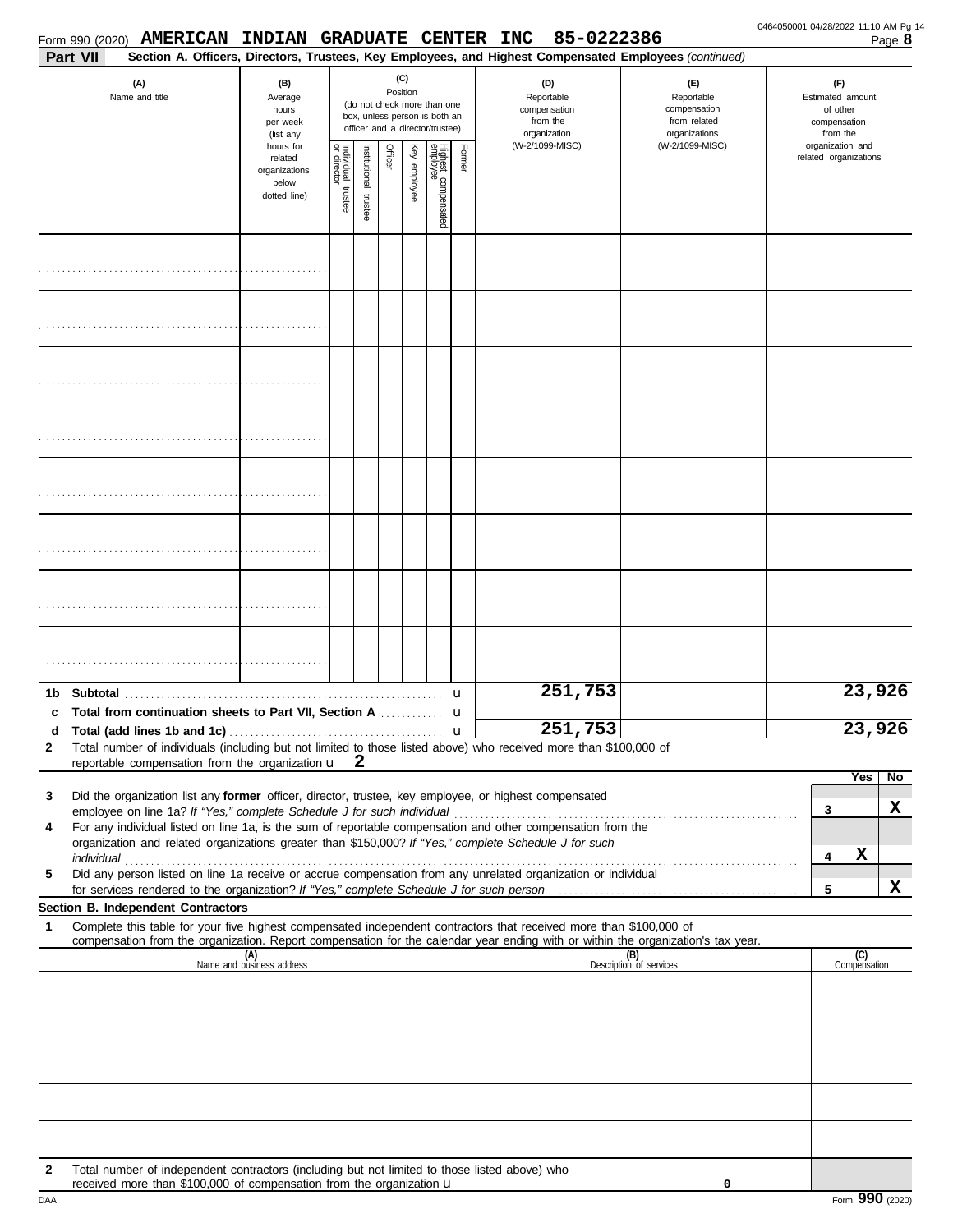# Form 990 (2020) Page **8 AMERICAN INDIAN GRADUATE CENTER INC 85-0222386**

| Part VII                                                                                                                                                                                  |                                                               |                                   |                         |         |                                                                                                                                                                                                                                                                                                                                                         |                                 |        | Section A. Officers, Directors, Trustees, Key Employees, and Highest Compensated Employees (continued)                                                                                                               |                                |                       |                     |                     |
|-------------------------------------------------------------------------------------------------------------------------------------------------------------------------------------------|---------------------------------------------------------------|-----------------------------------|-------------------------|---------|---------------------------------------------------------------------------------------------------------------------------------------------------------------------------------------------------------------------------------------------------------------------------------------------------------------------------------------------------------|---------------------------------|--------|----------------------------------------------------------------------------------------------------------------------------------------------------------------------------------------------------------------------|--------------------------------|-----------------------|---------------------|---------------------|
| (A)<br>Name and title                                                                                                                                                                     | (B)<br>Average<br>hours<br>per week<br>(list any<br>hours for |                                   |                         |         | (C)<br>(D)<br>(F)<br>Position<br>Reportable<br>Reportable<br>Estimated amount<br>(do not check more than one<br>compensation<br>compensation<br>box, unless person is both an<br>from the<br>from related<br>compensation<br>officer and a director/trustee)<br>organizations<br>organization<br>(W-2/1099-MISC)<br>(W-2/1099-MISC)<br>organization and |                                 |        |                                                                                                                                                                                                                      |                                |                       |                     |                     |
|                                                                                                                                                                                           | related<br>organizations<br>below<br>dotted line)             | Individual trustee<br>or director | nstitutional<br>trustee | Officer | Key employee                                                                                                                                                                                                                                                                                                                                            | Highest compensated<br>employee | Former |                                                                                                                                                                                                                      |                                | related organizations |                     |                     |
|                                                                                                                                                                                           |                                                               |                                   |                         |         |                                                                                                                                                                                                                                                                                                                                                         |                                 |        |                                                                                                                                                                                                                      |                                |                       |                     |                     |
|                                                                                                                                                                                           |                                                               |                                   |                         |         |                                                                                                                                                                                                                                                                                                                                                         |                                 |        |                                                                                                                                                                                                                      |                                |                       |                     |                     |
|                                                                                                                                                                                           |                                                               |                                   |                         |         |                                                                                                                                                                                                                                                                                                                                                         |                                 |        |                                                                                                                                                                                                                      |                                |                       |                     |                     |
|                                                                                                                                                                                           |                                                               |                                   |                         |         |                                                                                                                                                                                                                                                                                                                                                         |                                 |        |                                                                                                                                                                                                                      |                                |                       |                     |                     |
|                                                                                                                                                                                           |                                                               |                                   |                         |         |                                                                                                                                                                                                                                                                                                                                                         |                                 |        |                                                                                                                                                                                                                      |                                |                       |                     |                     |
|                                                                                                                                                                                           |                                                               |                                   |                         |         |                                                                                                                                                                                                                                                                                                                                                         |                                 |        |                                                                                                                                                                                                                      |                                |                       |                     |                     |
|                                                                                                                                                                                           |                                                               |                                   |                         |         |                                                                                                                                                                                                                                                                                                                                                         |                                 |        |                                                                                                                                                                                                                      |                                |                       |                     |                     |
|                                                                                                                                                                                           |                                                               |                                   |                         |         |                                                                                                                                                                                                                                                                                                                                                         |                                 | u      | 251,753                                                                                                                                                                                                              |                                |                       | 23,926              |                     |
| Total from continuation sheets to Part VII, Section A<br>d<br>2<br>reportable compensation from the organization $\mathbf u$                                                              |                                                               |                                   | 2                       |         |                                                                                                                                                                                                                                                                                                                                                         |                                 | u<br>u | 251,753<br>Total number of individuals (including but not limited to those listed above) who received more than \$100,000 of                                                                                         |                                |                       | 23,926              |                     |
| Did the organization list any former officer, director, trustee, key employee, or highest compensated<br>3<br>employee on line 1a? If "Yes," complete Schedule J for such individual<br>4 |                                                               |                                   |                         |         |                                                                                                                                                                                                                                                                                                                                                         |                                 |        | For any individual listed on line 1a, is the sum of reportable compensation and other compensation from the<br>organization and related organizations greater than \$150,000? If "Yes," complete Schedule J for such |                                | 3<br>4                | Yes<br>X            | $\overline{N}$<br>X |
| 5                                                                                                                                                                                         |                                                               |                                   |                         |         |                                                                                                                                                                                                                                                                                                                                                         |                                 |        | Did any person listed on line 1a receive or accrue compensation from any unrelated organization or individual                                                                                                        |                                | 5                     |                     | X                   |
| Section B. Independent Contractors<br>1                                                                                                                                                   |                                                               |                                   |                         |         |                                                                                                                                                                                                                                                                                                                                                         |                                 |        | Complete this table for your five highest compensated independent contractors that received more than \$100,000 of                                                                                                   |                                |                       |                     |                     |
|                                                                                                                                                                                           |                                                               |                                   |                         |         |                                                                                                                                                                                                                                                                                                                                                         |                                 |        | compensation from the organization. Report compensation for the calendar year ending with or within the organization's tax year.                                                                                     |                                |                       |                     |                     |
|                                                                                                                                                                                           | (A)<br>Name and business address                              |                                   |                         |         |                                                                                                                                                                                                                                                                                                                                                         |                                 |        |                                                                                                                                                                                                                      | (B)<br>Description of services |                       | (C)<br>Compensation |                     |
|                                                                                                                                                                                           |                                                               |                                   |                         |         |                                                                                                                                                                                                                                                                                                                                                         |                                 |        |                                                                                                                                                                                                                      |                                |                       |                     |                     |
|                                                                                                                                                                                           |                                                               |                                   |                         |         |                                                                                                                                                                                                                                                                                                                                                         |                                 |        |                                                                                                                                                                                                                      |                                |                       |                     |                     |
| Total number of independent contractors (including but not limited to those listed above) who<br>2<br>received more than \$100,000 of compensation from the organization u                |                                                               |                                   |                         |         |                                                                                                                                                                                                                                                                                                                                                         |                                 |        |                                                                                                                                                                                                                      | 0                              |                       |                     |                     |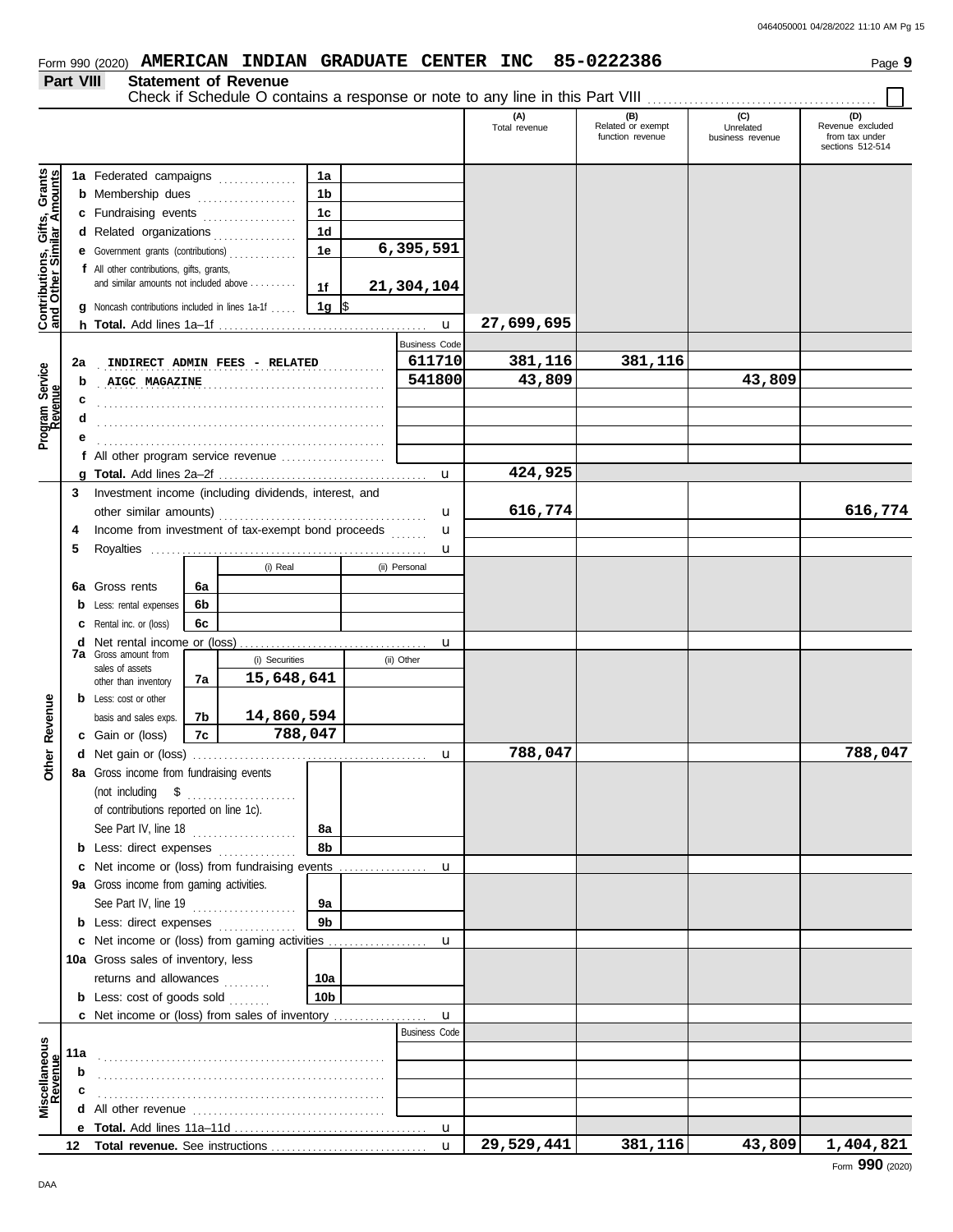# **Form 990 (2020) AMERICAN INDIAN GRADUATE CENTER INC 85-0222386** Page 9 **Part VIII Statement of Revenue**

|                                                                  | <b>Fail VIII</b> |                                                                                   |    | <b>Statement Of Nevenue</b>   |                |                      |                      |                                              |                                      |                                                               |
|------------------------------------------------------------------|------------------|-----------------------------------------------------------------------------------|----|-------------------------------|----------------|----------------------|----------------------|----------------------------------------------|--------------------------------------|---------------------------------------------------------------|
|                                                                  |                  |                                                                                   |    |                               |                |                      | (A)<br>Total revenue | (B)<br>Related or exempt<br>function revenue | (C)<br>Unrelated<br>business revenue | (D)<br>Revenue excluded<br>from tax under<br>sections 512-514 |
|                                                                  |                  | 1a Federated campaigns                                                            |    |                               | 1a             |                      |                      |                                              |                                      |                                                               |
|                                                                  |                  | <b>b</b> Membership dues                                                          |    | .                             | 1b             |                      |                      |                                              |                                      |                                                               |
| <b>Contributions, Gifts, Grants</b><br>and Other Similar Amounts |                  | c Fundraising events                                                              |    |                               | 1 <sub>c</sub> |                      |                      |                                              |                                      |                                                               |
|                                                                  |                  | d Related organizations                                                           |    |                               | 1 <sub>d</sub> |                      |                      |                                              |                                      |                                                               |
|                                                                  |                  | e Government grants (contributions)                                               |    |                               | 1e             | 6,395,591            |                      |                                              |                                      |                                                               |
|                                                                  |                  | <b>f</b> All other contributions, gifts, grants,                                  |    |                               |                |                      |                      |                                              |                                      |                                                               |
|                                                                  |                  | and similar amounts not included above                                            |    |                               | 1f             | 21,304,104           |                      |                                              |                                      |                                                               |
|                                                                  |                  | Noncash contributions included in lines 1a-1f                                     |    |                               | $1g \,$ \$     |                      |                      |                                              |                                      |                                                               |
|                                                                  |                  |                                                                                   |    |                               |                | $\mathbf{u}$         | 27,699,695           |                                              |                                      |                                                               |
|                                                                  |                  |                                                                                   |    |                               |                | <b>Business Code</b> |                      |                                              |                                      |                                                               |
|                                                                  | 2a               |                                                                                   |    | INDIRECT ADMIN FEES - RELATED |                | 611710               | 381,116              | 381,116                                      |                                      |                                                               |
|                                                                  | b                | AIGC MAGAZINE                                                                     |    |                               |                | 541800               | 43,809               |                                              | 43,809                               |                                                               |
| Program Service<br>Revenue                                       |                  |                                                                                   |    |                               |                |                      |                      |                                              |                                      |                                                               |
|                                                                  |                  |                                                                                   |    |                               |                |                      |                      |                                              |                                      |                                                               |
|                                                                  |                  |                                                                                   |    |                               |                |                      |                      |                                              |                                      |                                                               |
|                                                                  |                  | f All other program service revenue $\ldots$ , $\ldots$ , $\ldots$                |    |                               |                |                      |                      |                                              |                                      |                                                               |
|                                                                  |                  |                                                                                   |    |                               |                |                      | 424,925              |                                              |                                      |                                                               |
|                                                                  | 3                | Investment income (including dividends, interest, and                             |    |                               |                |                      |                      |                                              |                                      |                                                               |
|                                                                  |                  | other similar amounts)                                                            |    |                               |                | u                    | 616,774              |                                              |                                      | 616,774                                                       |
|                                                                  | 4                | Income from investment of tax-exempt bond proceeds                                |    |                               |                | u                    |                      |                                              |                                      |                                                               |
|                                                                  | 5                |                                                                                   |    |                               |                | u                    |                      |                                              |                                      |                                                               |
|                                                                  |                  |                                                                                   |    | (i) Real                      |                | (ii) Personal        |                      |                                              |                                      |                                                               |
|                                                                  | 6а               | Gross rents                                                                       | 6a |                               |                |                      |                      |                                              |                                      |                                                               |
|                                                                  | b                | Less: rental expenses                                                             | 6b |                               |                |                      |                      |                                              |                                      |                                                               |
|                                                                  | С                | Rental inc. or (loss)                                                             | 6c |                               |                |                      |                      |                                              |                                      |                                                               |
|                                                                  |                  | Net rental income or (loss)<br>d<br><b>7a</b> Gross amount from<br>(i) Securities |    |                               | u              |                      |                      |                                              |                                      |                                                               |
|                                                                  |                  | sales of assets                                                                   |    | 15,648,641                    |                | (ii) Other           |                      |                                              |                                      |                                                               |
|                                                                  |                  | other than inventory                                                              | 7a |                               |                |                      |                      |                                              |                                      |                                                               |
|                                                                  |                  | <b>b</b> Less: cost or other<br>basis and sales exps.                             | 7b | 14,860,594                    |                |                      |                      |                                              |                                      |                                                               |
|                                                                  |                  | c Gain or (loss)                                                                  | 7c | 788,047                       |                |                      |                      |                                              |                                      |                                                               |
| Other Revenue                                                    |                  |                                                                                   |    |                               |                | u                    | 788,047              |                                              |                                      | 788,047                                                       |
|                                                                  |                  | 8a Gross income from fundraising events                                           |    |                               |                |                      |                      |                                              |                                      |                                                               |
|                                                                  |                  |                                                                                   |    |                               |                |                      |                      |                                              |                                      |                                                               |
|                                                                  |                  | of contributions reported on line 1c).                                            |    |                               |                |                      |                      |                                              |                                      |                                                               |
|                                                                  |                  | See Part IV, line 18                                                              |    |                               | 8a             |                      |                      |                                              |                                      |                                                               |
|                                                                  |                  | <b>b</b> Less: direct expenses                                                    |    |                               | 8b             |                      |                      |                                              |                                      |                                                               |
|                                                                  | c                | Net income or (loss) from fundraising events                                      |    |                               |                | u                    |                      |                                              |                                      |                                                               |
|                                                                  |                  | 9a Gross income from gaming activities.                                           |    |                               |                |                      |                      |                                              |                                      |                                                               |
|                                                                  |                  | See Part IV, line 19                                                              |    |                               | 9a             |                      |                      |                                              |                                      |                                                               |
|                                                                  |                  | <b>b</b> Less: direct expenses                                                    |    |                               | 9b             |                      |                      |                                              |                                      |                                                               |
|                                                                  | c                |                                                                                   |    |                               |                | u                    |                      |                                              |                                      |                                                               |
|                                                                  |                  | 10a Gross sales of inventory, less                                                |    |                               |                |                      |                      |                                              |                                      |                                                               |
|                                                                  |                  | returns and allowances                                                            |    | .                             | 10a            |                      |                      |                                              |                                      |                                                               |
|                                                                  |                  | <b>b</b> Less: $cost$ of goods sold $\ldots$                                      |    |                               | 10b            |                      |                      |                                              |                                      |                                                               |
|                                                                  |                  | <b>c</b> Net income or (loss) from sales of inventory                             |    |                               |                | u                    |                      |                                              |                                      |                                                               |
|                                                                  |                  |                                                                                   |    |                               |                | <b>Business Code</b> |                      |                                              |                                      |                                                               |
|                                                                  | 11a              |                                                                                   |    |                               |                |                      |                      |                                              |                                      |                                                               |
|                                                                  | $\mathbf b$      |                                                                                   |    |                               |                |                      |                      |                                              |                                      |                                                               |
| Miscellaneous<br>Revenue                                         |                  |                                                                                   |    |                               |                |                      |                      |                                              |                                      |                                                               |
|                                                                  | a                |                                                                                   |    |                               |                |                      |                      |                                              |                                      |                                                               |
|                                                                  |                  |                                                                                   |    |                               |                |                      |                      |                                              |                                      |                                                               |
|                                                                  |                  |                                                                                   |    |                               |                | $\mathbf{u}$         | 29,529,441           | 381,116                                      | 43,809                               | 1,404,821                                                     |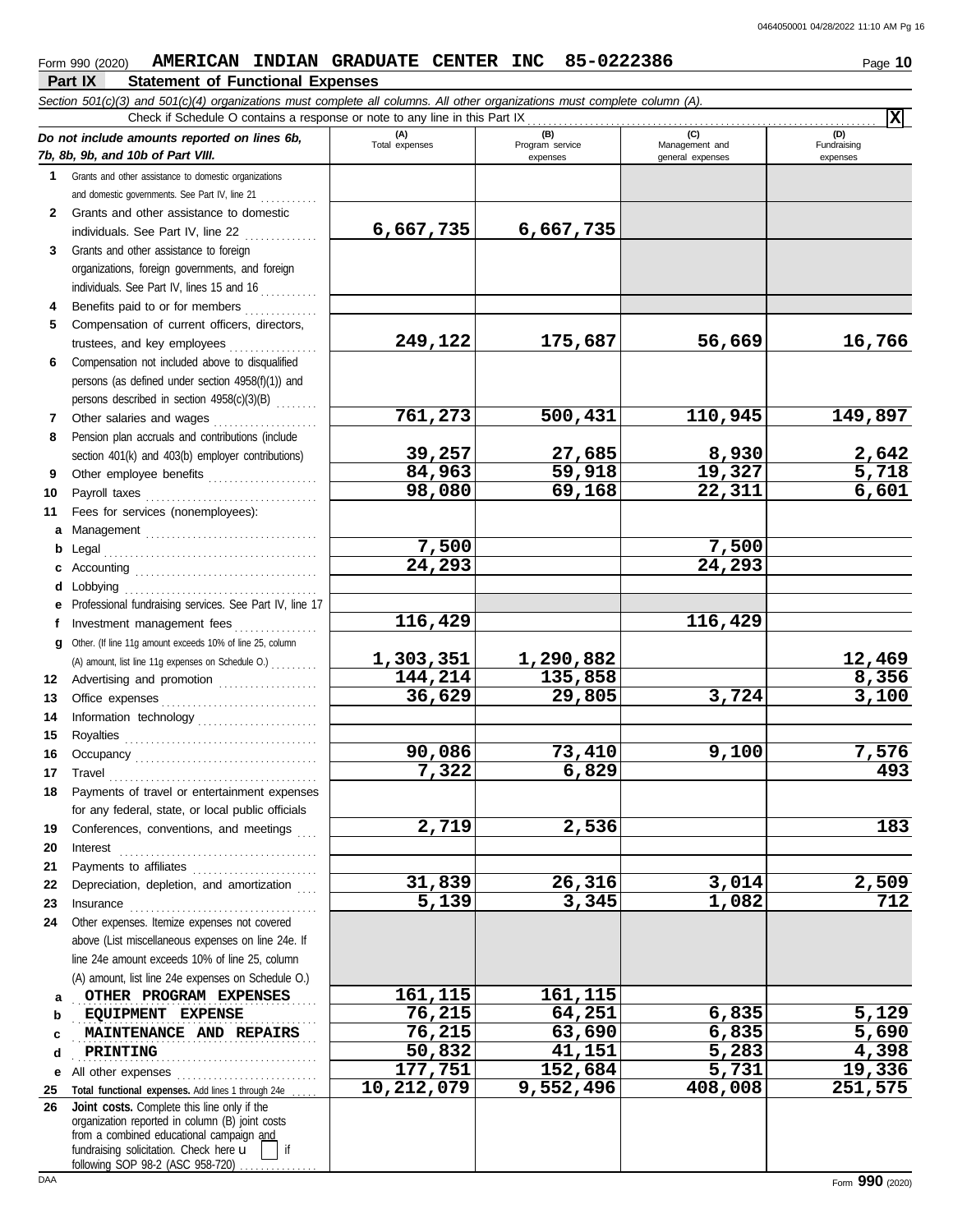# **Form 990 (2020) AMERICAN INDIAN GRADUATE CENTER INC 85-0222386** Page 10

|        | Part IX<br><b>Statement of Functional Expenses</b>                                                                                                                                                                                                                                                                                                                                                                    |                     |                   |                              |                        |  |  |  |
|--------|-----------------------------------------------------------------------------------------------------------------------------------------------------------------------------------------------------------------------------------------------------------------------------------------------------------------------------------------------------------------------------------------------------------------------|---------------------|-------------------|------------------------------|------------------------|--|--|--|
|        | Section 501(c)(3) and 501(c)(4) organizations must complete all columns. All other organizations must complete column (A).                                                                                                                                                                                                                                                                                            |                     |                   |                              |                        |  |  |  |
|        | Check if Schedule O contains a response or note to any line in this Part IX                                                                                                                                                                                                                                                                                                                                           | (A)                 | (B)               | (C)                          | $ \mathbf{x} $<br>(D)  |  |  |  |
|        | Do not include amounts reported on lines 6b,<br>7b, 8b, 9b, and 10b of Part VIII.                                                                                                                                                                                                                                                                                                                                     | Total expenses      | Program service   | Management and               | Fundraising            |  |  |  |
| 1.     | Grants and other assistance to domestic organizations                                                                                                                                                                                                                                                                                                                                                                 |                     | expenses          | general expenses             | expenses               |  |  |  |
|        | and domestic governments. See Part IV, line 21                                                                                                                                                                                                                                                                                                                                                                        |                     |                   |                              |                        |  |  |  |
| 2      | Grants and other assistance to domestic                                                                                                                                                                                                                                                                                                                                                                               |                     |                   |                              |                        |  |  |  |
|        | individuals. See Part IV, line 22                                                                                                                                                                                                                                                                                                                                                                                     | 6,667,735           | 6,667,735         |                              |                        |  |  |  |
| 3      | Grants and other assistance to foreign                                                                                                                                                                                                                                                                                                                                                                                |                     |                   |                              |                        |  |  |  |
|        | organizations, foreign governments, and foreign                                                                                                                                                                                                                                                                                                                                                                       |                     |                   |                              |                        |  |  |  |
|        | individuals. See Part IV, lines 15 and 16                                                                                                                                                                                                                                                                                                                                                                             |                     |                   |                              |                        |  |  |  |
| 4      | Benefits paid to or for members                                                                                                                                                                                                                                                                                                                                                                                       |                     |                   |                              |                        |  |  |  |
| 5      | Compensation of current officers, directors,                                                                                                                                                                                                                                                                                                                                                                          |                     |                   |                              |                        |  |  |  |
|        | trustees, and key employees                                                                                                                                                                                                                                                                                                                                                                                           | 249,122             | 175,687           | 56,669                       | 16,766                 |  |  |  |
| 6      | Compensation not included above to disqualified                                                                                                                                                                                                                                                                                                                                                                       |                     |                   |                              |                        |  |  |  |
|        | persons (as defined under section 4958(f)(1)) and                                                                                                                                                                                                                                                                                                                                                                     |                     |                   |                              |                        |  |  |  |
|        | persons described in section 4958(c)(3)(B)                                                                                                                                                                                                                                                                                                                                                                            |                     |                   |                              |                        |  |  |  |
| 7      | Other salaries and wages                                                                                                                                                                                                                                                                                                                                                                                              | 761,273             | 500,431           | 110,945                      | 149,897                |  |  |  |
| 8      | Pension plan accruals and contributions (include                                                                                                                                                                                                                                                                                                                                                                      |                     |                   |                              |                        |  |  |  |
|        | section 401(k) and 403(b) employer contributions)                                                                                                                                                                                                                                                                                                                                                                     | 39,257              | 27,685            | 8,930                        | 2,642                  |  |  |  |
| 9      | Other employee benefits                                                                                                                                                                                                                                                                                                                                                                                               | 84,963              | 59,918            | 19,327                       | 5,718                  |  |  |  |
| 10     | Payroll taxes                                                                                                                                                                                                                                                                                                                                                                                                         | 98,080              | 69,168            | 22,311                       | 6,601                  |  |  |  |
| 11     | Fees for services (nonemployees):                                                                                                                                                                                                                                                                                                                                                                                     |                     |                   |                              |                        |  |  |  |
| a      |                                                                                                                                                                                                                                                                                                                                                                                                                       | 7,500               |                   |                              |                        |  |  |  |
| b      | Legal                                                                                                                                                                                                                                                                                                                                                                                                                 | $\overline{24,293}$ |                   | 7,500<br>$\overline{24,293}$ |                        |  |  |  |
|        | Accounting                                                                                                                                                                                                                                                                                                                                                                                                            |                     |                   |                              |                        |  |  |  |
| d      | Lobbying                                                                                                                                                                                                                                                                                                                                                                                                              |                     |                   |                              |                        |  |  |  |
| е<br>f | Professional fundraising services. See Part IV, line 17<br>Investment management fees                                                                                                                                                                                                                                                                                                                                 | 116,429             |                   | 116,429                      |                        |  |  |  |
| g      | Other. (If line 11g amount exceeds 10% of line 25, column                                                                                                                                                                                                                                                                                                                                                             |                     |                   |                              |                        |  |  |  |
|        | (A) amount, list line 11g expenses on Schedule O.)                                                                                                                                                                                                                                                                                                                                                                    | 1,303,351           | 1,290,882         |                              |                        |  |  |  |
| 12     | Advertising and promotion                                                                                                                                                                                                                                                                                                                                                                                             | 144,214             | 135,858           |                              | $\frac{12,469}{8,356}$ |  |  |  |
| 13     |                                                                                                                                                                                                                                                                                                                                                                                                                       | 36,629              | 29,805            | 3,724                        | 3,100                  |  |  |  |
| 14     | Information technology                                                                                                                                                                                                                                                                                                                                                                                                |                     |                   |                              |                        |  |  |  |
| 15     |                                                                                                                                                                                                                                                                                                                                                                                                                       |                     |                   |                              |                        |  |  |  |
| 16     |                                                                                                                                                                                                                                                                                                                                                                                                                       | 90,086              | 73,410            | 9,100                        | 7,576                  |  |  |  |
| 17     | Travel                                                                                                                                                                                                                                                                                                                                                                                                                | 7,322               | 6,829             |                              | 493                    |  |  |  |
| 18     | Payments of travel or entertainment expenses                                                                                                                                                                                                                                                                                                                                                                          |                     |                   |                              |                        |  |  |  |
|        | for any federal, state, or local public officials                                                                                                                                                                                                                                                                                                                                                                     |                     |                   |                              |                        |  |  |  |
| 19     | Conferences, conventions, and meetings                                                                                                                                                                                                                                                                                                                                                                                | 2,719               | 2,536             |                              | 183                    |  |  |  |
| 20     |                                                                                                                                                                                                                                                                                                                                                                                                                       |                     |                   |                              |                        |  |  |  |
| 21     |                                                                                                                                                                                                                                                                                                                                                                                                                       |                     |                   |                              |                        |  |  |  |
| 22     | Depreciation, depletion, and amortization                                                                                                                                                                                                                                                                                                                                                                             | 31,839              | 26,316            | 3,014                        | 2,509                  |  |  |  |
| 23     | $In \textbf{surance} \begin{tabular}{@{}l@{}} \hline \textbf{} & \textbf{} & \textbf{} & \textbf{} & \textbf{} \\ \hline \textbf{} & \textbf{} & \textbf{} & \textbf{} & \textbf{} \\ \hline \textbf{} & \textbf{} & \textbf{} & \textbf{} & \textbf{} \\ \hline \textbf{} & \textbf{} & \textbf{} & \textbf{} & \textbf{} \\ \hline \textbf{} & \textbf{} & \textbf{} & \textbf{} & \textbf{} & \textbf{} \\ \hline$ | 5,139               | 3,345             | 1,082                        | 712                    |  |  |  |
| 24     | Other expenses. Itemize expenses not covered                                                                                                                                                                                                                                                                                                                                                                          |                     |                   |                              |                        |  |  |  |
|        | above (List miscellaneous expenses on line 24e. If                                                                                                                                                                                                                                                                                                                                                                    |                     |                   |                              |                        |  |  |  |
|        | line 24e amount exceeds 10% of line 25, column                                                                                                                                                                                                                                                                                                                                                                        |                     |                   |                              |                        |  |  |  |
|        | (A) amount, list line 24e expenses on Schedule O.)                                                                                                                                                                                                                                                                                                                                                                    | 161,115             |                   |                              |                        |  |  |  |
| a      | OTHER PROGRAM EXPENSES<br>EQUIPMENT EXPENSE                                                                                                                                                                                                                                                                                                                                                                           | 76,215              | 161,115<br>64,251 | 6,835                        | 5,129                  |  |  |  |
| b      | MAINTENANCE AND REPAIRS                                                                                                                                                                                                                                                                                                                                                                                               | 76,215              | 63,690            | 6,835                        | 5,690                  |  |  |  |
| c<br>d | PRINTING                                                                                                                                                                                                                                                                                                                                                                                                              | 50,832              | 41,151            | 5,283                        | 4,398                  |  |  |  |
| е      | All other expenses                                                                                                                                                                                                                                                                                                                                                                                                    | 177,751             | 152,684           | 5,731                        | 19,336                 |  |  |  |
| 25     | Total functional expenses. Add lines 1 through 24e                                                                                                                                                                                                                                                                                                                                                                    | 10,212,079          | 9,552,496         | 408,008                      | 251,575                |  |  |  |
| 26     | Joint costs. Complete this line only if the                                                                                                                                                                                                                                                                                                                                                                           |                     |                   |                              |                        |  |  |  |
|        | organization reported in column (B) joint costs                                                                                                                                                                                                                                                                                                                                                                       |                     |                   |                              |                        |  |  |  |
|        | from a combined educational campaign and<br>fundraising solicitation. Check here u                                                                                                                                                                                                                                                                                                                                    |                     |                   |                              |                        |  |  |  |
|        | following SOP 98-2 (ASC 958-720) $\ldots$                                                                                                                                                                                                                                                                                                                                                                             |                     |                   |                              |                        |  |  |  |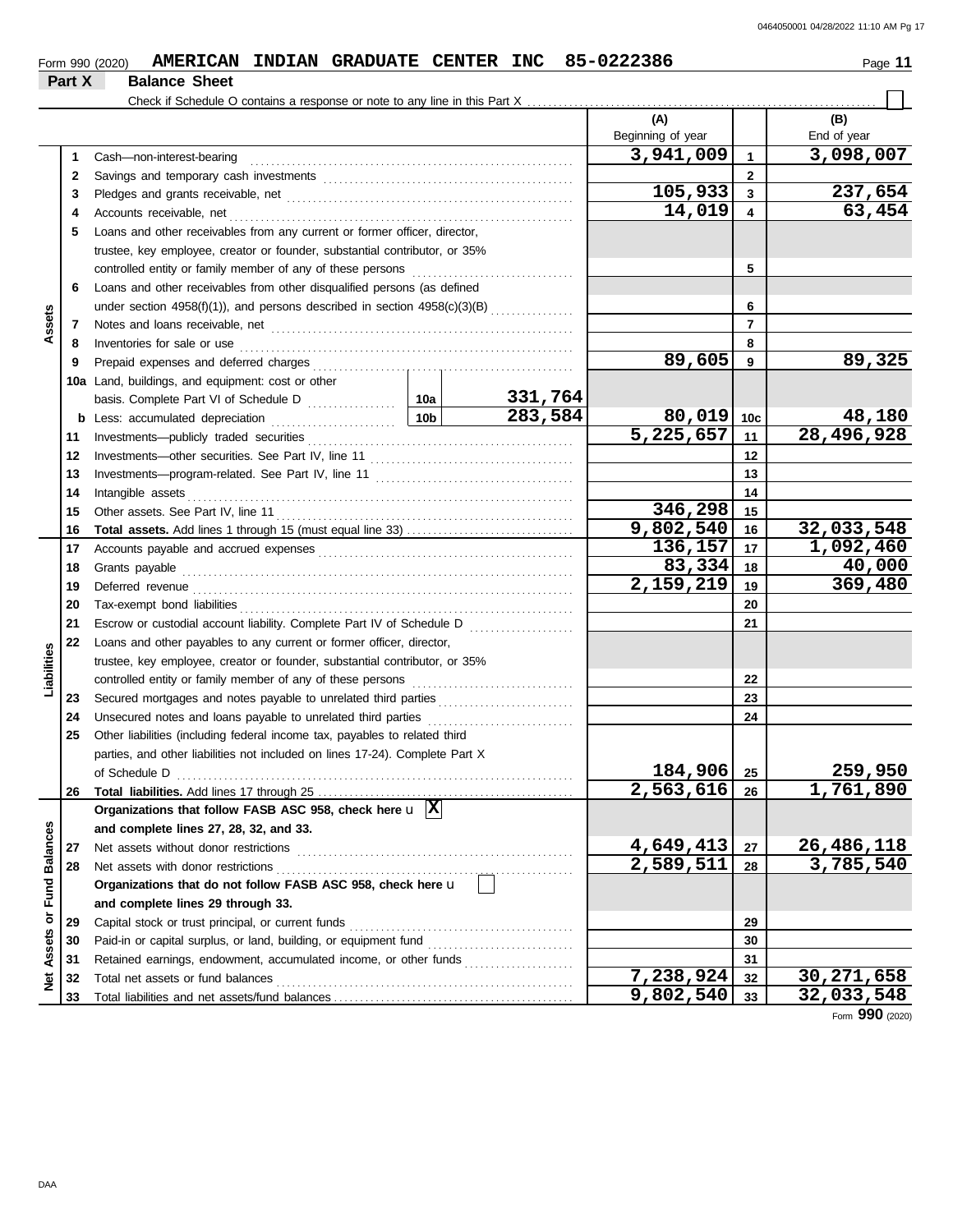|                      |        | AMERICAN INDIAN GRADUATE CENTER INC 85-0222386<br>Form 990 (2020)                                                                                                                                                                   |         |                           |                 | Page 11            |
|----------------------|--------|-------------------------------------------------------------------------------------------------------------------------------------------------------------------------------------------------------------------------------------|---------|---------------------------|-----------------|--------------------|
|                      | Part X | <b>Balance Sheet</b>                                                                                                                                                                                                                |         |                           |                 |                    |
|                      |        | Check if Schedule O contains a response or note to any line in this Part X.                                                                                                                                                         |         |                           |                 |                    |
|                      |        |                                                                                                                                                                                                                                     |         | (A)<br>Beginning of year  |                 | (B)<br>End of year |
|                      |        | Cash-non-interest-bearing                                                                                                                                                                                                           |         | 3,941,009                 | 1               | 3,098,007          |
|                      | 1<br>2 |                                                                                                                                                                                                                                     |         |                           | $\mathbf{2}$    |                    |
|                      | 3      |                                                                                                                                                                                                                                     |         | 105,933                   | $\mathbf{3}$    | 237,654            |
|                      | 4      |                                                                                                                                                                                                                                     | 14,019  | $\overline{\mathbf{4}}$   | 63,454          |                    |
|                      | 5      | Loans and other receivables from any current or former officer, director,                                                                                                                                                           |         |                           |                 |                    |
|                      |        | trustee, key employee, creator or founder, substantial contributor, or 35%                                                                                                                                                          |         |                           |                 |                    |
|                      |        |                                                                                                                                                                                                                                     |         |                           | 5               |                    |
|                      | 6      | Loans and other receivables from other disqualified persons (as defined                                                                                                                                                             |         |                           |                 |                    |
|                      |        | under section 4958(f)(1)), and persons described in section 4958(c)(3)(B)                                                                                                                                                           |         |                           | 6               |                    |
| ssets                | 7      |                                                                                                                                                                                                                                     |         |                           | $\overline{7}$  |                    |
|                      | 8      | Inventories for sale or use <i>communication</i> and the contract of the contract of the contract of the contract of the contract of the contract of the contract of the contract of the contract of the contract of the contract o |         |                           | 8               |                    |
|                      | 9      |                                                                                                                                                                                                                                     |         | 89,605                    | 9               | 89,325             |
|                      |        | 10a Land, buildings, and equipment: cost or other                                                                                                                                                                                   |         |                           |                 |                    |
|                      |        |                                                                                                                                                                                                                                     | 331,764 |                           |                 |                    |
|                      |        |                                                                                                                                                                                                                                     | 283,584 | 80,019                    | 10 <sub>c</sub> | 48,180             |
|                      | 11     |                                                                                                                                                                                                                                     |         | 5,225,657                 | 11              | 28, 496, 928       |
|                      | 12     |                                                                                                                                                                                                                                     |         | 12                        |                 |                    |
|                      | 13     |                                                                                                                                                                                                                                     |         | 13                        |                 |                    |
|                      | 14     |                                                                                                                                                                                                                                     |         |                           | 14              |                    |
|                      | 15     |                                                                                                                                                                                                                                     |         | 346,298                   | 15              |                    |
|                      | 16     |                                                                                                                                                                                                                                     |         | 9,802,540                 | 16              | 32,033,548         |
|                      | 17     |                                                                                                                                                                                                                                     |         | 136,157                   | 17              | 1,092,460          |
|                      | 18     |                                                                                                                                                                                                                                     |         | 83,334                    | 18              | 40,000             |
|                      | 19     |                                                                                                                                                                                                                                     |         | 2,159,219                 | 19              | 369,480            |
|                      | 20     |                                                                                                                                                                                                                                     |         |                           | 20              |                    |
|                      | 21     | Escrow or custodial account liability. Complete Part IV of Schedule D                                                                                                                                                               |         |                           | 21              |                    |
|                      | 22     | Loans and other payables to any current or former officer, director,                                                                                                                                                                |         |                           |                 |                    |
| Liabilities          |        | trustee, key employee, creator or founder, substantial contributor, or 35%                                                                                                                                                          |         |                           |                 |                    |
|                      |        |                                                                                                                                                                                                                                     |         |                           | 22              |                    |
|                      | 23     |                                                                                                                                                                                                                                     |         |                           | 23              |                    |
|                      | 24     |                                                                                                                                                                                                                                     |         |                           | 24              |                    |
|                      | 25     | Other liabilities (including federal income tax, payables to related third                                                                                                                                                          |         |                           |                 |                    |
|                      |        | parties, and other liabilities not included on lines 17-24). Complete Part X                                                                                                                                                        |         |                           |                 |                    |
|                      |        | of Schedule D                                                                                                                                                                                                                       |         | 184,906                   | 25              | 259,950            |
|                      | 26     |                                                                                                                                                                                                                                     |         | 2,563,616                 | 26              | 1,761,890          |
|                      |        | Organizations that follow FASB ASC 958, check here $\mathbf{u}$ $\overline{X}$                                                                                                                                                      |         |                           |                 |                    |
| <b>Fund Balances</b> |        | and complete lines 27, 28, 32, and 33.                                                                                                                                                                                              |         |                           |                 |                    |
|                      | 27     |                                                                                                                                                                                                                                     |         | 4,649,413                 | 27              | 26,486,118         |
|                      | 28     |                                                                                                                                                                                                                                     |         | $\overline{2}$ , 589, 511 | 28              | 3,785,540          |
|                      |        | Organizations that do not follow FASB ASC 958, check here u                                                                                                                                                                         |         |                           |                 |                    |
|                      |        | and complete lines 29 through 33.                                                                                                                                                                                                   |         |                           |                 |                    |
| ŏ                    | 29     |                                                                                                                                                                                                                                     |         |                           | 29              |                    |
| Assets               | 30     |                                                                                                                                                                                                                                     |         |                           | 30              |                    |
|                      | 31     | Retained earnings, endowment, accumulated income, or other funds                                                                                                                                                                    |         |                           | 31              |                    |
| <b>Net</b>           | 32     |                                                                                                                                                                                                                                     |         | 7,238,924                 | 32              | 30,271,658         |
|                      | 33     |                                                                                                                                                                                                                                     |         | 9,802,540                 | 33              | 32,033,548         |

Form **990** (2020)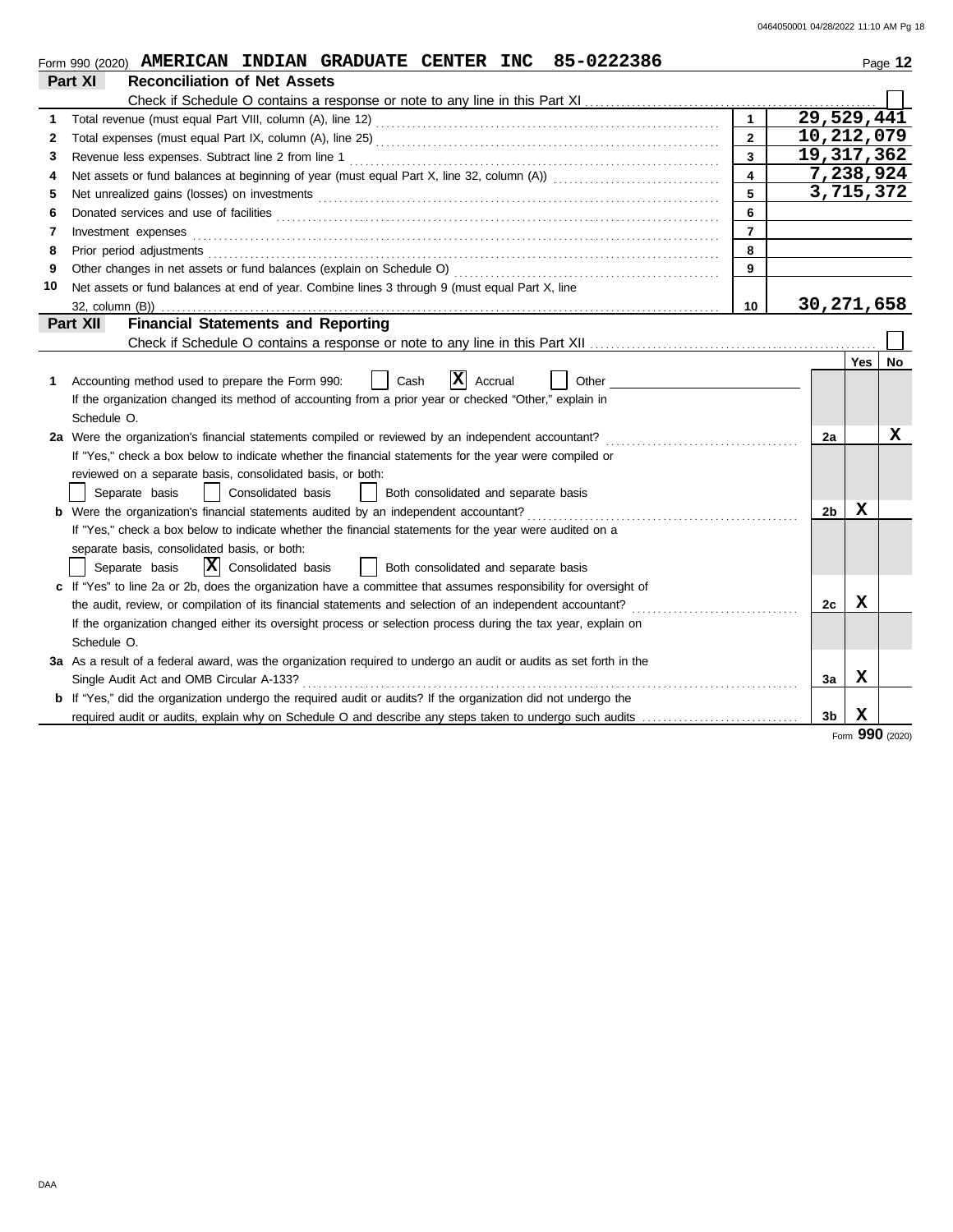|    | 85-0222386<br>Form 990 (2020) AMERICAN INDIAN GRADUATE CENTER INC                                                              |                         |                            |     | Page 12 |
|----|--------------------------------------------------------------------------------------------------------------------------------|-------------------------|----------------------------|-----|---------|
|    | Part XI<br><b>Reconciliation of Net Assets</b>                                                                                 |                         |                            |     |         |
|    |                                                                                                                                |                         |                            |     |         |
| 1  |                                                                                                                                |                         | $\overline{29,529,441}$    |     |         |
| 2  |                                                                                                                                | $\overline{2}$          | $\overline{10}$ , 212, 079 |     |         |
| 3  | Revenue less expenses. Subtract line 2 from line 1                                                                             | $\overline{\mathbf{3}}$ | 19, 317, 362               |     |         |
| 4  |                                                                                                                                | $\overline{\mathbf{4}}$ | 7,238,924                  |     |         |
| 5  |                                                                                                                                | 5                       | $\overline{3,715,372}$     |     |         |
| 6  | Donated services and use of facilities <b>constructs</b> and the service of facilities <b>constructs</b> and use of facilities | 6                       |                            |     |         |
| 7  | Investment expenses                                                                                                            | $\overline{7}$          |                            |     |         |
| 8  | Prior period adjustments                                                                                                       | 8                       |                            |     |         |
| 9  |                                                                                                                                | 9                       |                            |     |         |
| 10 | Net assets or fund balances at end of year. Combine lines 3 through 9 (must equal Part X, line                                 |                         |                            |     |         |
|    | 32, column (B))                                                                                                                | 10                      | 30,271,658                 |     |         |
|    | <b>Financial Statements and Reporting</b><br>Part XII                                                                          |                         |                            |     |         |
|    |                                                                                                                                |                         |                            |     |         |
|    |                                                                                                                                |                         |                            | Yes | No.     |
| 1  | ΙX<br>Accrual<br>Other<br>Accounting method used to prepare the Form 990:<br>Cash                                              |                         |                            |     |         |
|    | If the organization changed its method of accounting from a prior year or checked "Other," explain in                          |                         |                            |     |         |
|    | Schedule O.                                                                                                                    |                         |                            |     |         |
|    | 2a Were the organization's financial statements compiled or reviewed by an independent accountant?                             |                         | 2a                         |     | x       |
|    | If "Yes," check a box below to indicate whether the financial statements for the year were compiled or                         |                         |                            |     |         |
|    | reviewed on a separate basis, consolidated basis, or both:                                                                     |                         |                            |     |         |
|    | Separate basis<br>Consolidated basis<br>Both consolidated and separate basis                                                   |                         |                            |     |         |
|    | <b>b</b> Were the organization's financial statements audited by an independent accountant?                                    |                         | 2 <sub>b</sub>             | x   |         |
|    | If "Yes," check a box below to indicate whether the financial statements for the year were audited on a                        |                         |                            |     |         |
|    | separate basis, consolidated basis, or both:                                                                                   |                         |                            |     |         |
|    | $ \mathbf{X} $ Consolidated basis<br>  Both consolidated and separate basis<br>Separate basis                                  |                         |                            |     |         |
|    | c If "Yes" to line 2a or 2b, does the organization have a committee that assumes responsibility for oversight of               |                         |                            |     |         |
|    | the audit, review, or compilation of its financial statements and selection of an independent accountant?                      |                         | 2c                         | X   |         |
|    | If the organization changed either its oversight process or selection process during the tax year, explain on                  |                         |                            |     |         |
|    | Schedule O.                                                                                                                    |                         |                            |     |         |
|    | 3a As a result of a federal award, was the organization required to undergo an audit or audits as set forth in the             |                         |                            |     |         |
|    | Single Audit Act and OMB Circular A-133?                                                                                       |                         | 3a                         | X   |         |
|    | <b>b</b> If "Yes," did the organization undergo the required audit or audits? If the organization did not undergo the          |                         |                            |     |         |
|    |                                                                                                                                |                         | 3 <sub>b</sub>             | X   |         |

Form **990** (2020)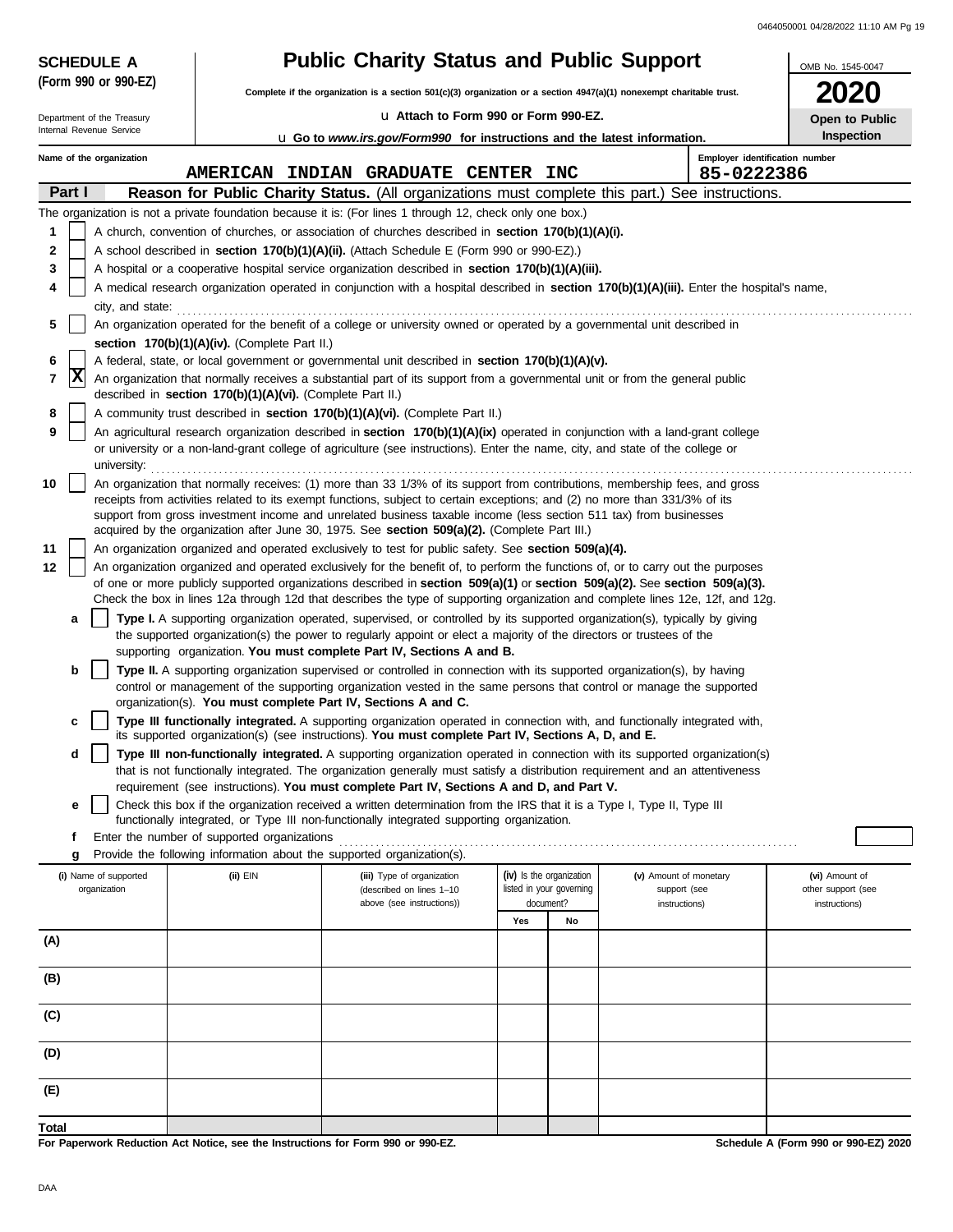0464050001 04/28/2022 11:10 AM Pg 19

| <b>SCHEDULE A</b>                                                                                                      |                                                                                  | <b>Public Charity Status and Public Support</b>                                                                                                                                                                                                                                                                                                                                                            |                                                                                                                        |                                                                   |                                                         |      | OMB No. 1545-0047                                     |  |
|------------------------------------------------------------------------------------------------------------------------|----------------------------------------------------------------------------------|------------------------------------------------------------------------------------------------------------------------------------------------------------------------------------------------------------------------------------------------------------------------------------------------------------------------------------------------------------------------------------------------------------|------------------------------------------------------------------------------------------------------------------------|-------------------------------------------------------------------|---------------------------------------------------------|------|-------------------------------------------------------|--|
| (Form 990 or 990-EZ)                                                                                                   |                                                                                  |                                                                                                                                                                                                                                                                                                                                                                                                            | Complete if the organization is a section 501(c)(3) organization or a section $4947(a)(1)$ nonexempt charitable trust. |                                                                   |                                                         |      |                                                       |  |
| u Attach to Form 990 or Form 990-EZ.<br>Department of the Treasury                                                     |                                                                                  |                                                                                                                                                                                                                                                                                                                                                                                                            |                                                                                                                        |                                                                   |                                                         | 2020 |                                                       |  |
| Internal Revenue Service<br><b>u</b> Go to <i>www.irs.gov/Form990</i> for instructions and the latest information.     |                                                                                  |                                                                                                                                                                                                                                                                                                                                                                                                            |                                                                                                                        |                                                                   | Open to Public<br>Inspection                            |      |                                                       |  |
| Employer identification number<br>Name of the organization<br>85-0222386<br><b>AMERICAN INDIAN GRADUATE CENTER INC</b> |                                                                                  |                                                                                                                                                                                                                                                                                                                                                                                                            |                                                                                                                        |                                                                   |                                                         |      |                                                       |  |
| Part I                                                                                                                 |                                                                                  | Reason for Public Charity Status. (All organizations must complete this part.) See instructions.                                                                                                                                                                                                                                                                                                           |                                                                                                                        |                                                                   |                                                         |      |                                                       |  |
|                                                                                                                        |                                                                                  | The organization is not a private foundation because it is: (For lines 1 through 12, check only one box.)                                                                                                                                                                                                                                                                                                  |                                                                                                                        |                                                                   |                                                         |      |                                                       |  |
| 1                                                                                                                      |                                                                                  | A church, convention of churches, or association of churches described in <b>section 170(b)(1)(A)(i).</b>                                                                                                                                                                                                                                                                                                  |                                                                                                                        |                                                                   |                                                         |      |                                                       |  |
| 2                                                                                                                      |                                                                                  | A school described in section 170(b)(1)(A)(ii). (Attach Schedule E (Form 990 or 990-EZ).)                                                                                                                                                                                                                                                                                                                  |                                                                                                                        |                                                                   |                                                         |      |                                                       |  |
| 3                                                                                                                      |                                                                                  | A hospital or a cooperative hospital service organization described in section 170(b)(1)(A)(iii).                                                                                                                                                                                                                                                                                                          |                                                                                                                        |                                                                   |                                                         |      |                                                       |  |
| 4                                                                                                                      |                                                                                  | A medical research organization operated in conjunction with a hospital described in section 170(b)(1)(A)(iii). Enter the hospital's name,                                                                                                                                                                                                                                                                 |                                                                                                                        |                                                                   |                                                         |      |                                                       |  |
|                                                                                                                        |                                                                                  | city, and state: <b>contract the state of the state of the state of the state of the state of the state of the state of the state of the state of the state of the state of the state of the state of the state of the state of </b>                                                                                                                                                                       |                                                                                                                        |                                                                   |                                                         |      |                                                       |  |
| 5                                                                                                                      |                                                                                  | An organization operated for the benefit of a college or university owned or operated by a governmental unit described in                                                                                                                                                                                                                                                                                  |                                                                                                                        |                                                                   |                                                         |      |                                                       |  |
| 6                                                                                                                      | section 170(b)(1)(A)(iv). (Complete Part II.)                                    | A federal, state, or local government or governmental unit described in section 170(b)(1)(A)(v).                                                                                                                                                                                                                                                                                                           |                                                                                                                        |                                                                   |                                                         |      |                                                       |  |
| X<br>7                                                                                                                 |                                                                                  | An organization that normally receives a substantial part of its support from a governmental unit or from the general public                                                                                                                                                                                                                                                                               |                                                                                                                        |                                                                   |                                                         |      |                                                       |  |
|                                                                                                                        | described in section 170(b)(1)(A)(vi). (Complete Part II.)                       |                                                                                                                                                                                                                                                                                                                                                                                                            |                                                                                                                        |                                                                   |                                                         |      |                                                       |  |
| 8                                                                                                                      |                                                                                  | A community trust described in section 170(b)(1)(A)(vi). (Complete Part II.)                                                                                                                                                                                                                                                                                                                               |                                                                                                                        |                                                                   |                                                         |      |                                                       |  |
| 9<br>university:                                                                                                       |                                                                                  | An agricultural research organization described in section 170(b)(1)(A)(ix) operated in conjunction with a land-grant college<br>or university or a non-land-grant college of agriculture (see instructions). Enter the name, city, and state of the college or                                                                                                                                            |                                                                                                                        |                                                                   |                                                         |      |                                                       |  |
| 10                                                                                                                     |                                                                                  | An organization that normally receives: (1) more than 33 1/3% of its support from contributions, membership fees, and gross<br>receipts from activities related to its exempt functions, subject to certain exceptions; and (2) no more than 331/3% of its                                                                                                                                                 |                                                                                                                        |                                                                   |                                                         |      |                                                       |  |
|                                                                                                                        |                                                                                  | support from gross investment income and unrelated business taxable income (less section 511 tax) from businesses<br>acquired by the organization after June 30, 1975. See section 509(a)(2). (Complete Part III.)                                                                                                                                                                                         |                                                                                                                        |                                                                   |                                                         |      |                                                       |  |
| 11                                                                                                                     |                                                                                  | An organization organized and operated exclusively to test for public safety. See section 509(a)(4).                                                                                                                                                                                                                                                                                                       |                                                                                                                        |                                                                   |                                                         |      |                                                       |  |
| 12                                                                                                                     |                                                                                  | An organization organized and operated exclusively for the benefit of, to perform the functions of, or to carry out the purposes<br>of one or more publicly supported organizations described in section $509(a)(1)$ or section $509(a)(2)$ . See section $509(a)(3)$ .<br>Check the box in lines 12a through 12d that describes the type of supporting organization and complete lines 12e, 12f, and 12g. |                                                                                                                        |                                                                   |                                                         |      |                                                       |  |
| a                                                                                                                      |                                                                                  | Type I. A supporting organization operated, supervised, or controlled by its supported organization(s), typically by giving<br>the supported organization(s) the power to regularly appoint or elect a majority of the directors or trustees of the                                                                                                                                                        |                                                                                                                        |                                                                   |                                                         |      |                                                       |  |
|                                                                                                                        |                                                                                  | supporting organization. You must complete Part IV, Sections A and B.                                                                                                                                                                                                                                                                                                                                      |                                                                                                                        |                                                                   |                                                         |      |                                                       |  |
| b                                                                                                                      |                                                                                  | <b>Type II.</b> A supporting organization supervised or controlled in connection with its supported organization(s), by having<br>control or management of the supporting organization vested in the same persons that control or manage the supported<br>organization(s). You must complete Part IV, Sections A and C.                                                                                    |                                                                                                                        |                                                                   |                                                         |      |                                                       |  |
| c                                                                                                                      |                                                                                  | Type III functionally integrated. A supporting organization operated in connection with, and functionally integrated with,<br>its supported organization(s) (see instructions). You must complete Part IV, Sections A, D, and E.                                                                                                                                                                           |                                                                                                                        |                                                                   |                                                         |      |                                                       |  |
| d                                                                                                                      |                                                                                  | Type III non-functionally integrated. A supporting organization operated in connection with its supported organization(s)<br>that is not functionally integrated. The organization generally must satisfy a distribution requirement and an attentiveness                                                                                                                                                  |                                                                                                                        |                                                                   |                                                         |      |                                                       |  |
|                                                                                                                        |                                                                                  | requirement (see instructions). You must complete Part IV, Sections A and D, and Part V.                                                                                                                                                                                                                                                                                                                   |                                                                                                                        |                                                                   |                                                         |      |                                                       |  |
| е                                                                                                                      |                                                                                  | Check this box if the organization received a written determination from the IRS that it is a Type I, Type II, Type III<br>functionally integrated, or Type III non-functionally integrated supporting organization.                                                                                                                                                                                       |                                                                                                                        |                                                                   |                                                         |      |                                                       |  |
| f                                                                                                                      | Enter the number of supported organizations                                      |                                                                                                                                                                                                                                                                                                                                                                                                            |                                                                                                                        |                                                                   |                                                         |      |                                                       |  |
| g                                                                                                                      |                                                                                  | Provide the following information about the supported organization(s).                                                                                                                                                                                                                                                                                                                                     |                                                                                                                        |                                                                   |                                                         |      |                                                       |  |
| (i) Name of supported<br>organization                                                                                  | (ii) EIN                                                                         | (iii) Type of organization<br>(described on lines 1-10<br>above (see instructions))                                                                                                                                                                                                                                                                                                                        |                                                                                                                        | (iv) Is the organization<br>listed in your governing<br>document? | (v) Amount of monetary<br>support (see<br>instructions) |      | (vi) Amount of<br>other support (see<br>instructions) |  |
|                                                                                                                        |                                                                                  |                                                                                                                                                                                                                                                                                                                                                                                                            | Yes                                                                                                                    | No                                                                |                                                         |      |                                                       |  |
| (A)                                                                                                                    |                                                                                  |                                                                                                                                                                                                                                                                                                                                                                                                            |                                                                                                                        |                                                                   |                                                         |      |                                                       |  |
| (B)                                                                                                                    |                                                                                  |                                                                                                                                                                                                                                                                                                                                                                                                            |                                                                                                                        |                                                                   |                                                         |      |                                                       |  |
| (C)                                                                                                                    |                                                                                  |                                                                                                                                                                                                                                                                                                                                                                                                            |                                                                                                                        |                                                                   |                                                         |      |                                                       |  |
| (D)                                                                                                                    |                                                                                  |                                                                                                                                                                                                                                                                                                                                                                                                            |                                                                                                                        |                                                                   |                                                         |      |                                                       |  |
| (E)                                                                                                                    |                                                                                  |                                                                                                                                                                                                                                                                                                                                                                                                            |                                                                                                                        |                                                                   |                                                         |      |                                                       |  |
| Total                                                                                                                  |                                                                                  |                                                                                                                                                                                                                                                                                                                                                                                                            |                                                                                                                        |                                                                   |                                                         |      |                                                       |  |
|                                                                                                                        | For Paperwork Reduction Act Notice, see the Instructions for Form 990 or 990-EZ. |                                                                                                                                                                                                                                                                                                                                                                                                            |                                                                                                                        |                                                                   |                                                         |      | Schedule A (Form 990 or 990-EZ) 2020                  |  |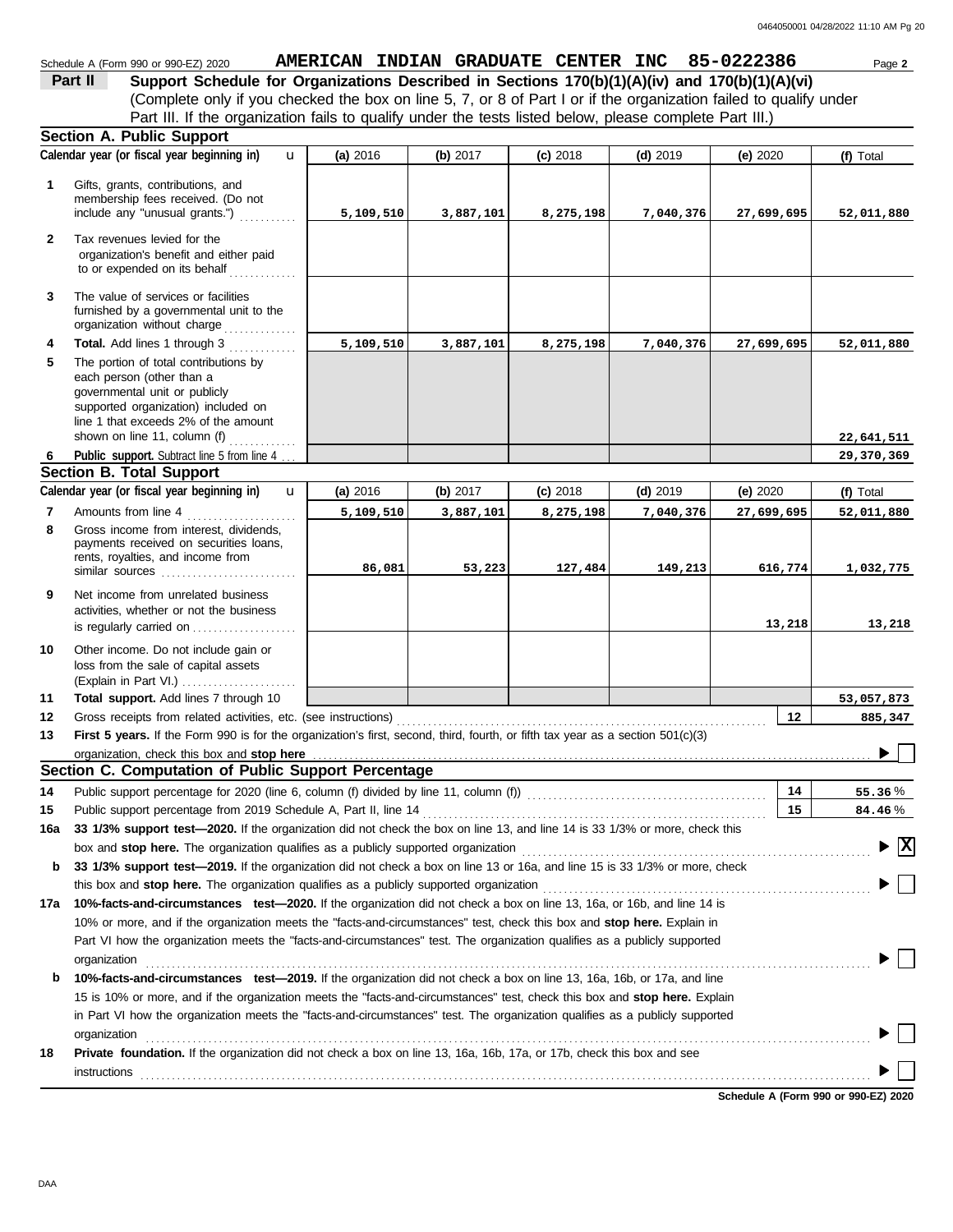# Schedule A (Form 990 or 990-EZ) 2020 **AMERICAN INDIAN GRADUATE CENTER INC** 85-0222386 Page 2 **Part II** Support Schedule for Organizations Described in Sections 170(b)(1)(A)(iv) and 170(b)(1)(A)(vi)

(Complete only if you checked the box on line 5, 7, or 8 of Part I or if the organization failed to qualify under Part III. If the organization fails to qualify under the tests listed below, please complete Part III.)

|              | <b>Section A. Public Support</b>                                                                                                                                                                                                                     |           |           |            |            |            |                                      |
|--------------|------------------------------------------------------------------------------------------------------------------------------------------------------------------------------------------------------------------------------------------------------|-----------|-----------|------------|------------|------------|--------------------------------------|
|              | Calendar year (or fiscal year beginning in)<br>$\mathbf{u}$                                                                                                                                                                                          | (a) 2016  | (b) 2017  | $(c)$ 2018 | $(d)$ 2019 | (e) 2020   | (f) Total                            |
| 1            | Gifts, grants, contributions, and<br>membership fees received. (Do not<br>include any "unusual grants.")                                                                                                                                             | 5,109,510 | 3,887,101 | 8,275,198  | 7,040,376  | 27,699,695 | 52,011,880                           |
| $\mathbf{2}$ | Tax revenues levied for the<br>organization's benefit and either paid<br>to or expended on its behalf                                                                                                                                                |           |           |            |            |            |                                      |
| 3            | The value of services or facilities<br>furnished by a governmental unit to the<br>organization without charge<br>.                                                                                                                                   |           |           |            |            |            |                                      |
| 4            | Total. Add lines 1 through 3                                                                                                                                                                                                                         | 5,109,510 | 3,887,101 | 8,275,198  | 7,040,376  | 27,699,695 | 52,011,880                           |
| 5            | The portion of total contributions by<br>each person (other than a<br>governmental unit or publicly<br>supported organization) included on<br>line 1 that exceeds 2% of the amount<br>shown on line 11, column (f)                                   |           |           |            |            |            | 22,641,511                           |
| 6            | Public support. Subtract line 5 from line 4.                                                                                                                                                                                                         |           |           |            |            |            | 29,370,369                           |
|              | <b>Section B. Total Support</b>                                                                                                                                                                                                                      |           |           |            |            |            |                                      |
|              | Calendar year (or fiscal year beginning in)<br>$\mathbf{u}$                                                                                                                                                                                          | (a) 2016  | (b) 2017  | $(c)$ 2018 | $(d)$ 2019 | (e) 2020   | (f) Total                            |
| 7            | Amounts from line 4                                                                                                                                                                                                                                  | 5,109,510 | 3,887,101 | 8,275,198  | 7,040,376  | 27,699,695 | 52,011,880                           |
| 8            | Gross income from interest, dividends.<br>payments received on securities loans,<br>rents, royalties, and income from<br>similar sources                                                                                                             | 86,081    | 53,223    | 127,484    | 149,213    | 616,774    | 1,032,775                            |
| 9            | Net income from unrelated business<br>activities, whether or not the business<br>is regularly carried on                                                                                                                                             |           |           |            |            | 13,218     | 13,218                               |
| 10           | Other income. Do not include gain or<br>loss from the sale of capital assets<br>(Explain in Part VI.)                                                                                                                                                |           |           |            |            |            |                                      |
| 11           | Total support. Add lines 7 through 10                                                                                                                                                                                                                |           |           |            |            |            | 53,057,873                           |
| 12           | Gross receipts from related activities, etc. (see instructions)                                                                                                                                                                                      |           |           |            |            | 12         | 885,347                              |
| 13           | First 5 years. If the Form 990 is for the organization's first, second, third, fourth, or fifth tax year as a section 501(c)(3)                                                                                                                      |           |           |            |            |            |                                      |
|              |                                                                                                                                                                                                                                                      |           |           |            |            |            |                                      |
|              | Section C. Computation of Public Support Percentage                                                                                                                                                                                                  |           |           |            |            |            |                                      |
| 14           |                                                                                                                                                                                                                                                      |           |           |            |            | 14         | 55.36%                               |
| 15           | 33 1/3% support test-2020. If the organization did not check the box on line 13, and line 14 is 33 1/3% or more, check this                                                                                                                          |           |           |            |            | 15         | 84.46%                               |
| 16a          |                                                                                                                                                                                                                                                      |           |           |            |            |            | $\vert$ X                            |
| b            | box and stop here. The organization qualifies as a publicly supported organization<br>33 1/3% support test-2019. If the organization did not check a box on line 13 or 16a, and line 15 is 33 1/3% or more, check                                    |           |           |            |            |            |                                      |
|              | this box and <b>stop here.</b> The organization qualifies as a publicly supported organization                                                                                                                                                       |           |           |            |            |            |                                      |
| 17a          | 10%-facts-and-circumstances test-2020. If the organization did not check a box on line 13, 16a, or 16b, and line 14 is                                                                                                                               |           |           |            |            |            |                                      |
|              | 10% or more, and if the organization meets the "facts-and-circumstances" test, check this box and stop here. Explain in<br>Part VI how the organization meets the "facts-and-circumstances" test. The organization qualifies as a publicly supported |           |           |            |            |            |                                      |
|              | organization                                                                                                                                                                                                                                         |           |           |            |            |            |                                      |
| b            | 10%-facts-and-circumstances test-2019. If the organization did not check a box on line 13, 16a, 16b, or 17a, and line                                                                                                                                |           |           |            |            |            |                                      |
|              | 15 is 10% or more, and if the organization meets the "facts-and-circumstances" test, check this box and stop here. Explain                                                                                                                           |           |           |            |            |            |                                      |
|              | in Part VI how the organization meets the "facts-and-circumstances" test. The organization qualifies as a publicly supported                                                                                                                         |           |           |            |            |            |                                      |
|              | organization                                                                                                                                                                                                                                         |           |           |            |            |            |                                      |
| 18           | Private foundation. If the organization did not check a box on line 13, 16a, 16b, 17a, or 17b, check this box and see                                                                                                                                |           |           |            |            |            |                                      |
|              | instructions                                                                                                                                                                                                                                         |           |           |            |            |            |                                      |
|              |                                                                                                                                                                                                                                                      |           |           |            |            |            | Schedule A (Form 990 or 990-EZ) 2020 |
|              |                                                                                                                                                                                                                                                      |           |           |            |            |            |                                      |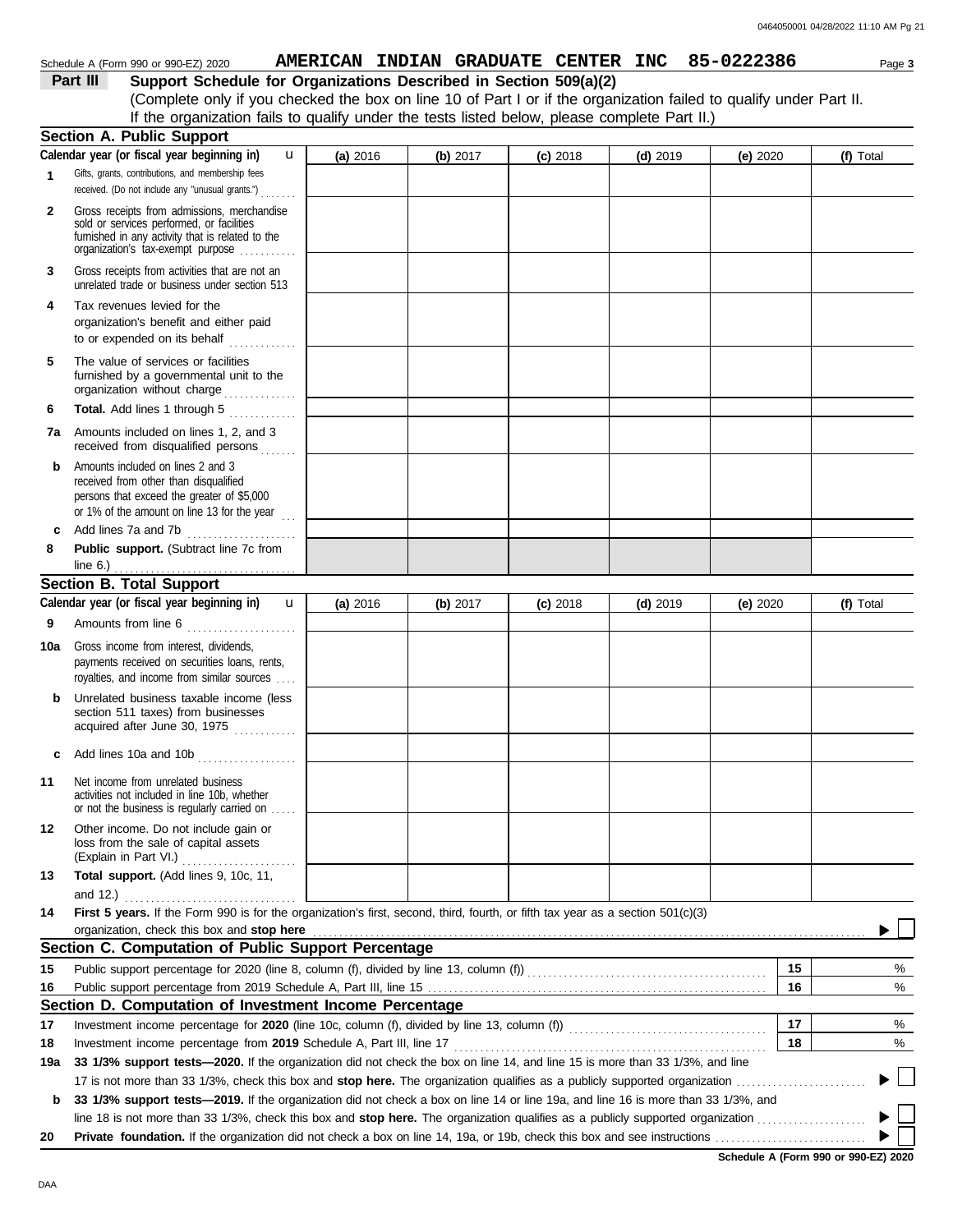|              | Schedule A (Form 990 or 990-EZ) 2020                                                                                                                                                                               |          | AMERICAN INDIAN GRADUATE CENTER INC |            |            | 85-0222386 | Page 3    |
|--------------|--------------------------------------------------------------------------------------------------------------------------------------------------------------------------------------------------------------------|----------|-------------------------------------|------------|------------|------------|-----------|
|              | Part III<br>Support Schedule for Organizations Described in Section 509(a)(2)                                                                                                                                      |          |                                     |            |            |            |           |
|              | (Complete only if you checked the box on line 10 of Part I or if the organization failed to qualify under Part II.<br>If the organization fails to qualify under the tests listed below, please complete Part II.) |          |                                     |            |            |            |           |
|              |                                                                                                                                                                                                                    |          |                                     |            |            |            |           |
|              | Section A. Public Support<br>Calendar year (or fiscal year beginning in)                                                                                                                                           |          |                                     |            |            |            |           |
| 1            | $\mathbf{u}$<br>Gifts, grants, contributions, and membership fees                                                                                                                                                  | (a) 2016 | (b) 2017                            | $(c)$ 2018 | $(d)$ 2019 | (e) 2020   | (f) Total |
|              | received. (Do not include any "unusual grants.")                                                                                                                                                                   |          |                                     |            |            |            |           |
| $\mathbf{2}$ | Gross receipts from admissions, merchandise<br>sold or services performed, or facilities<br>furnished in any activity that is related to the<br>organization's tax-exempt purpose                                  |          |                                     |            |            |            |           |
| 3            | Gross receipts from activities that are not an<br>unrelated trade or business under section 513                                                                                                                    |          |                                     |            |            |            |           |
| 4            | Tax revenues levied for the<br>organization's benefit and either paid<br>to or expended on its behalf                                                                                                              |          |                                     |            |            |            |           |
| 5            | The value of services or facilities<br>furnished by a governmental unit to the<br>organization without charge                                                                                                      |          |                                     |            |            |            |           |
| 6            | Total. Add lines 1 through 5                                                                                                                                                                                       |          |                                     |            |            |            |           |
| 7a           | Amounts included on lines 1, 2, and 3<br>received from disqualified persons                                                                                                                                        |          |                                     |            |            |            |           |
| b            | Amounts included on lines 2 and 3<br>received from other than disqualified<br>persons that exceed the greater of \$5,000<br>or 1% of the amount on line 13 for the year                                            |          |                                     |            |            |            |           |
| c            | Add lines 7a and 7b                                                                                                                                                                                                |          |                                     |            |            |            |           |
| 8            | Public support. (Subtract line 7c from<br>line 6.) $\ldots$                                                                                                                                                        |          |                                     |            |            |            |           |
|              | <b>Section B. Total Support</b>                                                                                                                                                                                    |          |                                     |            |            |            |           |
|              | Calendar year (or fiscal year beginning in)<br>$\mathbf{u}$                                                                                                                                                        | (a) 2016 | (b) 2017                            | $(c)$ 2018 | $(d)$ 2019 | (e) 2020   | (f) Total |
| 9            | Amounts from line 6                                                                                                                                                                                                |          |                                     |            |            |            |           |
| 10a          | Gross income from interest, dividends,<br>payments received on securities loans, rents,<br>royalties, and income from similar sources                                                                              |          |                                     |            |            |            |           |
| b            | Unrelated business taxable income (less<br>section 511 taxes) from businesses<br>acquired after June 30, 1975                                                                                                      |          |                                     |            |            |            |           |
|              | Add lines 10a and 10b                                                                                                                                                                                              |          |                                     |            |            |            |           |
| 11           | Net income from unrelated business<br>activities not included in line 10b, whether<br>or not the business is regularly carried on                                                                                  |          |                                     |            |            |            |           |
| 12           | Other income. Do not include gain or<br>loss from the sale of capital assets<br>(Explain in Part VI.)                                                                                                              |          |                                     |            |            |            |           |
| 13           | Total support. (Add lines 9, 10c, 11,                                                                                                                                                                              |          |                                     |            |            |            |           |
| 14           | and 12.) $\ldots$<br>First 5 years. If the Form 990 is for the organization's first, second, third, fourth, or fifth tax year as a section 501(c)(3)                                                               |          |                                     |            |            |            |           |
|              | organization, check this box and stop here                                                                                                                                                                         |          |                                     |            |            |            |           |
|              | Section C. Computation of Public Support Percentage                                                                                                                                                                |          |                                     |            |            |            |           |
| 15           | Public support percentage for 2020 (line 8, column (f), divided by line 13, column (f)) [[[[[[[[[[[[[[[[[[[[[                                                                                                      |          |                                     |            |            | 15         | %         |
| 16           | Section D. Computation of Investment Income Percentage                                                                                                                                                             |          |                                     |            |            | 16         | %         |
| 17           |                                                                                                                                                                                                                    |          |                                     |            |            | 17         | %         |
| 18           |                                                                                                                                                                                                                    |          |                                     |            |            | 18         | %         |
| 19a          | 33 1/3% support tests—2020. If the organization did not check the box on line 14, and line 15 is more than 33 1/3%, and line                                                                                       |          |                                     |            |            |            |           |
|              |                                                                                                                                                                                                                    |          |                                     |            |            |            |           |

**b 33 1/3% support tests—2019.** If the organization did not check a box on line 14 or line 19a, and line 16 is more than 33 1/3%, and line 18 is not more than 33 1/3%, check this box and **stop here.** The organization qualifies as a publicly supported organization . . . . . . . . . . . . . . . . . . . . . Þ  $\blacktriangleright$ 

**20 Private foundation.** If the organization did not check a box on line 14, 19a, or 19b, check this box and see instructions . . . . . . . . . . . . . . . . . . . . . . . . . . . . .

**Schedule A (Form 990 or 990-EZ) 2020**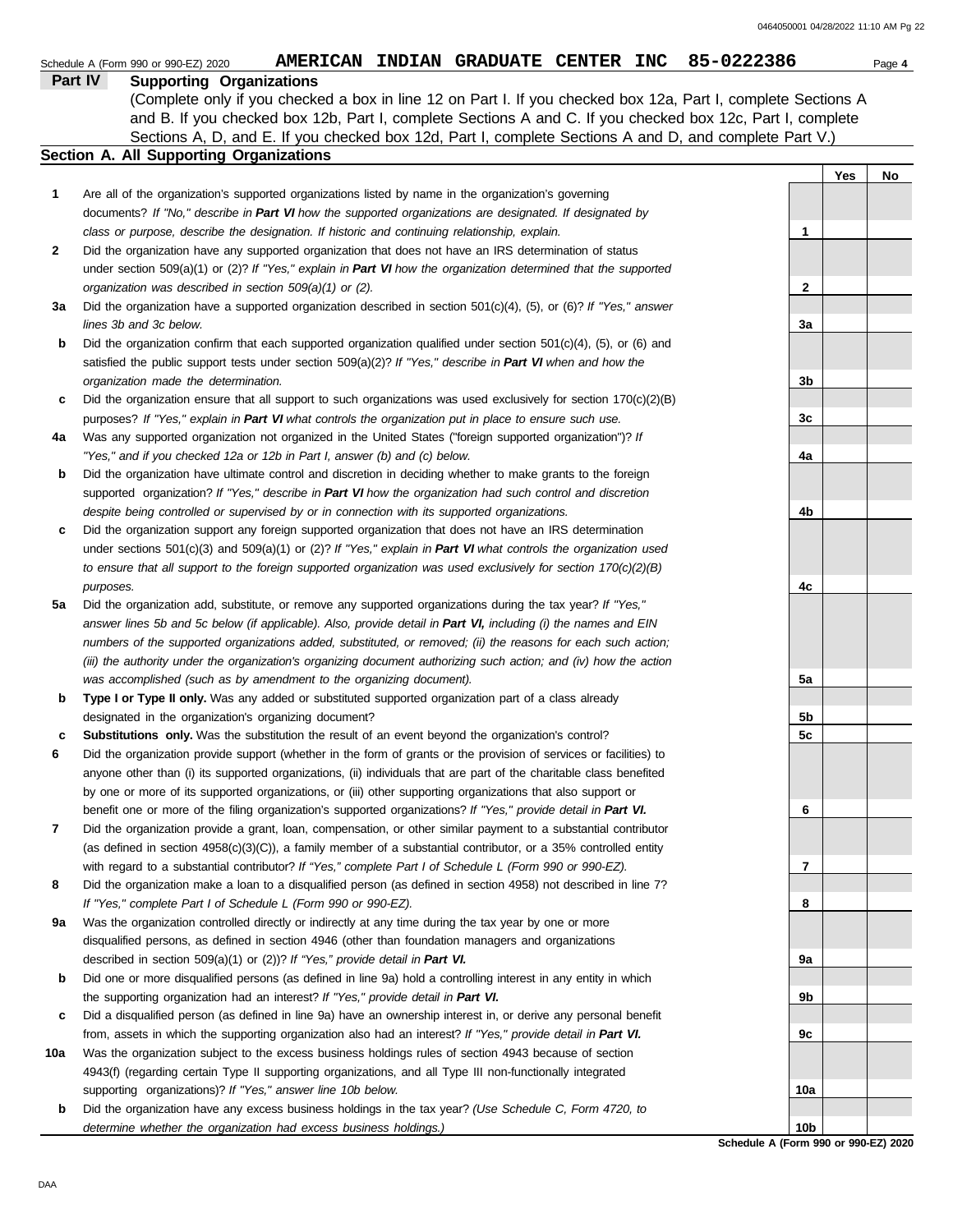|        | AMERICAN INDIAN GRADUATE CENTER INC<br>85-0222386<br>Schedule A (Form 990 or 990-EZ) 2020                                                                                                                                |                 |     | Page 4 |
|--------|--------------------------------------------------------------------------------------------------------------------------------------------------------------------------------------------------------------------------|-----------------|-----|--------|
|        | Part IV<br><b>Supporting Organizations</b>                                                                                                                                                                               |                 |     |        |
|        | (Complete only if you checked a box in line 12 on Part I. If you checked box 12a, Part I, complete Sections A                                                                                                            |                 |     |        |
|        | and B. If you checked box 12b, Part I, complete Sections A and C. If you checked box 12c, Part I, complete                                                                                                               |                 |     |        |
|        | Sections A, D, and E. If you checked box 12d, Part I, complete Sections A and D, and complete Part V.)                                                                                                                   |                 |     |        |
|        | <b>Section A. All Supporting Organizations</b>                                                                                                                                                                           |                 |     |        |
|        |                                                                                                                                                                                                                          |                 | Yes | No     |
| 1      | Are all of the organization's supported organizations listed by name in the organization's governing                                                                                                                     |                 |     |        |
|        | documents? If "No," describe in Part VI how the supported organizations are designated. If designated by                                                                                                                 |                 |     |        |
|        | class or purpose, describe the designation. If historic and continuing relationship, explain.                                                                                                                            | 1               |     |        |
| 2      | Did the organization have any supported organization that does not have an IRS determination of status                                                                                                                   |                 |     |        |
|        | under section 509(a)(1) or (2)? If "Yes," explain in Part VI how the organization determined that the supported                                                                                                          |                 |     |        |
| За     | organization was described in section 509(a)(1) or (2).<br>Did the organization have a supported organization described in section $501(c)(4)$ , (5), or (6)? If "Yes," answer                                           | $\mathbf{2}$    |     |        |
|        | lines 3b and 3c below.                                                                                                                                                                                                   | За              |     |        |
| b      | Did the organization confirm that each supported organization qualified under section $501(c)(4)$ , (5), or (6) and                                                                                                      |                 |     |        |
|        | satisfied the public support tests under section $509(a)(2)$ ? If "Yes," describe in Part VI when and how the                                                                                                            |                 |     |        |
|        | organization made the determination.                                                                                                                                                                                     | 3b              |     |        |
| c      | Did the organization ensure that all support to such organizations was used exclusively for section $170(c)(2)(B)$                                                                                                       |                 |     |        |
|        | purposes? If "Yes," explain in Part VI what controls the organization put in place to ensure such use.                                                                                                                   | 3c              |     |        |
| 4a     | Was any supported organization not organized in the United States ("foreign supported organization")? If                                                                                                                 |                 |     |        |
|        | "Yes," and if you checked 12a or 12b in Part I, answer (b) and (c) below.                                                                                                                                                | 4a              |     |        |
| b      | Did the organization have ultimate control and discretion in deciding whether to make grants to the foreign                                                                                                              |                 |     |        |
|        | supported organization? If "Yes," describe in Part VI how the organization had such control and discretion                                                                                                               |                 |     |        |
|        | despite being controlled or supervised by or in connection with its supported organizations.                                                                                                                             | 4b              |     |        |
| c      | Did the organization support any foreign supported organization that does not have an IRS determination                                                                                                                  |                 |     |        |
|        | under sections $501(c)(3)$ and $509(a)(1)$ or (2)? If "Yes," explain in Part VI what controls the organization used                                                                                                      |                 |     |        |
|        | to ensure that all support to the foreign supported organization was used exclusively for section $170(c)(2)(B)$                                                                                                         |                 |     |        |
|        | purposes.                                                                                                                                                                                                                | 4c              |     |        |
| 5a     | Did the organization add, substitute, or remove any supported organizations during the tax year? If "Yes,"                                                                                                               |                 |     |        |
|        | answer lines 5b and 5c below (if applicable). Also, provide detail in Part VI, including (i) the names and EIN                                                                                                           |                 |     |        |
|        | numbers of the supported organizations added, substituted, or removed; (ii) the reasons for each such action;                                                                                                            |                 |     |        |
|        | (iii) the authority under the organization's organizing document authorizing such action; and (iv) how the action                                                                                                        |                 |     |        |
|        | was accomplished (such as by amendment to the organizing document).                                                                                                                                                      | 5a              |     |        |
| b      | Type I or Type II only. Was any added or substituted supported organization part of a class already                                                                                                                      |                 |     |        |
|        | designated in the organization's organizing document?                                                                                                                                                                    | 5b              |     |        |
| c<br>6 | Substitutions only. Was the substitution the result of an event beyond the organization's control?<br>Did the organization provide support (whether in the form of grants or the provision of services or facilities) to | 5c              |     |        |
|        | anyone other than (i) its supported organizations, (ii) individuals that are part of the charitable class benefited                                                                                                      |                 |     |        |
|        | by one or more of its supported organizations, or (iii) other supporting organizations that also support or                                                                                                              |                 |     |        |
|        | benefit one or more of the filing organization's supported organizations? If "Yes," provide detail in Part VI.                                                                                                           | 6               |     |        |
| 7      | Did the organization provide a grant, loan, compensation, or other similar payment to a substantial contributor                                                                                                          |                 |     |        |
|        | (as defined in section $4958(c)(3)(C)$ ), a family member of a substantial contributor, or a 35% controlled entity                                                                                                       |                 |     |        |
|        | with regard to a substantial contributor? If "Yes," complete Part I of Schedule L (Form 990 or 990-EZ).                                                                                                                  | 7               |     |        |
| 8      | Did the organization make a loan to a disqualified person (as defined in section 4958) not described in line 7?                                                                                                          |                 |     |        |
|        | If "Yes," complete Part I of Schedule L (Form 990 or 990-EZ).                                                                                                                                                            | 8               |     |        |
| 9a     | Was the organization controlled directly or indirectly at any time during the tax year by one or more                                                                                                                    |                 |     |        |
|        | disqualified persons, as defined in section 4946 (other than foundation managers and organizations                                                                                                                       |                 |     |        |
|        | described in section 509(a)(1) or (2))? If "Yes," provide detail in Part VI.                                                                                                                                             | 9a              |     |        |
| b      | Did one or more disqualified persons (as defined in line 9a) hold a controlling interest in any entity in which                                                                                                          |                 |     |        |
|        | the supporting organization had an interest? If "Yes," provide detail in Part VI.                                                                                                                                        | 9b              |     |        |
| c      | Did a disqualified person (as defined in line 9a) have an ownership interest in, or derive any personal benefit                                                                                                          |                 |     |        |
|        | from, assets in which the supporting organization also had an interest? If "Yes," provide detail in Part VI.                                                                                                             | 9c              |     |        |
| 10a    | Was the organization subject to the excess business holdings rules of section 4943 because of section                                                                                                                    |                 |     |        |
|        | 4943(f) (regarding certain Type II supporting organizations, and all Type III non-functionally integrated                                                                                                                |                 |     |        |
|        | supporting organizations)? If "Yes," answer line 10b below.                                                                                                                                                              | 10a             |     |        |
| b      | Did the organization have any excess business holdings in the tax year? (Use Schedule C, Form 4720, to                                                                                                                   | 10 <sub>b</sub> |     |        |
|        | determine whether the organization had excess business holdings.)                                                                                                                                                        |                 |     |        |

**Schedule A (Form 990 or 990-EZ) 2020**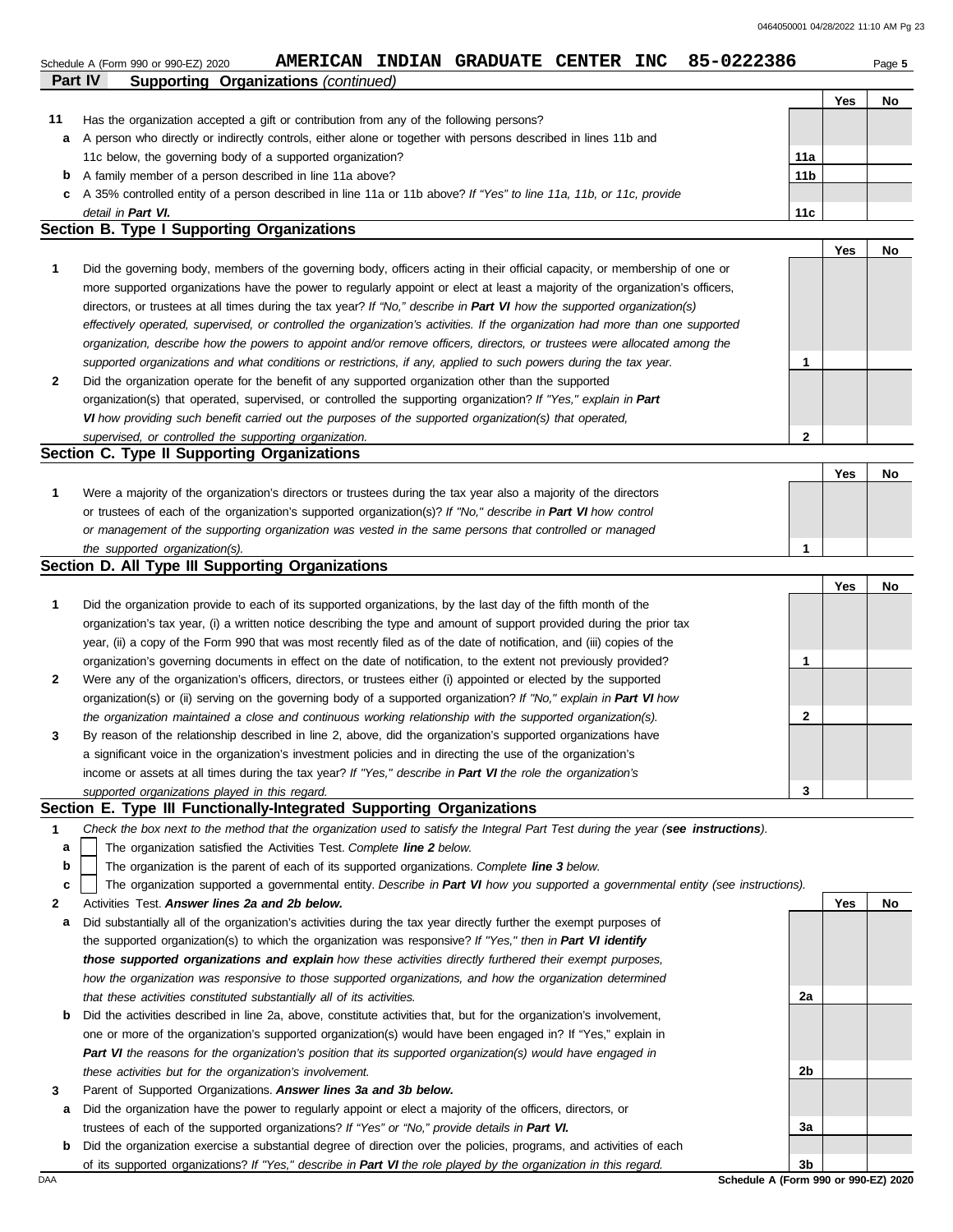**11c**

#### **Part IV Supporting Organizations** *(continued)* Schedule A (Form 990 or 990-EZ) 2020 **AMERICAN INDIAN GRADUATE CENTER INC** 85-0222386 Page 5 **Yes No 11 b** A family member of a person described in line 11a above? **a** A person who directly or indirectly controls, either alone or together with persons described in lines 11b and Has the organization accepted a gift or contribution from any of the following persons? 11c below, the governing body of a supported organization? **11a 11b**

**c** A 35% controlled entity of a person described in line 11a or 11b above? *If "Yes" to line 11a, 11b, or 11c, provide detail in Part VI.*

## **Section B. Type I Supporting Organizations**

|                |                                                                                                                                |          | Yes | No |
|----------------|--------------------------------------------------------------------------------------------------------------------------------|----------|-----|----|
| $\mathbf{1}$   | Did the governing body, members of the governing body, officers acting in their official capacity, or membership of one or     |          |     |    |
|                | more supported organizations have the power to regularly appoint or elect at least a majority of the organization's officers,  |          |     |    |
|                | directors, or trustees at all times during the tax year? If "No," describe in Part VI how the supported organization(s)        |          |     |    |
|                | effectively operated, supervised, or controlled the organization's activities. If the organization had more than one supported |          |     |    |
|                | organization, describe how the powers to appoint and/or remove officers, directors, or trustees were allocated among the       |          |     |    |
|                | supported organizations and what conditions or restrictions, if any, applied to such powers during the tax year.               |          |     |    |
| $\overline{2}$ | Did the organization operate for the benefit of any supported organization other than the supported                            |          |     |    |
|                | organization(s) that operated, supervised, or controlled the supporting organization? If "Yes," explain in Part                |          |     |    |
|                | VI how providing such benefit carried out the purposes of the supported organization(s) that operated,                         |          |     |    |
|                | supervised, or controlled the supporting organization.                                                                         | <u>ົ</u> |     |    |

#### **Section C. Type II Supporting Organizations** Were a majority of the organization's directors or trustees during the tax year also a majority of the directors or trustees of each of the organization's supported organization(s)? *If "No," describe in Part VI how control* **1** *or management of the supporting organization was vested in the same persons that controlled or managed the supported organization(s).* **Yes No 1**

### **Section D. All Type III Supporting Organizations**

*supervised, or controlled the supporting organization.*

|                |                                                                                                                        |   | Yes | No |
|----------------|------------------------------------------------------------------------------------------------------------------------|---|-----|----|
| 1              | Did the organization provide to each of its supported organizations, by the last day of the fifth month of the         |   |     |    |
|                | organization's tax year, (i) a written notice describing the type and amount of support provided during the prior tax  |   |     |    |
|                | year, (ii) a copy of the Form 990 that was most recently filed as of the date of notification, and (iii) copies of the |   |     |    |
|                | organization's governing documents in effect on the date of notification, to the extent not previously provided?       |   |     |    |
| $\overline{2}$ | Were any of the organization's officers, directors, or trustees either (i) appointed or elected by the supported       |   |     |    |
|                | organization(s) or (ii) serving on the governing body of a supported organization? If "No," explain in Part VI how     |   |     |    |
|                | the organization maintained a close and continuous working relationship with the supported organization(s).            | 2 |     |    |
| $\mathbf{3}$   | By reason of the relationship described in line 2, above, did the organization's supported organizations have          |   |     |    |
|                | a significant voice in the organization's investment policies and in directing the use of the organization's           |   |     |    |
|                | income or assets at all times during the tax year? If "Yes," describe in Part VI the role the organization's           |   |     |    |
|                | supported organizations played in this regard.                                                                         | 3 |     |    |

#### **Section E. Type III Functionally-Integrated Supporting Organizations**

| Check the box next to the method that the organization used to satisfy the Integral Part Test during the year (see instructions). |  |  |
|-----------------------------------------------------------------------------------------------------------------------------------|--|--|
|                                                                                                                                   |  |  |
|                                                                                                                                   |  |  |

The organization satisfied the Activities Test. *Complete line 2 below.* **a**

The organization is the parent of each of its supported organizations. *Complete line 3 below.* **b**

The organization supported a governmental entity. *Describe in Part VI how you supported a governmental entity (see instructions).* **c**

- **2** Activities Test. *Answer lines 2a and 2b below.*
- **a** Did substantially all of the organization's activities during the tax year directly further the exempt purposes of the supported organization(s) to which the organization was responsive? *If "Yes," then in Part VI identify those supported organizations and explain how these activities directly furthered their exempt purposes, how the organization was responsive to those supported organizations, and how the organization determined that these activities constituted substantially all of its activities.*
- **b** Did the activities described in line 2a, above, constitute activities that, but for the organization's involvement, one or more of the organization's supported organization(s) would have been engaged in? If "Yes," explain in *Part VI the reasons for the organization's position that its supported organization(s) would have engaged in these activities but for the organization's involvement.*
- **3** Parent of Supported Organizations. *Answer lines 3a and 3b below.*
- **a** Did the organization have the power to regularly appoint or elect a majority of the officers, directors, or trustees of each of the supported organizations? *If "Yes" or "No," provide details in Part VI.*
- **b** Did the organization exercise a substantial degree of direction over the policies, programs, and activities of each of its supported organizations? *If "Yes," describe in Part VI the role played by the organization in this regard.*

**Yes No 2a 2b 3a 3b**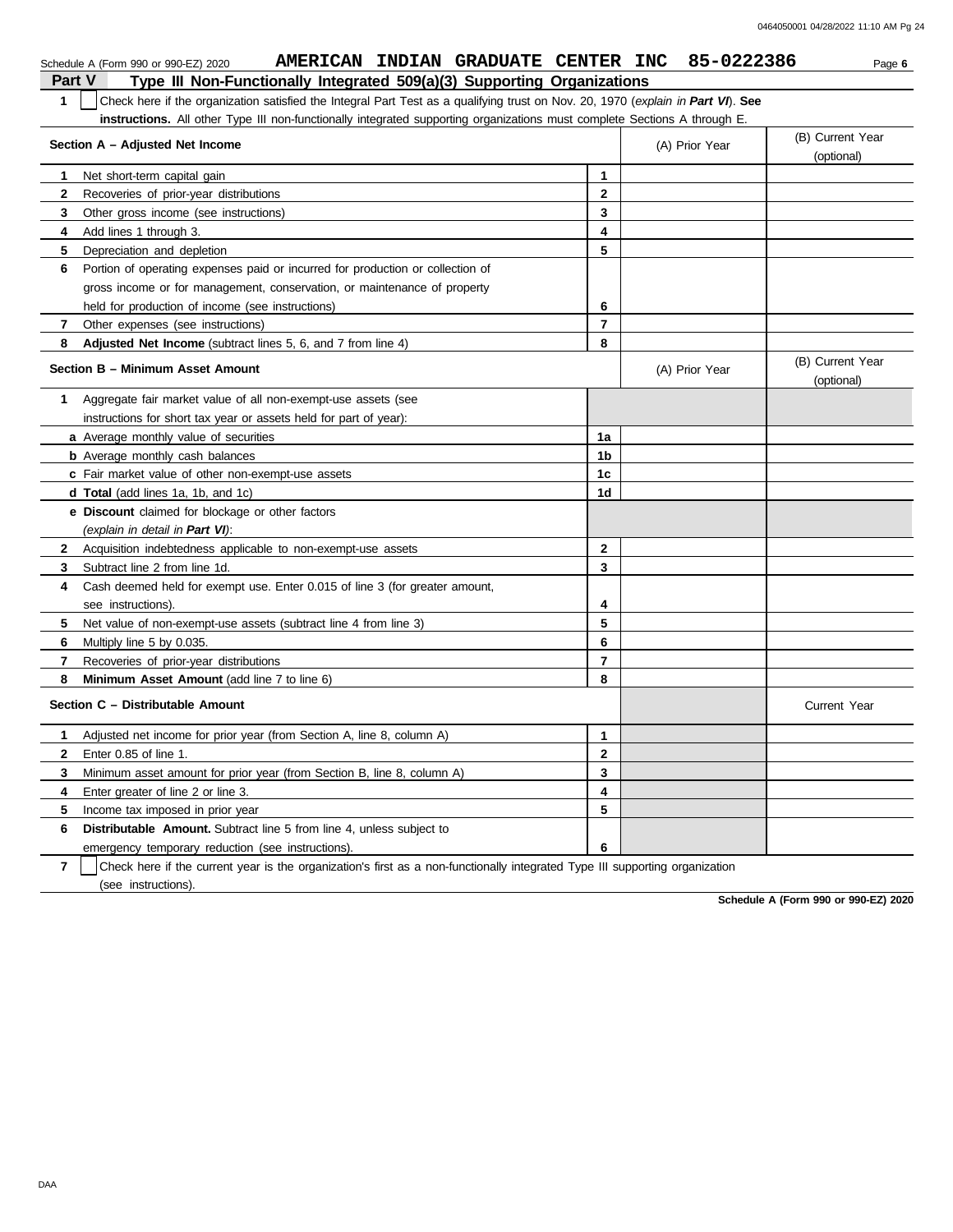|              | AMERICAN INDIAN GRADUATE CENTER INC<br>Schedule A (Form 990 or 990-EZ) 2020                                                                                                                                                                                          |                |  | 85-0222386     | Page 6                         |  |  |  |
|--------------|----------------------------------------------------------------------------------------------------------------------------------------------------------------------------------------------------------------------------------------------------------------------|----------------|--|----------------|--------------------------------|--|--|--|
| Part V       | Type III Non-Functionally Integrated 509(a)(3) Supporting Organizations                                                                                                                                                                                              |                |  |                |                                |  |  |  |
| 1            | Check here if the organization satisfied the Integral Part Test as a qualifying trust on Nov. 20, 1970 (explain in Part VI). See<br><b>instructions.</b> All other Type III non-functionally integrated supporting organizations must complete Sections A through E. |                |  |                |                                |  |  |  |
|              | (B) Current Year<br>Section A - Adjusted Net Income<br>(A) Prior Year<br>(optional)                                                                                                                                                                                  |                |  |                |                                |  |  |  |
| 1            | Net short-term capital gain                                                                                                                                                                                                                                          | 1              |  |                |                                |  |  |  |
| $\mathbf{2}$ | Recoveries of prior-year distributions                                                                                                                                                                                                                               | $\mathbf{2}$   |  |                |                                |  |  |  |
| 3            | Other gross income (see instructions)                                                                                                                                                                                                                                | 3              |  |                |                                |  |  |  |
| 4            | Add lines 1 through 3.                                                                                                                                                                                                                                               | 4              |  |                |                                |  |  |  |
| 5            | Depreciation and depletion                                                                                                                                                                                                                                           | 5              |  |                |                                |  |  |  |
| 6            | Portion of operating expenses paid or incurred for production or collection of                                                                                                                                                                                       |                |  |                |                                |  |  |  |
|              | gross income or for management, conservation, or maintenance of property                                                                                                                                                                                             |                |  |                |                                |  |  |  |
|              | held for production of income (see instructions)                                                                                                                                                                                                                     | 6              |  |                |                                |  |  |  |
| 7            | Other expenses (see instructions)                                                                                                                                                                                                                                    | $\overline{7}$ |  |                |                                |  |  |  |
| 8            | <b>Adjusted Net Income</b> (subtract lines 5, 6, and 7 from line 4)                                                                                                                                                                                                  | 8              |  |                |                                |  |  |  |
|              | Section B - Minimum Asset Amount                                                                                                                                                                                                                                     |                |  | (A) Prior Year | (B) Current Year<br>(optional) |  |  |  |
| 1            | Aggregate fair market value of all non-exempt-use assets (see                                                                                                                                                                                                        |                |  |                |                                |  |  |  |
|              | instructions for short tax year or assets held for part of year):                                                                                                                                                                                                    |                |  |                |                                |  |  |  |
|              | <b>a</b> Average monthly value of securities                                                                                                                                                                                                                         | 1a             |  |                |                                |  |  |  |
|              | <b>b</b> Average monthly cash balances                                                                                                                                                                                                                               | 1b             |  |                |                                |  |  |  |
|              | c Fair market value of other non-exempt-use assets                                                                                                                                                                                                                   | 1c             |  |                |                                |  |  |  |
|              | <b>d Total</b> (add lines 1a, 1b, and 1c)                                                                                                                                                                                                                            | 1d             |  |                |                                |  |  |  |
|              | <b>e</b> Discount claimed for blockage or other factors<br>(explain in detail in Part VI):                                                                                                                                                                           |                |  |                |                                |  |  |  |
| $\mathbf{2}$ | Acquisition indebtedness applicable to non-exempt-use assets                                                                                                                                                                                                         | $\mathbf{2}$   |  |                |                                |  |  |  |
| 3            | Subtract line 2 from line 1d.                                                                                                                                                                                                                                        | 3              |  |                |                                |  |  |  |
| 4            | Cash deemed held for exempt use. Enter 0.015 of line 3 (for greater amount,                                                                                                                                                                                          |                |  |                |                                |  |  |  |
|              | see instructions).                                                                                                                                                                                                                                                   | 4              |  |                |                                |  |  |  |
| 5            | Net value of non-exempt-use assets (subtract line 4 from line 3)                                                                                                                                                                                                     | 5              |  |                |                                |  |  |  |
| 6            | Multiply line 5 by 0.035.                                                                                                                                                                                                                                            | 6              |  |                |                                |  |  |  |
| 7            | Recoveries of prior-year distributions                                                                                                                                                                                                                               | $\overline{7}$ |  |                |                                |  |  |  |
| 8            | Minimum Asset Amount (add line 7 to line 6)                                                                                                                                                                                                                          | 8              |  |                |                                |  |  |  |
|              | Section C - Distributable Amount                                                                                                                                                                                                                                     |                |  |                | <b>Current Year</b>            |  |  |  |
| 1            | Adjusted net income for prior year (from Section A, line 8, column A)                                                                                                                                                                                                | 1              |  |                |                                |  |  |  |
| $\mathbf{2}$ | Enter 0.85 of line 1.                                                                                                                                                                                                                                                | $\mathbf{2}$   |  |                |                                |  |  |  |
| 3            | Minimum asset amount for prior year (from Section B, line 8, column A)                                                                                                                                                                                               | 3              |  |                |                                |  |  |  |
| 4            | Enter greater of line 2 or line 3.                                                                                                                                                                                                                                   | 4              |  |                |                                |  |  |  |
| 5            | Income tax imposed in prior year                                                                                                                                                                                                                                     | 5              |  |                |                                |  |  |  |
| 6            | Distributable Amount. Subtract line 5 from line 4, unless subject to                                                                                                                                                                                                 |                |  |                |                                |  |  |  |
|              | emergency temporary reduction (see instructions).                                                                                                                                                                                                                    | 6              |  |                |                                |  |  |  |
|              |                                                                                                                                                                                                                                                                      |                |  |                |                                |  |  |  |

**7** | Check here if the current year is the organization's first as a non-functionally integrated Type III supporting organization (see instructions).

**Schedule A (Form 990 or 990-EZ) 2020**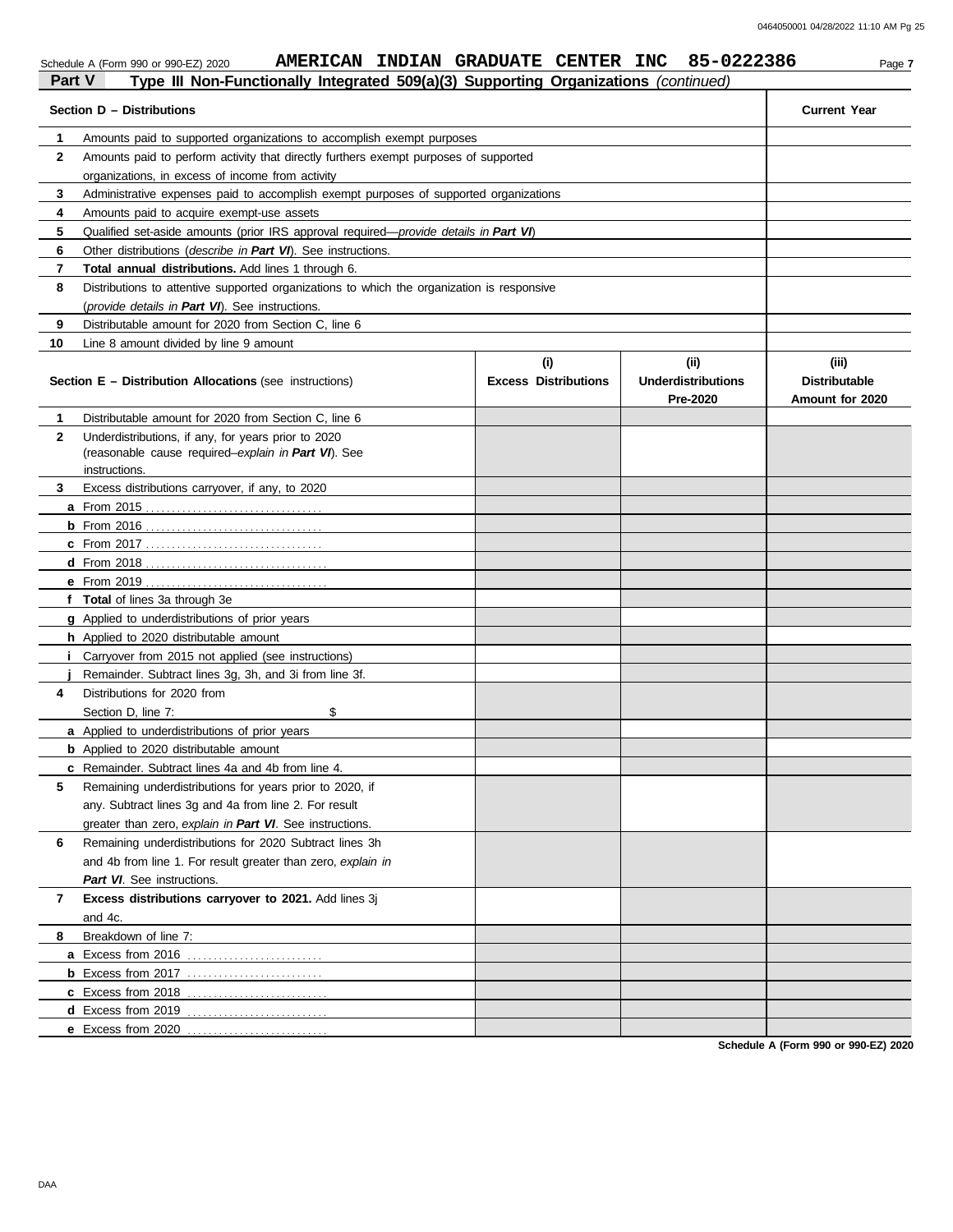| Part V<br>Type III Non-Functionally Integrated 509(a)(3) Supporting Organizations (continued) |                                                                                                        |                                    |                                   |                               |  |  |  |
|-----------------------------------------------------------------------------------------------|--------------------------------------------------------------------------------------------------------|------------------------------------|-----------------------------------|-------------------------------|--|--|--|
|                                                                                               | Section D - Distributions                                                                              |                                    |                                   |                               |  |  |  |
| 1.                                                                                            | Amounts paid to supported organizations to accomplish exempt purposes                                  |                                    |                                   |                               |  |  |  |
| $\mathbf{2}$                                                                                  | Amounts paid to perform activity that directly furthers exempt purposes of supported                   |                                    |                                   |                               |  |  |  |
|                                                                                               | organizations, in excess of income from activity                                                       |                                    |                                   |                               |  |  |  |
| 3                                                                                             | Administrative expenses paid to accomplish exempt purposes of supported organizations                  |                                    |                                   |                               |  |  |  |
| 4                                                                                             | Amounts paid to acquire exempt-use assets                                                              |                                    |                                   |                               |  |  |  |
| 5                                                                                             | Qualified set-aside amounts (prior IRS approval required— <i>provide details in Part VI</i> )          |                                    |                                   |                               |  |  |  |
| 6                                                                                             | Other distributions (describe in Part VI). See instructions.                                           |                                    |                                   |                               |  |  |  |
| 7                                                                                             | Total annual distributions. Add lines 1 through 6.                                                     |                                    |                                   |                               |  |  |  |
| 8                                                                                             | Distributions to attentive supported organizations to which the organization is responsive             |                                    |                                   |                               |  |  |  |
|                                                                                               | (provide details in Part VI). See instructions.                                                        |                                    |                                   |                               |  |  |  |
| 9                                                                                             | Distributable amount for 2020 from Section C, line 6                                                   |                                    |                                   |                               |  |  |  |
| 10                                                                                            | Line 8 amount divided by line 9 amount                                                                 |                                    |                                   |                               |  |  |  |
|                                                                                               | Section E - Distribution Allocations (see instructions)                                                | (i)<br><b>Excess Distributions</b> | (ii)<br><b>Underdistributions</b> | (iii)<br><b>Distributable</b> |  |  |  |
|                                                                                               |                                                                                                        |                                    | Pre-2020                          | Amount for 2020               |  |  |  |
| 1.                                                                                            | Distributable amount for 2020 from Section C, line 6                                                   |                                    |                                   |                               |  |  |  |
| 2                                                                                             | Underdistributions, if any, for years prior to 2020                                                    |                                    |                                   |                               |  |  |  |
|                                                                                               | (reasonable cause required-explain in Part VI). See                                                    |                                    |                                   |                               |  |  |  |
|                                                                                               | instructions.                                                                                          |                                    |                                   |                               |  |  |  |
| 3                                                                                             | Excess distributions carryover, if any, to 2020                                                        |                                    |                                   |                               |  |  |  |
|                                                                                               |                                                                                                        |                                    |                                   |                               |  |  |  |
|                                                                                               |                                                                                                        |                                    |                                   |                               |  |  |  |
|                                                                                               |                                                                                                        |                                    |                                   |                               |  |  |  |
|                                                                                               |                                                                                                        |                                    |                                   |                               |  |  |  |
|                                                                                               |                                                                                                        |                                    |                                   |                               |  |  |  |
|                                                                                               | f Total of lines 3a through 3e                                                                         |                                    |                                   |                               |  |  |  |
|                                                                                               | g Applied to underdistributions of prior years                                                         |                                    |                                   |                               |  |  |  |
|                                                                                               | <b>h</b> Applied to 2020 distributable amount                                                          |                                    |                                   |                               |  |  |  |
|                                                                                               | <i>i</i> Carryover from 2015 not applied (see instructions)                                            |                                    |                                   |                               |  |  |  |
|                                                                                               | Remainder. Subtract lines 3g, 3h, and 3i from line 3f.                                                 |                                    |                                   |                               |  |  |  |
| 4                                                                                             | Distributions for 2020 from                                                                            |                                    |                                   |                               |  |  |  |
|                                                                                               | \$<br>Section D, line 7:                                                                               |                                    |                                   |                               |  |  |  |
|                                                                                               | <b>a</b> Applied to underdistributions of prior years<br><b>b</b> Applied to 2020 distributable amount |                                    |                                   |                               |  |  |  |
|                                                                                               | c Remainder. Subtract lines 4a and 4b from line 4.                                                     |                                    |                                   |                               |  |  |  |
| 5                                                                                             | Remaining underdistributions for years prior to 2020, if                                               |                                    |                                   |                               |  |  |  |
|                                                                                               | any. Subtract lines 3g and 4a from line 2. For result                                                  |                                    |                                   |                               |  |  |  |
|                                                                                               | greater than zero, explain in Part VI. See instructions.                                               |                                    |                                   |                               |  |  |  |
| 6                                                                                             | Remaining underdistributions for 2020 Subtract lines 3h                                                |                                    |                                   |                               |  |  |  |
|                                                                                               | and 4b from line 1. For result greater than zero, explain in                                           |                                    |                                   |                               |  |  |  |
|                                                                                               | Part VI. See instructions.                                                                             |                                    |                                   |                               |  |  |  |
| 7                                                                                             | Excess distributions carryover to 2021. Add lines 3j                                                   |                                    |                                   |                               |  |  |  |
|                                                                                               | and 4c.                                                                                                |                                    |                                   |                               |  |  |  |
| 8                                                                                             | Breakdown of line 7:                                                                                   |                                    |                                   |                               |  |  |  |
|                                                                                               | a Excess from 2016                                                                                     |                                    |                                   |                               |  |  |  |
|                                                                                               |                                                                                                        |                                    |                                   |                               |  |  |  |
|                                                                                               | <b>c</b> Excess from 2018                                                                              |                                    |                                   |                               |  |  |  |
|                                                                                               | <b>d</b> Excess from 2019                                                                              |                                    |                                   |                               |  |  |  |
|                                                                                               | e Excess from 2020                                                                                     |                                    |                                   |                               |  |  |  |

**Schedule A (Form 990 or 990-EZ) 2020**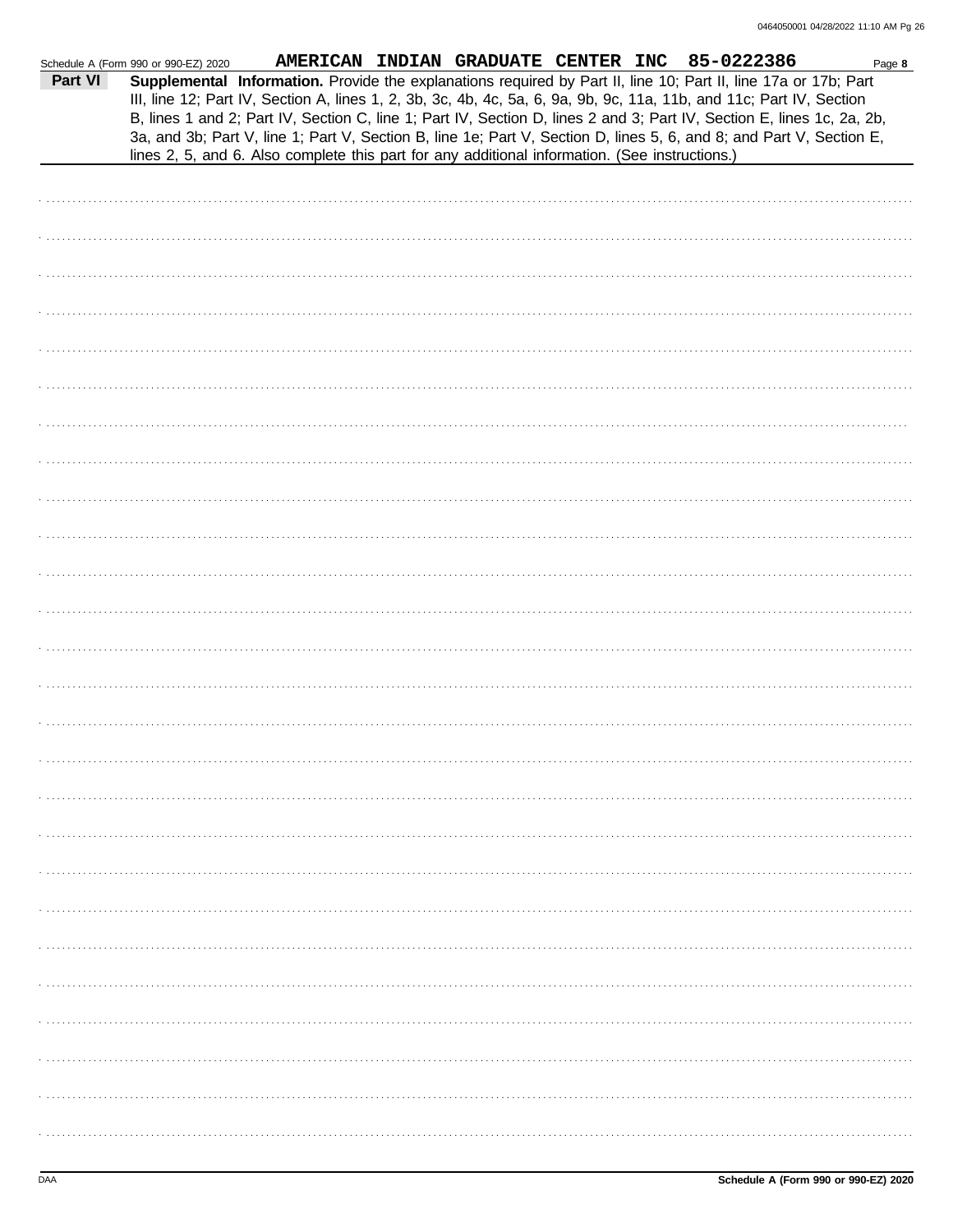| AMERICAN INDIAN GRADUATE CENTER INC<br>Schedule A (Form 990 or 990-EZ) 2020<br>Page 8<br>Part VI<br>Supplemental Information. Provide the explanations required by Part II, line 10; Part II, line 17a or 17b; Part<br>III, line 12; Part IV, Section A, lines 1, 2, 3b, 3c, 4b, 4c, 5a, 6, 9a, 9b, 9c, 11a, 11b, and 11c; Part IV, Section<br>B, lines 1 and 2; Part IV, Section C, line 1; Part IV, Section D, lines 2 and 3; Part IV, Section E, lines 1c, 2a, 2b,<br>3a, and 3b; Part V, line 1; Part V, Section B, line 1e; Part V, Section D, lines 5, 6, and 8; and Part V, Section E,<br>lines 2, 5, and 6. Also complete this part for any additional information. (See instructions.) |
|-------------------------------------------------------------------------------------------------------------------------------------------------------------------------------------------------------------------------------------------------------------------------------------------------------------------------------------------------------------------------------------------------------------------------------------------------------------------------------------------------------------------------------------------------------------------------------------------------------------------------------------------------------------------------------------------------|
|                                                                                                                                                                                                                                                                                                                                                                                                                                                                                                                                                                                                                                                                                                 |
|                                                                                                                                                                                                                                                                                                                                                                                                                                                                                                                                                                                                                                                                                                 |
|                                                                                                                                                                                                                                                                                                                                                                                                                                                                                                                                                                                                                                                                                                 |
|                                                                                                                                                                                                                                                                                                                                                                                                                                                                                                                                                                                                                                                                                                 |
|                                                                                                                                                                                                                                                                                                                                                                                                                                                                                                                                                                                                                                                                                                 |
|                                                                                                                                                                                                                                                                                                                                                                                                                                                                                                                                                                                                                                                                                                 |
|                                                                                                                                                                                                                                                                                                                                                                                                                                                                                                                                                                                                                                                                                                 |
|                                                                                                                                                                                                                                                                                                                                                                                                                                                                                                                                                                                                                                                                                                 |
|                                                                                                                                                                                                                                                                                                                                                                                                                                                                                                                                                                                                                                                                                                 |
|                                                                                                                                                                                                                                                                                                                                                                                                                                                                                                                                                                                                                                                                                                 |
|                                                                                                                                                                                                                                                                                                                                                                                                                                                                                                                                                                                                                                                                                                 |
|                                                                                                                                                                                                                                                                                                                                                                                                                                                                                                                                                                                                                                                                                                 |
|                                                                                                                                                                                                                                                                                                                                                                                                                                                                                                                                                                                                                                                                                                 |
|                                                                                                                                                                                                                                                                                                                                                                                                                                                                                                                                                                                                                                                                                                 |
|                                                                                                                                                                                                                                                                                                                                                                                                                                                                                                                                                                                                                                                                                                 |
|                                                                                                                                                                                                                                                                                                                                                                                                                                                                                                                                                                                                                                                                                                 |
|                                                                                                                                                                                                                                                                                                                                                                                                                                                                                                                                                                                                                                                                                                 |
|                                                                                                                                                                                                                                                                                                                                                                                                                                                                                                                                                                                                                                                                                                 |
|                                                                                                                                                                                                                                                                                                                                                                                                                                                                                                                                                                                                                                                                                                 |
|                                                                                                                                                                                                                                                                                                                                                                                                                                                                                                                                                                                                                                                                                                 |
|                                                                                                                                                                                                                                                                                                                                                                                                                                                                                                                                                                                                                                                                                                 |
|                                                                                                                                                                                                                                                                                                                                                                                                                                                                                                                                                                                                                                                                                                 |
|                                                                                                                                                                                                                                                                                                                                                                                                                                                                                                                                                                                                                                                                                                 |
|                                                                                                                                                                                                                                                                                                                                                                                                                                                                                                                                                                                                                                                                                                 |
|                                                                                                                                                                                                                                                                                                                                                                                                                                                                                                                                                                                                                                                                                                 |
|                                                                                                                                                                                                                                                                                                                                                                                                                                                                                                                                                                                                                                                                                                 |
|                                                                                                                                                                                                                                                                                                                                                                                                                                                                                                                                                                                                                                                                                                 |
|                                                                                                                                                                                                                                                                                                                                                                                                                                                                                                                                                                                                                                                                                                 |
|                                                                                                                                                                                                                                                                                                                                                                                                                                                                                                                                                                                                                                                                                                 |
|                                                                                                                                                                                                                                                                                                                                                                                                                                                                                                                                                                                                                                                                                                 |
|                                                                                                                                                                                                                                                                                                                                                                                                                                                                                                                                                                                                                                                                                                 |
|                                                                                                                                                                                                                                                                                                                                                                                                                                                                                                                                                                                                                                                                                                 |
|                                                                                                                                                                                                                                                                                                                                                                                                                                                                                                                                                                                                                                                                                                 |
|                                                                                                                                                                                                                                                                                                                                                                                                                                                                                                                                                                                                                                                                                                 |
|                                                                                                                                                                                                                                                                                                                                                                                                                                                                                                                                                                                                                                                                                                 |
|                                                                                                                                                                                                                                                                                                                                                                                                                                                                                                                                                                                                                                                                                                 |
|                                                                                                                                                                                                                                                                                                                                                                                                                                                                                                                                                                                                                                                                                                 |
|                                                                                                                                                                                                                                                                                                                                                                                                                                                                                                                                                                                                                                                                                                 |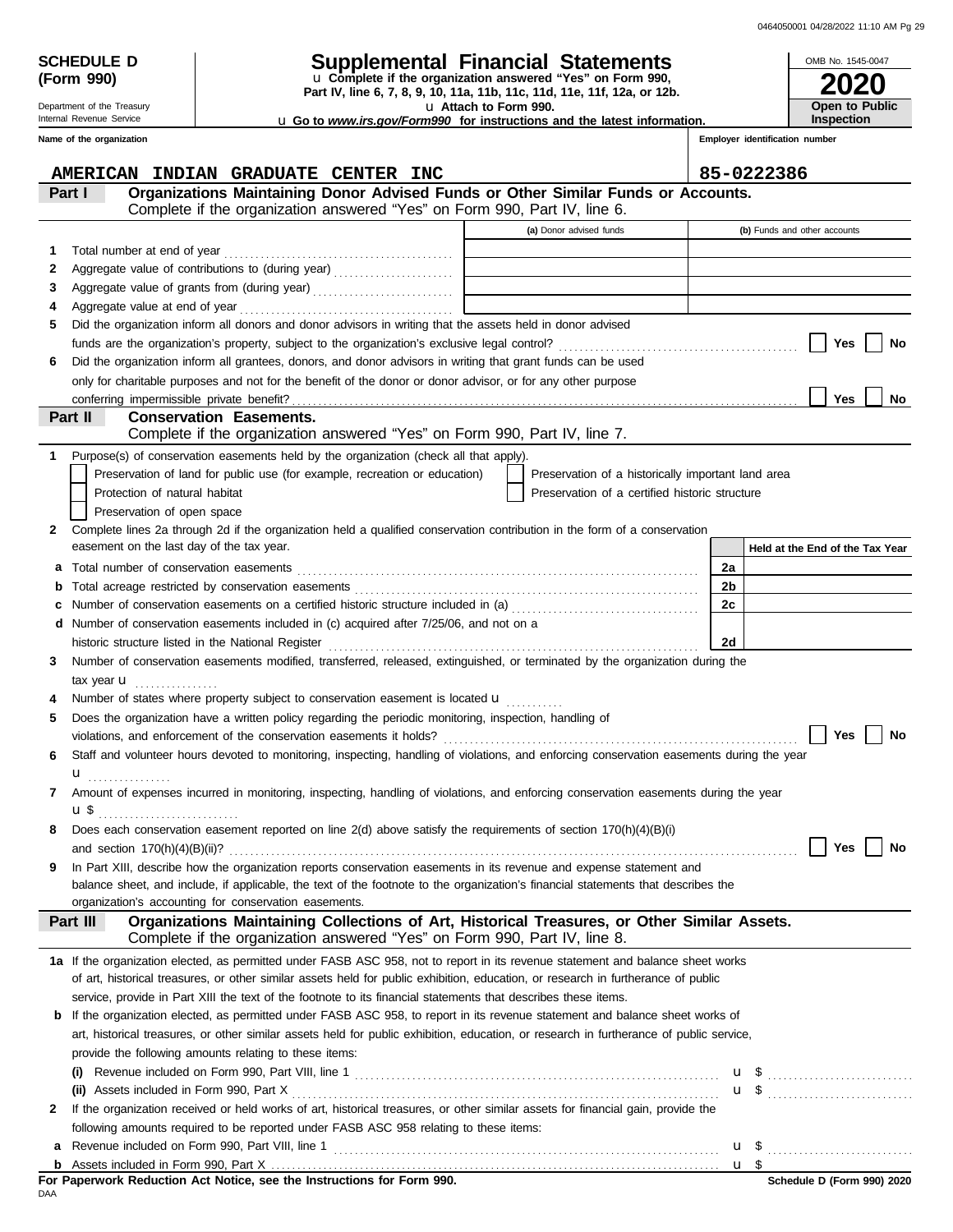OMB No. 1545-0047

| (Form 990)                                     | Part IV, line 6, 7, 8, 9, 10, 11a, 11b, 11c, 11d, 11e, 11f, 12a, or 12b.                                                                                                                   | u Complete if the organization answered "Yes" on Form 990, |                                |                                 |
|------------------------------------------------|--------------------------------------------------------------------------------------------------------------------------------------------------------------------------------------------|------------------------------------------------------------|--------------------------------|---------------------------------|
| Department of the Treasury                     |                                                                                                                                                                                            | Open to Public                                             |                                |                                 |
| Internal Revenue Service                       | <b>u</b> Go to <i>www.irs.gov/Form990</i> for instructions and the latest information.                                                                                                     |                                                            |                                | <b>Inspection</b>               |
| Name of the organization                       |                                                                                                                                                                                            |                                                            | Employer identification number |                                 |
|                                                | <b>AMERICAN INDIAN GRADUATE CENTER INC</b>                                                                                                                                                 |                                                            | 85-0222386                     |                                 |
| Part I                                         | Organizations Maintaining Donor Advised Funds or Other Similar Funds or Accounts.                                                                                                          |                                                            |                                |                                 |
|                                                | Complete if the organization answered "Yes" on Form 990, Part IV, line 6.                                                                                                                  |                                                            |                                |                                 |
|                                                |                                                                                                                                                                                            | (a) Donor advised funds                                    |                                | (b) Funds and other accounts    |
| 1                                              |                                                                                                                                                                                            |                                                            |                                |                                 |
| 2                                              |                                                                                                                                                                                            |                                                            |                                |                                 |
| 3                                              |                                                                                                                                                                                            |                                                            |                                |                                 |
| 4                                              |                                                                                                                                                                                            |                                                            |                                |                                 |
| 5                                              | Did the organization inform all donors and donor advisors in writing that the assets held in donor advised                                                                                 |                                                            |                                |                                 |
|                                                |                                                                                                                                                                                            |                                                            |                                | Yes<br>No                       |
| 6                                              | Did the organization inform all grantees, donors, and donor advisors in writing that grant funds can be used                                                                               |                                                            |                                |                                 |
|                                                | only for charitable purposes and not for the benefit of the donor or donor advisor, or for any other purpose                                                                               |                                                            |                                |                                 |
|                                                |                                                                                                                                                                                            |                                                            |                                | Yes<br>No                       |
| Part II                                        | <b>Conservation Easements.</b>                                                                                                                                                             |                                                            |                                |                                 |
|                                                | Complete if the organization answered "Yes" on Form 990, Part IV, line 7.                                                                                                                  |                                                            |                                |                                 |
| 1                                              | Purpose(s) of conservation easements held by the organization (check all that apply).                                                                                                      |                                                            |                                |                                 |
|                                                | Preservation of land for public use (for example, recreation or education)                                                                                                                 | Preservation of a historically important land area         |                                |                                 |
| Protection of natural habitat                  |                                                                                                                                                                                            | Preservation of a certified historic structure             |                                |                                 |
| Preservation of open space                     |                                                                                                                                                                                            |                                                            |                                |                                 |
| 2<br>easement on the last day of the tax year. | Complete lines 2a through 2d if the organization held a qualified conservation contribution in the form of a conservation                                                                  |                                                            |                                | Held at the End of the Tax Year |
|                                                |                                                                                                                                                                                            |                                                            | 2a                             |                                 |
| a<br>b                                         |                                                                                                                                                                                            |                                                            | 2b                             |                                 |
|                                                | Number of conservation easements on a certified historic structure included in (a) [[[[[[[[[[[[[[[[[[[[[[[[[]]]]]]]                                                                        |                                                            | 2c                             |                                 |
| d                                              | Number of conservation easements included in (c) acquired after 7/25/06, and not on a                                                                                                      |                                                            |                                |                                 |
|                                                | historic structure listed in the National Register [11, 12] And The Structure of the National Register [11, 12                                                                             |                                                            | 2d                             |                                 |
| 3                                              | Number of conservation easements modified, transferred, released, extinguished, or terminated by the organization during the                                                               |                                                            |                                |                                 |
| tax year <b>u</b><br>.                         |                                                                                                                                                                                            |                                                            |                                |                                 |
|                                                | Number of states where property subject to conservation easement is located <b>u</b>                                                                                                       |                                                            |                                |                                 |
| 5                                              | Does the organization have a written policy regarding the periodic monitoring, inspection, handling of                                                                                     |                                                            |                                |                                 |
|                                                | violations, and enforcement of the conservation easements it holds?                                                                                                                        |                                                            |                                | Yes<br>No                       |
|                                                | Staff and volunteer hours devoted to monitoring, inspecting, handling of violations, and enforcing conservation easements during the year                                                  |                                                            |                                |                                 |
| u<br>.                                         |                                                                                                                                                                                            |                                                            |                                |                                 |
| 7                                              | Amount of expenses incurred in monitoring, inspecting, handling of violations, and enforcing conservation easements during the year                                                        |                                                            |                                |                                 |
|                                                |                                                                                                                                                                                            |                                                            |                                |                                 |
| 8                                              | Does each conservation easement reported on line 2(d) above satisfy the requirements of section 170(h)(4)(B)(i)                                                                            |                                                            |                                |                                 |
|                                                |                                                                                                                                                                                            |                                                            |                                | Yes  <br>No                     |
| 9                                              | In Part XIII, describe how the organization reports conservation easements in its revenue and expense statement and                                                                        |                                                            |                                |                                 |
|                                                | balance sheet, and include, if applicable, the text of the footnote to the organization's financial statements that describes the<br>organization's accounting for conservation easements. |                                                            |                                |                                 |
| Part III                                       | Organizations Maintaining Collections of Art, Historical Treasures, or Other Similar Assets.                                                                                               |                                                            |                                |                                 |
|                                                | Complete if the organization answered "Yes" on Form 990, Part IV, line 8.                                                                                                                  |                                                            |                                |                                 |
|                                                | 1a If the organization elected, as permitted under FASB ASC 958, not to report in its revenue statement and balance sheet works                                                            |                                                            |                                |                                 |
|                                                | of art, historical treasures, or other similar assets held for public exhibition, education, or research in furtherance of public                                                          |                                                            |                                |                                 |
|                                                | service, provide in Part XIII the text of the footnote to its financial statements that describes these items.                                                                             |                                                            |                                |                                 |
|                                                | <b>b</b> If the organization elected, as permitted under FASB ASC 958, to report in its revenue statement and balance sheet works of                                                       |                                                            |                                |                                 |
|                                                | art, historical treasures, or other similar assets held for public exhibition, education, or research in furtherance of public service,                                                    |                                                            |                                |                                 |
|                                                | provide the following amounts relating to these items:                                                                                                                                     |                                                            |                                |                                 |
|                                                |                                                                                                                                                                                            |                                                            |                                |                                 |
|                                                |                                                                                                                                                                                            |                                                            |                                | <b>u</b> \$                     |
| 2                                              | If the organization received or held works of art, historical treasures, or other similar assets for financial gain, provide the                                                           |                                                            |                                |                                 |
|                                                | following amounts required to be reported under FASB ASC 958 relating to these items:                                                                                                      |                                                            |                                |                                 |
| a                                              |                                                                                                                                                                                            |                                                            |                                |                                 |
|                                                |                                                                                                                                                                                            |                                                            | u <sup>s</sup>                 |                                 |

**SCHEDULE D Supplemental Financial Statements**

**(Form 990)**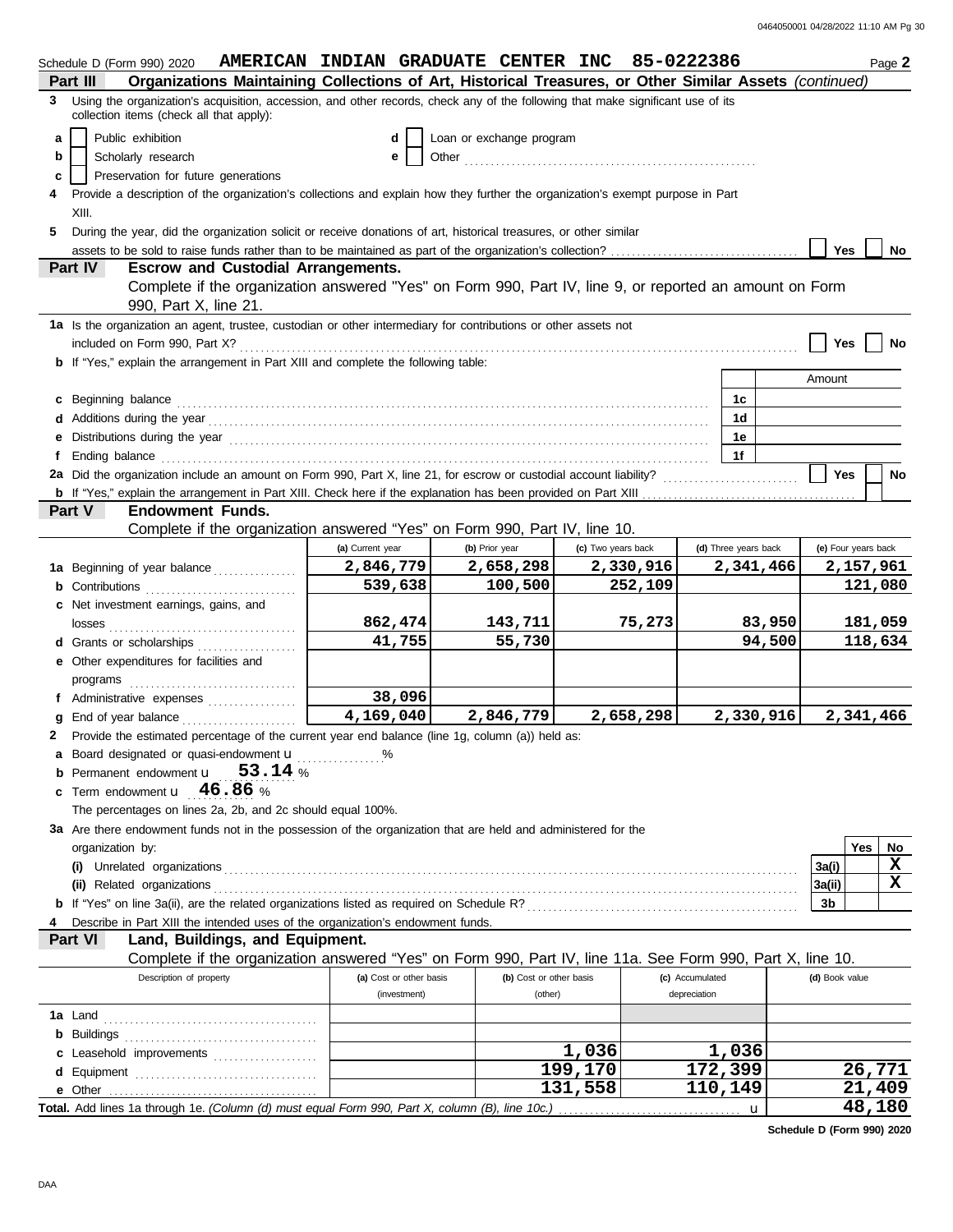|    | Schedule D (Form 990) 2020                                                                                                                                                                                                          | AMERICAN INDIAN GRADUATE CENTER INC 85-0222386 |                          |                    |                 |                      |                  |                     |                    | Page 2  |
|----|-------------------------------------------------------------------------------------------------------------------------------------------------------------------------------------------------------------------------------------|------------------------------------------------|--------------------------|--------------------|-----------------|----------------------|------------------|---------------------|--------------------|---------|
|    | Organizations Maintaining Collections of Art, Historical Treasures, or Other Similar Assets (continued)<br>Part III                                                                                                                 |                                                |                          |                    |                 |                      |                  |                     |                    |         |
|    | 3 Using the organization's acquisition, accession, and other records, check any of the following that make significant use of its<br>collection items (check all that apply):                                                       |                                                |                          |                    |                 |                      |                  |                     |                    |         |
| a  | Public exhibition                                                                                                                                                                                                                   | d                                              | Loan or exchange program |                    |                 |                      |                  |                     |                    |         |
| b  | Scholarly research                                                                                                                                                                                                                  | е                                              |                          |                    |                 |                      |                  |                     |                    |         |
| c  | Preservation for future generations                                                                                                                                                                                                 |                                                |                          |                    |                 |                      |                  |                     |                    |         |
|    | Provide a description of the organization's collections and explain how they further the organization's exempt purpose in Part<br>XIII.                                                                                             |                                                |                          |                    |                 |                      |                  |                     |                    |         |
| 5. | During the year, did the organization solicit or receive donations of art, historical treasures, or other similar                                                                                                                   |                                                |                          |                    |                 |                      |                  |                     |                    |         |
|    |                                                                                                                                                                                                                                     |                                                |                          |                    |                 |                      |                  | Yes                 |                    | No      |
|    | Part IV<br><b>Escrow and Custodial Arrangements.</b>                                                                                                                                                                                |                                                |                          |                    |                 |                      |                  |                     |                    |         |
|    | Complete if the organization answered "Yes" on Form 990, Part IV, line 9, or reported an amount on Form<br>990, Part X, line 21.                                                                                                    |                                                |                          |                    |                 |                      |                  |                     |                    |         |
|    | 1a Is the organization an agent, trustee, custodian or other intermediary for contributions or other assets not                                                                                                                     |                                                |                          |                    |                 |                      |                  |                     |                    |         |
|    |                                                                                                                                                                                                                                     |                                                |                          |                    |                 |                      |                  | Yes                 |                    | No      |
|    | <b>b</b> If "Yes," explain the arrangement in Part XIII and complete the following table:                                                                                                                                           |                                                |                          |                    |                 |                      |                  | Amount              |                    |         |
|    |                                                                                                                                                                                                                                     |                                                |                          |                    |                 | 1c                   |                  |                     |                    |         |
|    | c Beginning balance <b>construction and the construction of the construction of the construction</b> of the construction of the construction of the construction of the construction of the construction of the construction of the |                                                |                          |                    |                 | 1 <sub>d</sub>       |                  |                     |                    |         |
|    |                                                                                                                                                                                                                                     |                                                |                          |                    |                 | 1e                   |                  |                     |                    |         |
| f  | Ending balance <b>construction and the construction of the construction</b> of the construction of the construction of the construction of the construction of the construction of the construction of the construction of the cons |                                                |                          |                    |                 | 1f                   |                  |                     |                    |         |
|    | 2a Did the organization include an amount on Form 990, Part X, line 21, for escrow or custodial account liability?                                                                                                                  |                                                |                          |                    |                 |                      |                  | <b>Yes</b>          |                    | No      |
|    |                                                                                                                                                                                                                                     |                                                |                          |                    |                 |                      |                  |                     |                    |         |
|    | Part V<br><b>Endowment Funds.</b>                                                                                                                                                                                                   |                                                |                          |                    |                 |                      |                  |                     |                    |         |
|    | Complete if the organization answered "Yes" on Form 990, Part IV, line 10.                                                                                                                                                          |                                                |                          |                    |                 |                      |                  |                     |                    |         |
|    |                                                                                                                                                                                                                                     | (a) Current year                               | (b) Prior year           | (c) Two years back |                 | (d) Three years back |                  | (e) Four years back |                    |         |
|    | 1a Beginning of year balance                                                                                                                                                                                                        | 2,846,779                                      | 2,658,298                | 2,330,916          |                 | 2,341,466            |                  |                     | 2,157,961          |         |
|    | <b>b</b> Contributions <b>contributions</b>                                                                                                                                                                                         | 539,638                                        | 100,500                  | 252,109            |                 |                      |                  |                     | 121,080            |         |
|    | c Net investment earnings, gains, and                                                                                                                                                                                               | 862,474                                        |                          |                    |                 |                      |                  |                     |                    |         |
|    |                                                                                                                                                                                                                                     | 41,755                                         | 143,711<br>55,730        | 75,273             |                 |                      | 83,950<br>94,500 |                     | 181,059<br>118,634 |         |
|    | d Grants or scholarships<br>e Other expenditures for facilities and                                                                                                                                                                 |                                                |                          |                    |                 |                      |                  |                     |                    |         |
|    |                                                                                                                                                                                                                                     |                                                |                          |                    |                 |                      |                  |                     |                    |         |
|    | f Administrative expenses                                                                                                                                                                                                           | 38,096                                         |                          |                    |                 |                      |                  |                     |                    |         |
| a  | End of year balance                                                                                                                                                                                                                 | 4,169,040                                      | 2,846,779                | 2,658,298          |                 | 2,330,916            |                  |                     | 2,341,466          |         |
|    | 2 Provide the estimated percentage of the current year end balance (line 1g, column (a)) held as:                                                                                                                                   |                                                |                          |                    |                 |                      |                  |                     |                    |         |
|    | a Board designated or quasi-endowment u                                                                                                                                                                                             | %                                              |                          |                    |                 |                      |                  |                     |                    |         |
|    | Permanent endowment <b>u</b> 53.14 %                                                                                                                                                                                                |                                                |                          |                    |                 |                      |                  |                     |                    |         |
| c. | Term endowment $\mathbf{u}$ 46.86 %                                                                                                                                                                                                 |                                                |                          |                    |                 |                      |                  |                     |                    |         |
|    | The percentages on lines 2a, 2b, and 2c should equal 100%.                                                                                                                                                                          |                                                |                          |                    |                 |                      |                  |                     |                    |         |
|    | 3a Are there endowment funds not in the possession of the organization that are held and administered for the                                                                                                                       |                                                |                          |                    |                 |                      |                  |                     |                    |         |
|    | organization by:                                                                                                                                                                                                                    |                                                |                          |                    |                 |                      |                  |                     | Yes                | No<br>x |
|    |                                                                                                                                                                                                                                     |                                                |                          |                    |                 |                      |                  | 3a(i)               |                    | x       |
|    |                                                                                                                                                                                                                                     |                                                |                          |                    |                 |                      |                  | 3a(ii)<br>3b        |                    |         |
| 4  | Describe in Part XIII the intended uses of the organization's endowment funds.                                                                                                                                                      |                                                |                          |                    |                 |                      |                  |                     |                    |         |
|    | Land, Buildings, and Equipment.<br>Part VI                                                                                                                                                                                          |                                                |                          |                    |                 |                      |                  |                     |                    |         |
|    | Complete if the organization answered "Yes" on Form 990, Part IV, line 11a. See Form 990, Part X, line 10.                                                                                                                          |                                                |                          |                    |                 |                      |                  |                     |                    |         |
|    | Description of property                                                                                                                                                                                                             | (a) Cost or other basis                        | (b) Cost or other basis  |                    | (c) Accumulated |                      |                  | (d) Book value      |                    |         |
|    |                                                                                                                                                                                                                                     | (investment)                                   | (other)                  |                    | depreciation    |                      |                  |                     |                    |         |
|    |                                                                                                                                                                                                                                     |                                                |                          |                    |                 |                      |                  |                     |                    |         |
|    |                                                                                                                                                                                                                                     |                                                |                          |                    |                 |                      |                  |                     |                    |         |
|    | c Leasehold improvements                                                                                                                                                                                                            |                                                |                          | 1,036              |                 | 1,036                |                  |                     |                    |         |
|    |                                                                                                                                                                                                                                     |                                                |                          | 199,170            |                 | 172,399              |                  |                     | 26,771             |         |
|    |                                                                                                                                                                                                                                     |                                                |                          | 131,558            |                 | 110,149              |                  |                     | 21,409<br>48,180   |         |
|    |                                                                                                                                                                                                                                     |                                                |                          |                    |                 | $\mathbf u$          |                  |                     |                    |         |

**Schedule D (Form 990) 2020**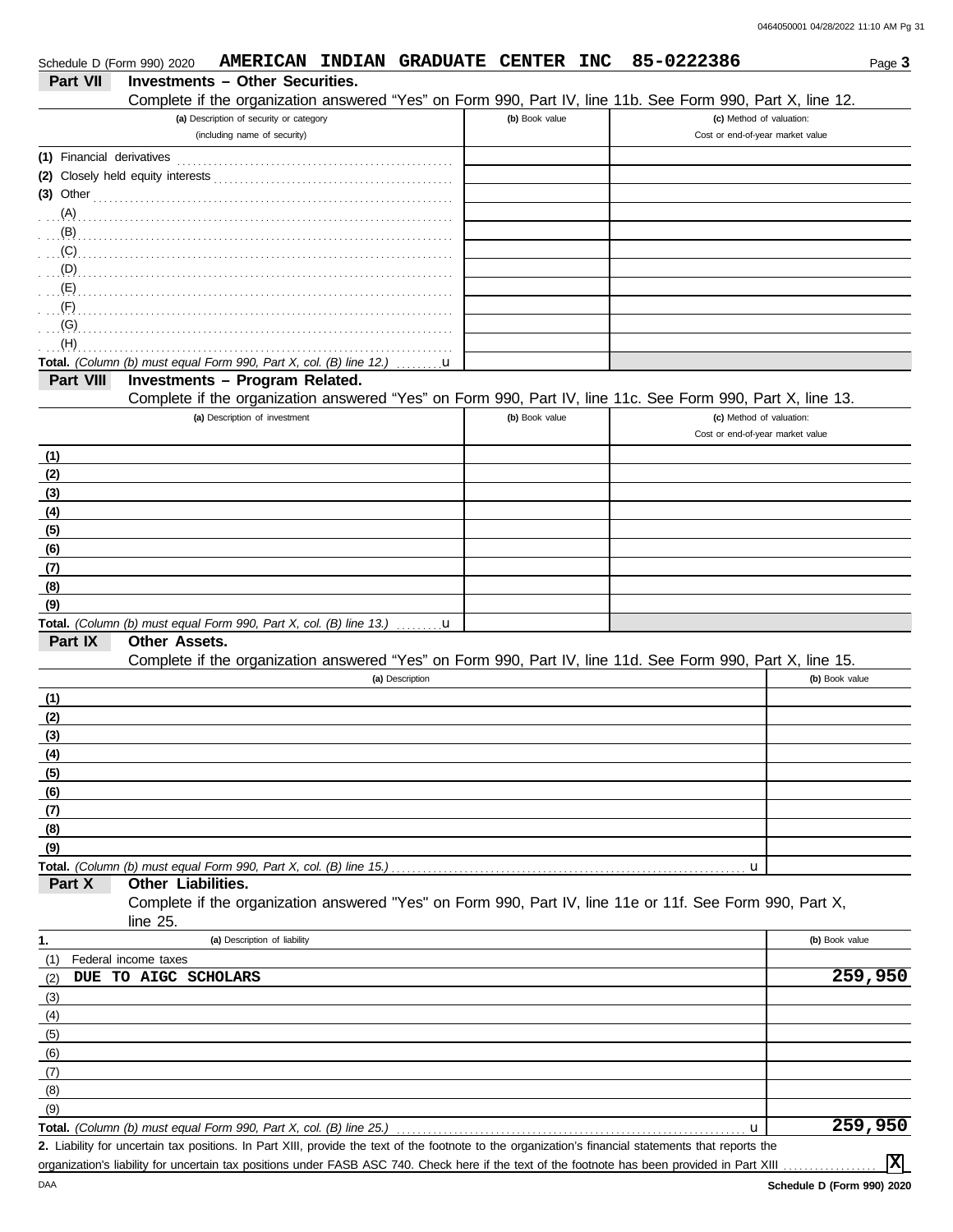| Schedule D (Form 990) 2020 | AMERICAN INDIAN GRADUATE CENTER INC                                                                                                                  |                | 85-0222386                       | Page 3               |
|----------------------------|------------------------------------------------------------------------------------------------------------------------------------------------------|----------------|----------------------------------|----------------------|
| Part VII                   | <b>Investments - Other Securities.</b>                                                                                                               |                |                                  |                      |
|                            | Complete if the organization answered "Yes" on Form 990, Part IV, line 11b. See Form 990, Part X, line 12.                                           |                |                                  |                      |
|                            | (a) Description of security or category                                                                                                              | (b) Book value | (c) Method of valuation:         |                      |
|                            | (including name of security)                                                                                                                         |                | Cost or end-of-year market value |                      |
|                            |                                                                                                                                                      |                |                                  |                      |
|                            |                                                                                                                                                      |                |                                  |                      |
|                            | $(3)$ Other                                                                                                                                          |                |                                  |                      |
|                            |                                                                                                                                                      |                |                                  |                      |
|                            |                                                                                                                                                      |                |                                  |                      |
| (C)                        |                                                                                                                                                      |                |                                  |                      |
| (D)<br>$\langle E \rangle$ |                                                                                                                                                      |                |                                  |                      |
| (F)                        |                                                                                                                                                      |                |                                  |                      |
| $\cdot$ (G)                |                                                                                                                                                      |                |                                  |                      |
| (H)                        |                                                                                                                                                      |                |                                  |                      |
|                            | Total. (Column (b) must equal Form 990, Part X, col. (B) line 12.)<br>u                                                                              |                |                                  |                      |
| Part VIII                  | Investments - Program Related.                                                                                                                       |                |                                  |                      |
|                            | Complete if the organization answered "Yes" on Form 990, Part IV, line 11c. See Form 990, Part X, line 13.                                           |                |                                  |                      |
|                            | (a) Description of investment                                                                                                                        | (b) Book value | (c) Method of valuation:         |                      |
|                            |                                                                                                                                                      |                | Cost or end-of-year market value |                      |
| (1)                        |                                                                                                                                                      |                |                                  |                      |
| (2)                        |                                                                                                                                                      |                |                                  |                      |
| (3)                        |                                                                                                                                                      |                |                                  |                      |
| (4)                        |                                                                                                                                                      |                |                                  |                      |
| (5)                        |                                                                                                                                                      |                |                                  |                      |
| (6)                        |                                                                                                                                                      |                |                                  |                      |
| (7)                        |                                                                                                                                                      |                |                                  |                      |
| (8)                        |                                                                                                                                                      |                |                                  |                      |
| (9)                        |                                                                                                                                                      |                |                                  |                      |
|                            | Total. (Column (b) must equal Form 990, Part X, col. (B) line 13.) $\dots \dots \mathbf{u}$                                                          |                |                                  |                      |
| Part IX                    | Other Assets.                                                                                                                                        |                |                                  |                      |
|                            | Complete if the organization answered "Yes" on Form 990, Part IV, line 11d. See Form 990, Part X, line 15.                                           |                |                                  |                      |
|                            | (a) Description                                                                                                                                      |                |                                  | (b) Book value       |
| (1)                        |                                                                                                                                                      |                |                                  |                      |
| (2)                        |                                                                                                                                                      |                |                                  |                      |
| (3)                        |                                                                                                                                                      |                |                                  |                      |
| <u>(4)</u>                 |                                                                                                                                                      |                |                                  |                      |
| (5)                        |                                                                                                                                                      |                |                                  |                      |
| (6)                        |                                                                                                                                                      |                |                                  |                      |
| (7)                        |                                                                                                                                                      |                |                                  |                      |
| (8)                        |                                                                                                                                                      |                |                                  |                      |
| (9)                        |                                                                                                                                                      |                |                                  |                      |
| Part X                     | Total. (Column (b) must equal Form 990, Part X, col. (B) line 15.)<br>Other Liabilities.                                                             |                | u                                |                      |
|                            | Complete if the organization answered "Yes" on Form 990, Part IV, line 11e or 11f. See Form 990, Part X,                                             |                |                                  |                      |
|                            | line 25.                                                                                                                                             |                |                                  |                      |
| 1.                         | (a) Description of liability                                                                                                                         |                |                                  | (b) Book value       |
| (1)                        | Federal income taxes                                                                                                                                 |                |                                  |                      |
| (2)                        | DUE TO AIGC SCHOLARS                                                                                                                                 |                |                                  | 259,950              |
| (3)                        |                                                                                                                                                      |                |                                  |                      |
| (4)                        |                                                                                                                                                      |                |                                  |                      |
| (5)                        |                                                                                                                                                      |                |                                  |                      |
| (6)                        |                                                                                                                                                      |                |                                  |                      |
| (7)                        |                                                                                                                                                      |                |                                  |                      |
| (8)                        |                                                                                                                                                      |                |                                  |                      |
| (9)                        |                                                                                                                                                      |                |                                  |                      |
|                            | Total. (Column (b) must equal Form 990, Part X, col. (B) line 25.)                                                                                   |                | u                                | $\overline{259,950}$ |
|                            | 2. Liability for uncertain tax positions. In Part XIII, provide the text of the footnote to the organization's financial statements that reports the |                |                                  |                      |

organization's liability for uncertain tax positions under FASB ASC 740. Check here if the text of the footnote has been provided in Part XIII

**X**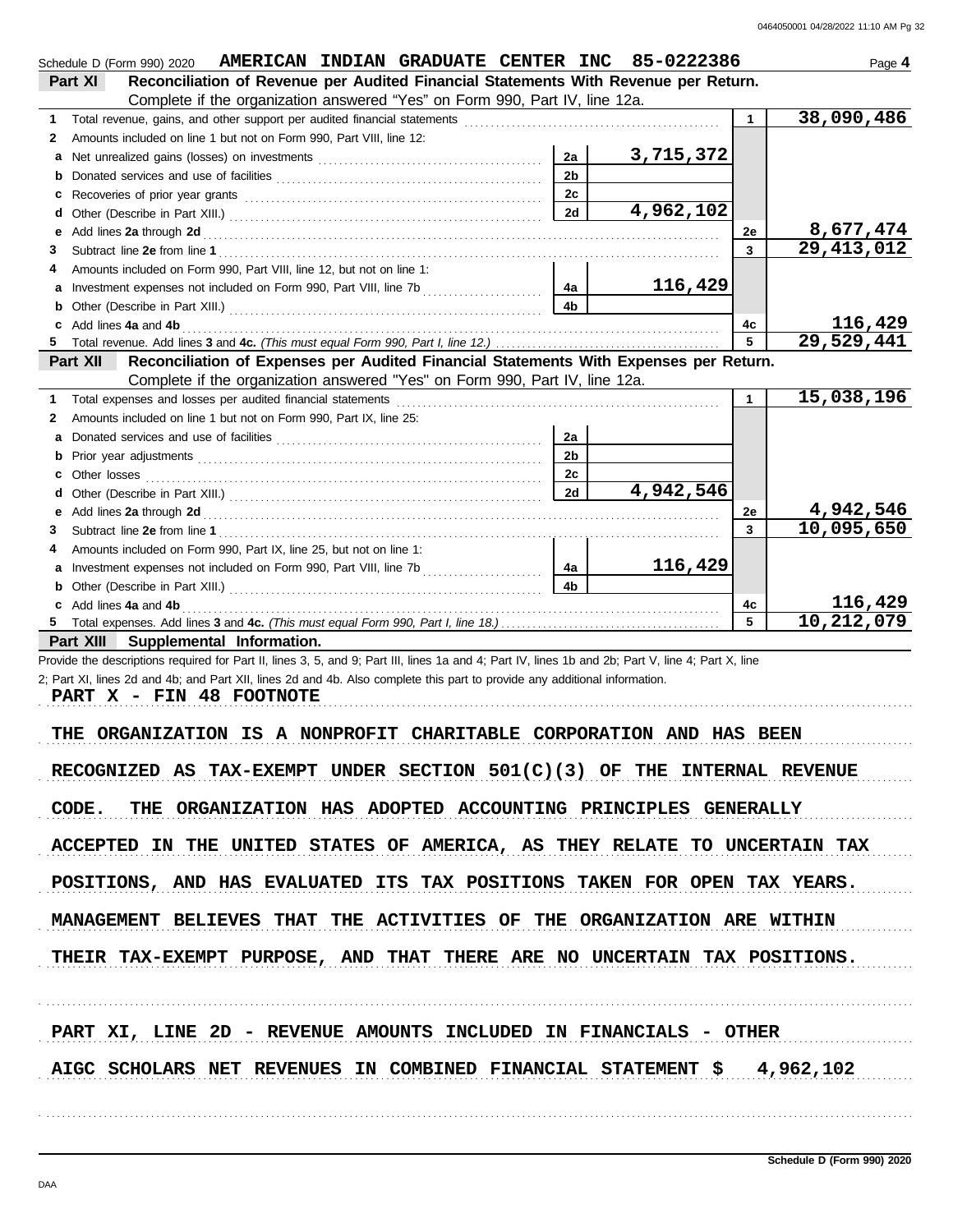|   | AMERICAN INDIAN GRADUATE CENTER INC 85-0222386<br>Schedule D (Form 990) 2020<br>Reconciliation of Revenue per Audited Financial Statements With Revenue per Return.<br>Part XI                                                |                |           |              | Page 4       |
|---|-------------------------------------------------------------------------------------------------------------------------------------------------------------------------------------------------------------------------------|----------------|-----------|--------------|--------------|
|   | Complete if the organization answered "Yes" on Form 990, Part IV, line 12a.                                                                                                                                                   |                |           |              |              |
| 1 | Total revenue, gains, and other support per audited financial statements                                                                                                                                                      |                |           | $\mathbf{1}$ | 38,090,486   |
| 2 | Amounts included on line 1 but not on Form 990, Part VIII, line 12:                                                                                                                                                           |                |           |              |              |
| а |                                                                                                                                                                                                                               | 2a             | 3,715,372 |              |              |
| b |                                                                                                                                                                                                                               | 2 <sub>b</sub> |           |              |              |
| c |                                                                                                                                                                                                                               | 2c             |           |              |              |
| d |                                                                                                                                                                                                                               | 2d             | 4,962,102 |              |              |
| е | Add lines 2a through 2d                                                                                                                                                                                                       |                |           | 2e           | 8,677,474    |
| 3 |                                                                                                                                                                                                                               |                |           | 3            | 29, 413, 012 |
| 4 | Amounts included on Form 990, Part VIII, line 12, but not on line 1:                                                                                                                                                          |                |           |              |              |
|   | Investment expenses not included on Form 990, Part VIII, line 7b [[11, 11, 11, 11, 11]]                                                                                                                                       | 4a             | 116,429   |              |              |
| b |                                                                                                                                                                                                                               | 4 <sub>b</sub> |           |              |              |
|   | c Add lines 4a and 4b                                                                                                                                                                                                         |                |           | 4c           | 116,429      |
|   |                                                                                                                                                                                                                               |                |           | 5            | 29,529,441   |
|   | Reconciliation of Expenses per Audited Financial Statements With Expenses per Return.<br>Part XII                                                                                                                             |                |           |              |              |
|   | Complete if the organization answered "Yes" on Form 990, Part IV, line 12a.                                                                                                                                                   |                |           |              |              |
| 1 | Total expenses and losses per audited financial statements                                                                                                                                                                    |                |           | $\mathbf{1}$ | 15,038,196   |
| 2 | Amounts included on line 1 but not on Form 990, Part IX, line 25:                                                                                                                                                             |                |           |              |              |
| a |                                                                                                                                                                                                                               | 2a             |           |              |              |
|   |                                                                                                                                                                                                                               | 2 <sub>b</sub> |           |              |              |
| c | Other losses                                                                                                                                                                                                                  | 2c             |           |              |              |
| d |                                                                                                                                                                                                                               | 2d             | 4,942,546 |              |              |
| е | Add lines 2a through 2d [11] Additional Property and Property and Property and Property and Property and Property and Property and Property and Property and Property and Property and Property and Property and Property and |                |           | 2e           | 4,942,546    |
| 3 |                                                                                                                                                                                                                               |                |           | 3            | 10,095,650   |
| 4 | Amounts included on Form 990, Part IX, line 25, but not on line 1:                                                                                                                                                            |                |           |              |              |
|   | Investment expenses not included on Form 990, Part VIII, line 7b [[11, 11, 11, 11, 11]]                                                                                                                                       | 4a             | 116,429   |              |              |
|   |                                                                                                                                                                                                                               | 4 <sub>b</sub> |           |              |              |
|   | c Add lines 4a and 4b                                                                                                                                                                                                         |                |           | 4c           | 116,429      |
|   |                                                                                                                                                                                                                               |                |           | 5            | 10, 212, 079 |
|   | Part XIII<br>Supplemental Information.                                                                                                                                                                                        |                |           |              |              |
|   | Provide the descriptions required for Part II, lines 3, 5, and 9; Part III, lines 1a and 4; Part IV, lines 1b and 2b; Part V, line 4; Part X, line                                                                            |                |           |              |              |
|   | 2; Part XI, lines 2d and 4b; and Part XII, lines 2d and 4b. Also complete this part to provide any additional information.                                                                                                    |                |           |              |              |
|   | PART X - FIN 48 FOOTNOTE                                                                                                                                                                                                      |                |           |              |              |
|   |                                                                                                                                                                                                                               |                |           |              |              |
|   | ORGANIZATION IS A NONPROFIT CHARITABLE CORPORATION AND HAS BEEN<br>THE                                                                                                                                                        |                |           |              |              |
|   |                                                                                                                                                                                                                               |                |           |              |              |
|   | RECOGNIZED AS TAX-EXEMPT UNDER SECTION $501(C)(3)$ OF THE INTERNAL REVENUE                                                                                                                                                    |                |           |              |              |
|   |                                                                                                                                                                                                                               |                |           |              |              |
|   | CODE. THE ORGANIZATION HAS ADOPTED ACCOUNTING PRINCIPLES GENERALLY                                                                                                                                                            |                |           |              |              |
|   |                                                                                                                                                                                                                               |                |           |              |              |
|   | ACCEPTED IN THE UNITED STATES OF AMERICA, AS THEY RELATE TO UNCERTAIN TAX                                                                                                                                                     |                |           |              |              |
|   |                                                                                                                                                                                                                               |                |           |              |              |
|   | POSITIONS, AND HAS EVALUATED ITS TAX POSITIONS TAKEN FOR OPEN TAX YEARS.                                                                                                                                                      |                |           |              |              |
|   |                                                                                                                                                                                                                               |                |           |              |              |
|   | MANAGEMENT BELIEVES THAT THE ACTIVITIES OF THE ORGANIZATION ARE WITHIN                                                                                                                                                        |                |           |              |              |
|   |                                                                                                                                                                                                                               |                |           |              |              |
|   | THEIR TAX-EXEMPT PURPOSE, AND THAT THERE ARE NO UNCERTAIN TAX POSITIONS.                                                                                                                                                      |                |           |              |              |
|   |                                                                                                                                                                                                                               |                |           |              |              |
|   |                                                                                                                                                                                                                               |                |           |              |              |
|   |                                                                                                                                                                                                                               |                |           |              |              |
|   | PART XI, LINE 2D - REVENUE AMOUNTS INCLUDED IN FINANCIALS - OTHER                                                                                                                                                             |                |           |              |              |
|   |                                                                                                                                                                                                                               |                |           |              |              |
|   | AIGC SCHOLARS NET REVENUES IN COMBINED FINANCIAL STATEMENT $\frac{2}{7}$ 4,962,102                                                                                                                                            |                |           |              |              |
|   |                                                                                                                                                                                                                               |                |           |              |              |
|   |                                                                                                                                                                                                                               |                |           |              |              |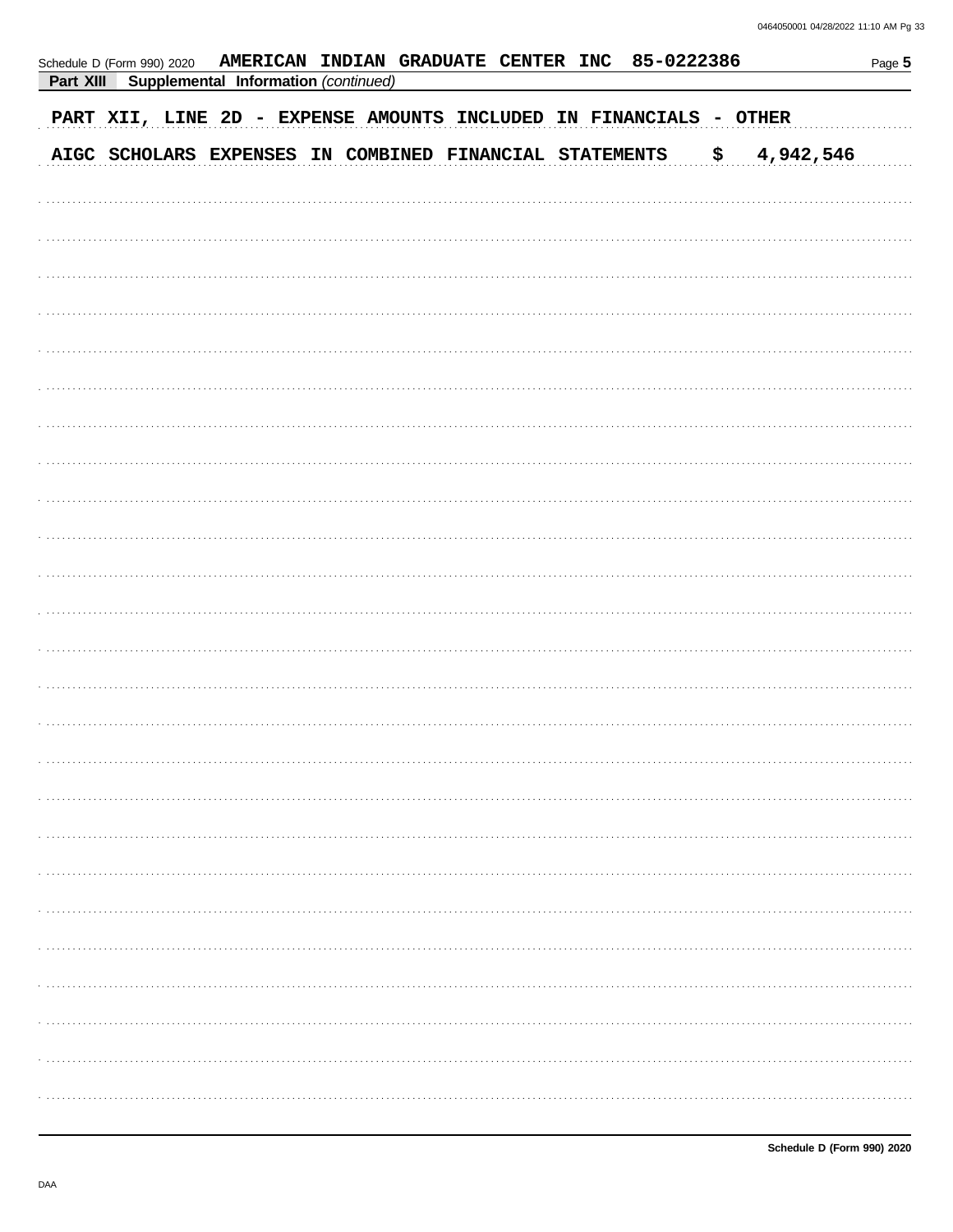| AMERICAN INDIAN GRADUATE CENTER INC 85-0222386<br>Page 5<br>Schedule D (Form 990) 2020<br>Supplemental Information (continued)<br>Part XIII |  |  |  |  |  |  |  |
|---------------------------------------------------------------------------------------------------------------------------------------------|--|--|--|--|--|--|--|
| PART XII, LINE 2D - EXPENSE AMOUNTS INCLUDED IN FINANCIALS - OTHER                                                                          |  |  |  |  |  |  |  |
| \$ 4,942,546<br>AIGC SCHOLARS EXPENSES IN COMBINED FINANCIAL STATEMENTS                                                                     |  |  |  |  |  |  |  |
|                                                                                                                                             |  |  |  |  |  |  |  |
|                                                                                                                                             |  |  |  |  |  |  |  |
|                                                                                                                                             |  |  |  |  |  |  |  |
|                                                                                                                                             |  |  |  |  |  |  |  |
|                                                                                                                                             |  |  |  |  |  |  |  |
|                                                                                                                                             |  |  |  |  |  |  |  |
|                                                                                                                                             |  |  |  |  |  |  |  |
|                                                                                                                                             |  |  |  |  |  |  |  |
|                                                                                                                                             |  |  |  |  |  |  |  |
|                                                                                                                                             |  |  |  |  |  |  |  |
|                                                                                                                                             |  |  |  |  |  |  |  |
|                                                                                                                                             |  |  |  |  |  |  |  |
|                                                                                                                                             |  |  |  |  |  |  |  |
|                                                                                                                                             |  |  |  |  |  |  |  |
|                                                                                                                                             |  |  |  |  |  |  |  |
|                                                                                                                                             |  |  |  |  |  |  |  |
|                                                                                                                                             |  |  |  |  |  |  |  |
|                                                                                                                                             |  |  |  |  |  |  |  |
|                                                                                                                                             |  |  |  |  |  |  |  |
|                                                                                                                                             |  |  |  |  |  |  |  |
|                                                                                                                                             |  |  |  |  |  |  |  |
|                                                                                                                                             |  |  |  |  |  |  |  |
|                                                                                                                                             |  |  |  |  |  |  |  |
|                                                                                                                                             |  |  |  |  |  |  |  |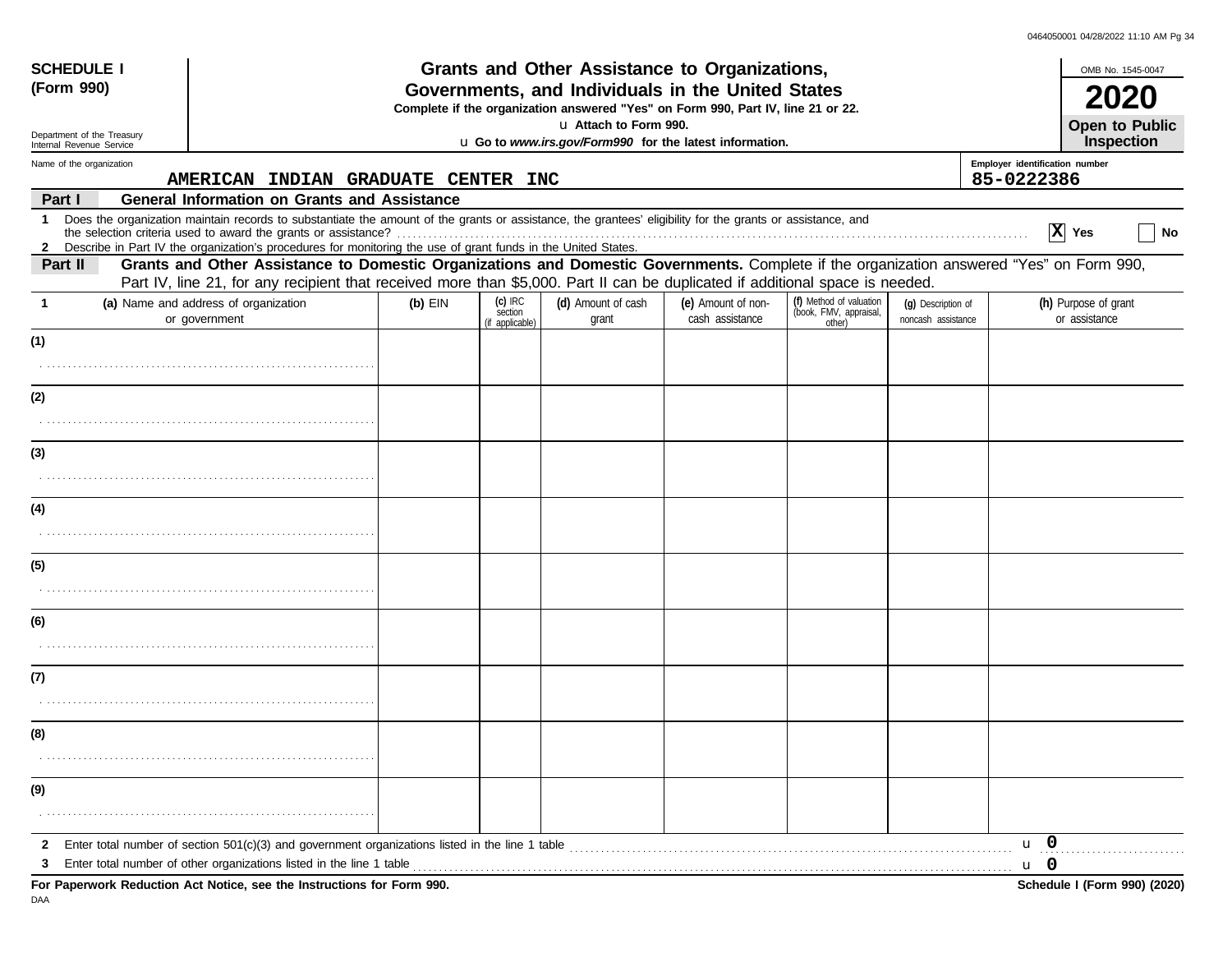| <b>SCHEDULE I</b>                                      |                                                                                                                                                                                                                                                                               |           |                      | Grants and Other Assistance to Organizations,                                    |                    |                                  |                    |                                | OMB No. 1545-0047               |
|--------------------------------------------------------|-------------------------------------------------------------------------------------------------------------------------------------------------------------------------------------------------------------------------------------------------------------------------------|-----------|----------------------|----------------------------------------------------------------------------------|--------------------|----------------------------------|--------------------|--------------------------------|---------------------------------|
| (Form 990)                                             | Governments, and Individuals in the United States                                                                                                                                                                                                                             |           |                      |                                                                                  |                    |                                  |                    |                                |                                 |
|                                                        |                                                                                                                                                                                                                                                                               |           |                      | Complete if the organization answered "Yes" on Form 990, Part IV, line 21 or 22. |                    |                                  |                    |                                |                                 |
| Department of the Treasury<br>Internal Revenue Service |                                                                                                                                                                                                                                                                               |           |                      | u Attach to Form 990.<br>u Go to www.irs.gov/Form990 for the latest information. |                    |                                  |                    |                                | Open to Public<br>Inspection    |
| Name of the organization                               |                                                                                                                                                                                                                                                                               |           |                      |                                                                                  |                    |                                  |                    | Employer identification number |                                 |
|                                                        | AMERICAN INDIAN GRADUATE CENTER INC                                                                                                                                                                                                                                           |           |                      |                                                                                  |                    |                                  |                    | 85-0222386                     |                                 |
| Part I                                                 | <b>General Information on Grants and Assistance</b>                                                                                                                                                                                                                           |           |                      |                                                                                  |                    |                                  |                    |                                |                                 |
| $\mathbf{1}$                                           | Does the organization maintain records to substantiate the amount of the grants or assistance, the grantees' eligibility for the grants or assistance, and<br>2 Describe in Part IV the organization's procedures for monitoring the use of grant funds in the United States. |           |                      |                                                                                  |                    |                                  |                    |                                | $\overline{X}$ Yes<br><b>No</b> |
| Part II                                                | Grants and Other Assistance to Domestic Organizations and Domestic Governments. Complete if the organization answered "Yes" on Form 990,<br>Part IV, line 21, for any recipient that received more than \$5,000. Part II can be duplicated if additional space is needed.     |           |                      |                                                                                  |                    |                                  |                    |                                |                                 |
| $\mathbf{1}$                                           | (a) Name and address of organization                                                                                                                                                                                                                                          | $(b)$ EIN | $(c)$ IRC<br>section | (d) Amount of cash                                                               | (e) Amount of non- | (f) Method of valuation          | (g) Description of |                                | (h) Purpose of grant            |
|                                                        | or government                                                                                                                                                                                                                                                                 |           | (if applicable)      | grant                                                                            | cash assistance    | (book, FMV, appraisal,<br>other) | noncash assistance |                                | or assistance                   |
| (1)                                                    |                                                                                                                                                                                                                                                                               |           |                      |                                                                                  |                    |                                  |                    |                                |                                 |
|                                                        |                                                                                                                                                                                                                                                                               |           |                      |                                                                                  |                    |                                  |                    |                                |                                 |
| (2)                                                    |                                                                                                                                                                                                                                                                               |           |                      |                                                                                  |                    |                                  |                    |                                |                                 |
|                                                        |                                                                                                                                                                                                                                                                               |           |                      |                                                                                  |                    |                                  |                    |                                |                                 |
|                                                        |                                                                                                                                                                                                                                                                               |           |                      |                                                                                  |                    |                                  |                    |                                |                                 |
| (3)                                                    |                                                                                                                                                                                                                                                                               |           |                      |                                                                                  |                    |                                  |                    |                                |                                 |
|                                                        |                                                                                                                                                                                                                                                                               |           |                      |                                                                                  |                    |                                  |                    |                                |                                 |
| (4)                                                    |                                                                                                                                                                                                                                                                               |           |                      |                                                                                  |                    |                                  |                    |                                |                                 |
|                                                        |                                                                                                                                                                                                                                                                               |           |                      |                                                                                  |                    |                                  |                    |                                |                                 |
| (5)                                                    |                                                                                                                                                                                                                                                                               |           |                      |                                                                                  |                    |                                  |                    |                                |                                 |
|                                                        |                                                                                                                                                                                                                                                                               |           |                      |                                                                                  |                    |                                  |                    |                                |                                 |
| (6)                                                    |                                                                                                                                                                                                                                                                               |           |                      |                                                                                  |                    |                                  |                    |                                |                                 |
|                                                        |                                                                                                                                                                                                                                                                               |           |                      |                                                                                  |                    |                                  |                    |                                |                                 |
|                                                        |                                                                                                                                                                                                                                                                               |           |                      |                                                                                  |                    |                                  |                    |                                |                                 |
| (7)                                                    |                                                                                                                                                                                                                                                                               |           |                      |                                                                                  |                    |                                  |                    |                                |                                 |
|                                                        |                                                                                                                                                                                                                                                                               |           |                      |                                                                                  |                    |                                  |                    |                                |                                 |
| (8)                                                    |                                                                                                                                                                                                                                                                               |           |                      |                                                                                  |                    |                                  |                    |                                |                                 |
|                                                        |                                                                                                                                                                                                                                                                               |           |                      |                                                                                  |                    |                                  |                    |                                |                                 |
| (9)                                                    |                                                                                                                                                                                                                                                                               |           |                      |                                                                                  |                    |                                  |                    |                                |                                 |
|                                                        |                                                                                                                                                                                                                                                                               |           |                      |                                                                                  |                    |                                  |                    |                                |                                 |
| $\mathbf{2}$                                           |                                                                                                                                                                                                                                                                               |           |                      |                                                                                  |                    |                                  |                    | $\mathbf{u}$ 0                 |                                 |
|                                                        |                                                                                                                                                                                                                                                                               |           |                      |                                                                                  |                    |                                  |                    | $\mathbf{u}$ 0                 |                                 |
|                                                        | For Paperwork Reduction Act Notice, see the Instructions for Form 990.                                                                                                                                                                                                        |           |                      |                                                                                  |                    |                                  |                    |                                | Schedule I (Form 990) (2020)    |

0464050001 04/28/2022 11:10 AM Pg 34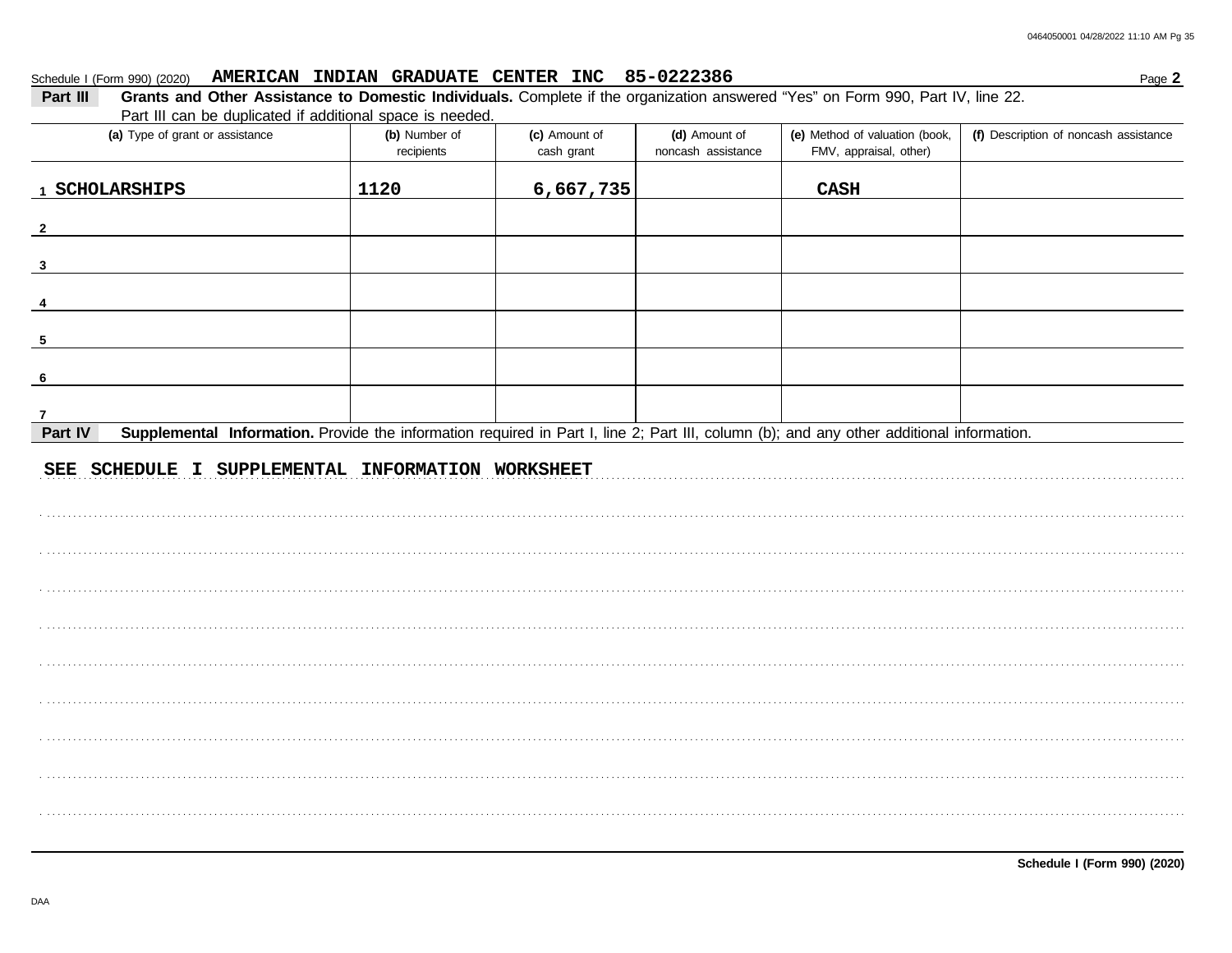Page 2

| Schedule I (Form 990) (2020) AMERICAN INDIAN GRADUATE CENTER INC $85-0222386$ |
|-------------------------------------------------------------------------------|
|-------------------------------------------------------------------------------|

Part III Grants and Other Assistance to Domestic Individuals. Complete if the organization answered "Yes" on Form 990, Part IV, line 22.

# Part III can be duplicated if additional space is needed

| (a) Type of grant or assistance                                                                                                                      | r art in carr be duplicated in additional space is needed.<br>(b) Number of | (c) Amount of | (d) Amount of      | (e) Method of valuation (book, | (f) Description of noncash assistance |
|------------------------------------------------------------------------------------------------------------------------------------------------------|-----------------------------------------------------------------------------|---------------|--------------------|--------------------------------|---------------------------------------|
|                                                                                                                                                      | recipients                                                                  | cash grant    | noncash assistance | FMV, appraisal, other)         |                                       |
|                                                                                                                                                      |                                                                             |               |                    |                                |                                       |
| 1 SCHOLARSHIPS                                                                                                                                       | 1120                                                                        | 6,667,735     |                    | CASH                           |                                       |
|                                                                                                                                                      |                                                                             |               |                    |                                |                                       |
| $\overline{\mathbf{2}}$                                                                                                                              |                                                                             |               |                    |                                |                                       |
|                                                                                                                                                      |                                                                             |               |                    |                                |                                       |
| $\overline{\mathbf{3}}$                                                                                                                              |                                                                             |               |                    |                                |                                       |
|                                                                                                                                                      |                                                                             |               |                    |                                |                                       |
| $\overline{\mathbf{4}}$                                                                                                                              |                                                                             |               |                    |                                |                                       |
|                                                                                                                                                      |                                                                             |               |                    |                                |                                       |
| $\sqrt{5}$                                                                                                                                           |                                                                             |               |                    |                                |                                       |
| $6\phantom{.}6$                                                                                                                                      |                                                                             |               |                    |                                |                                       |
|                                                                                                                                                      |                                                                             |               |                    |                                |                                       |
| $\overline{7}$                                                                                                                                       |                                                                             |               |                    |                                |                                       |
| Supplemental Information. Provide the information required in Part I, line 2; Part III, column (b); and any other additional information.<br>Part IV |                                                                             |               |                    |                                |                                       |
|                                                                                                                                                      |                                                                             |               |                    |                                |                                       |
|                                                                                                                                                      |                                                                             |               |                    |                                |                                       |
| SEE SCHEDULE I SUPPLEMENTAL INFORMATION WORKSHEET                                                                                                    |                                                                             |               |                    |                                |                                       |
|                                                                                                                                                      |                                                                             |               |                    |                                |                                       |
|                                                                                                                                                      |                                                                             |               |                    |                                |                                       |
|                                                                                                                                                      |                                                                             |               |                    |                                |                                       |
|                                                                                                                                                      |                                                                             |               |                    |                                |                                       |
|                                                                                                                                                      |                                                                             |               |                    |                                |                                       |
|                                                                                                                                                      |                                                                             |               |                    |                                |                                       |
|                                                                                                                                                      |                                                                             |               |                    |                                |                                       |
|                                                                                                                                                      |                                                                             |               |                    |                                |                                       |
|                                                                                                                                                      |                                                                             |               |                    |                                |                                       |
|                                                                                                                                                      |                                                                             |               |                    |                                |                                       |
|                                                                                                                                                      |                                                                             |               |                    |                                |                                       |
|                                                                                                                                                      |                                                                             |               |                    |                                |                                       |
|                                                                                                                                                      |                                                                             |               |                    |                                |                                       |
|                                                                                                                                                      |                                                                             |               |                    |                                |                                       |
|                                                                                                                                                      |                                                                             |               |                    |                                |                                       |
|                                                                                                                                                      |                                                                             |               |                    |                                |                                       |
|                                                                                                                                                      |                                                                             |               |                    |                                |                                       |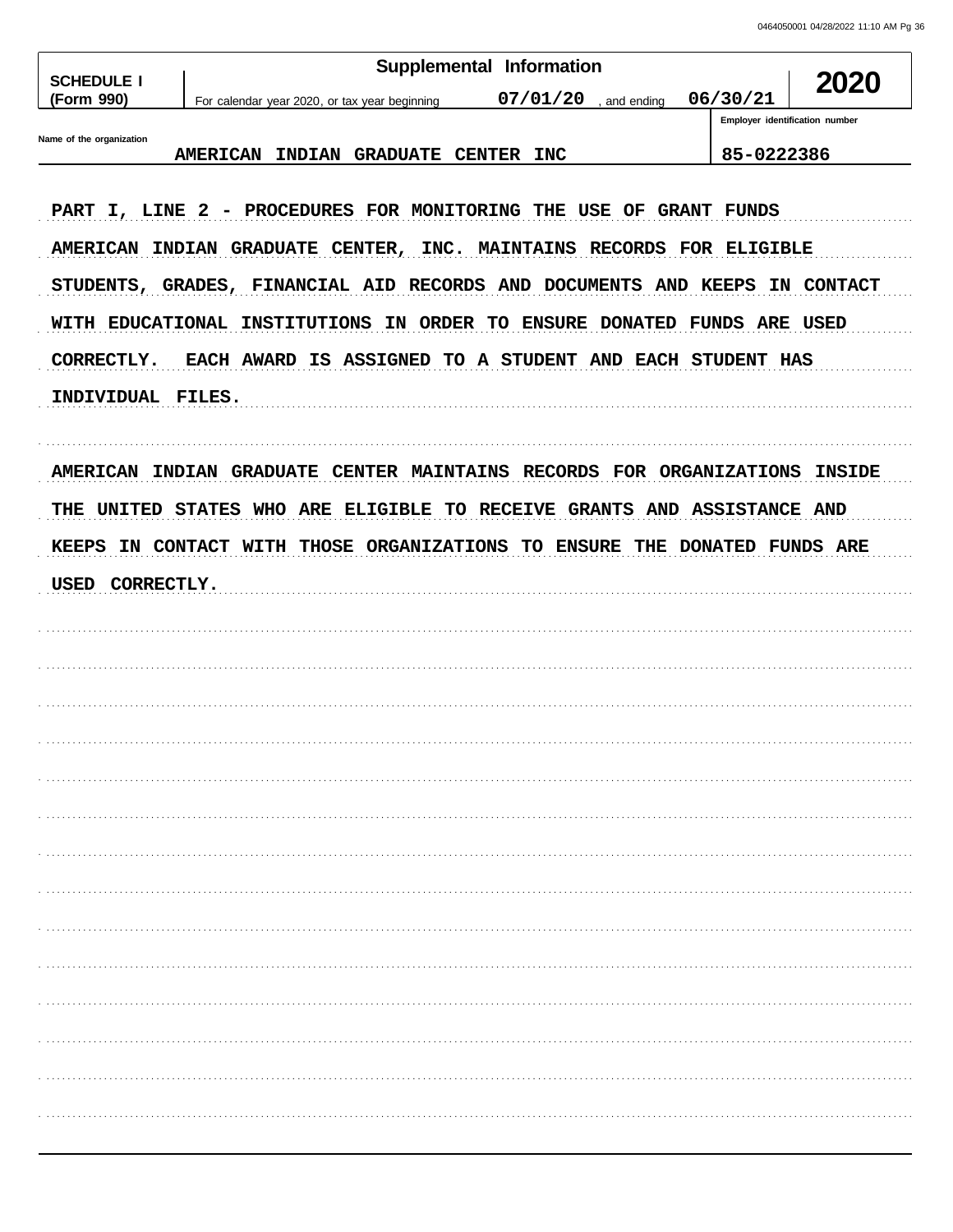| <b>SCHEDULE I</b>                                                                                                                                                                                                                                                                                                                                                                                           |                                                                                                                                                                                                                              |  | Supplemental Information |            |                                |      |  |  |
|-------------------------------------------------------------------------------------------------------------------------------------------------------------------------------------------------------------------------------------------------------------------------------------------------------------------------------------------------------------------------------------------------------------|------------------------------------------------------------------------------------------------------------------------------------------------------------------------------------------------------------------------------|--|--------------------------|------------|--------------------------------|------|--|--|
| (Form 990)                                                                                                                                                                                                                                                                                                                                                                                                  | For calendar year 2020, or tax year beginning                                                                                                                                                                                |  | 07/01/20                 | and ending | 06/30/21                       | 2020 |  |  |
| Name of the organization                                                                                                                                                                                                                                                                                                                                                                                    |                                                                                                                                                                                                                              |  |                          |            | Employer identification number |      |  |  |
|                                                                                                                                                                                                                                                                                                                                                                                                             | AMERICAN INDIAN GRADUATE CENTER INC                                                                                                                                                                                          |  |                          |            | 85-0222386                     |      |  |  |
| PART I, LINE 2 - PROCEDURES FOR MONITORING THE USE OF GRANT FUNDS<br>AMERICAN INDIAN GRADUATE CENTER, INC. MAINTAINS RECORDS FOR ELIGIBLE<br>STUDENTS, GRADES, FINANCIAL AID RECORDS AND DOCUMENTS AND KEEPS<br><b>IN CONTACT</b><br>WITH EDUCATIONAL INSTITUTIONS IN ORDER TO ENSURE DONATED FUNDS ARE USED<br>CORRECTLY.<br>EACH AWARD IS ASSIGNED TO A STUDENT AND EACH STUDENT HAS<br>INDIVIDUAL FILES. |                                                                                                                                                                                                                              |  |                          |            |                                |      |  |  |
| <b>KEEPS</b><br>USED<br>CORRECTLY.                                                                                                                                                                                                                                                                                                                                                                          | AMERICAN INDIAN GRADUATE CENTER MAINTAINS RECORDS FOR ORGANIZATIONS INSIDE<br>THE UNITED STATES WHO ARE ELIGIBLE TO RECEIVE GRANTS AND ASSISTANCE AND<br>IN CONTACT WITH THOSE ORGANIZATIONS TO ENSURE THE DONATED FUNDS ARE |  |                          |            |                                |      |  |  |
|                                                                                                                                                                                                                                                                                                                                                                                                             |                                                                                                                                                                                                                              |  |                          |            |                                |      |  |  |
|                                                                                                                                                                                                                                                                                                                                                                                                             |                                                                                                                                                                                                                              |  |                          |            |                                |      |  |  |
|                                                                                                                                                                                                                                                                                                                                                                                                             |                                                                                                                                                                                                                              |  |                          |            |                                |      |  |  |
|                                                                                                                                                                                                                                                                                                                                                                                                             |                                                                                                                                                                                                                              |  |                          |            |                                |      |  |  |
|                                                                                                                                                                                                                                                                                                                                                                                                             |                                                                                                                                                                                                                              |  |                          |            |                                |      |  |  |
|                                                                                                                                                                                                                                                                                                                                                                                                             |                                                                                                                                                                                                                              |  |                          |            |                                |      |  |  |
|                                                                                                                                                                                                                                                                                                                                                                                                             |                                                                                                                                                                                                                              |  |                          |            |                                |      |  |  |
|                                                                                                                                                                                                                                                                                                                                                                                                             |                                                                                                                                                                                                                              |  |                          |            |                                |      |  |  |
|                                                                                                                                                                                                                                                                                                                                                                                                             |                                                                                                                                                                                                                              |  |                          |            |                                |      |  |  |
|                                                                                                                                                                                                                                                                                                                                                                                                             |                                                                                                                                                                                                                              |  |                          |            |                                |      |  |  |
|                                                                                                                                                                                                                                                                                                                                                                                                             |                                                                                                                                                                                                                              |  |                          |            |                                |      |  |  |
|                                                                                                                                                                                                                                                                                                                                                                                                             |                                                                                                                                                                                                                              |  |                          |            |                                |      |  |  |
|                                                                                                                                                                                                                                                                                                                                                                                                             |                                                                                                                                                                                                                              |  |                          |            |                                |      |  |  |
|                                                                                                                                                                                                                                                                                                                                                                                                             |                                                                                                                                                                                                                              |  |                          |            |                                |      |  |  |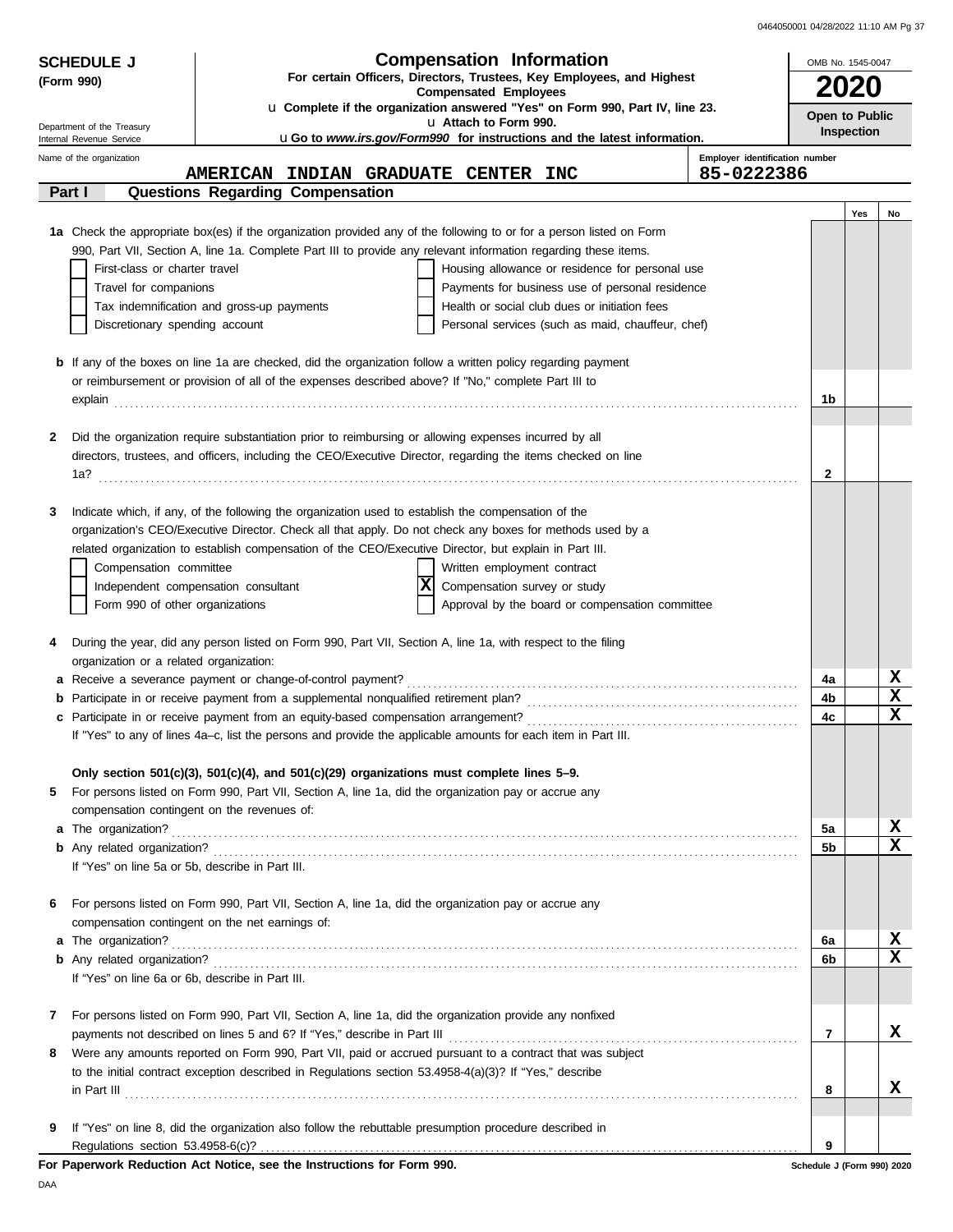| 0464050001 04/28/2022 11:10 AM Pg 37 |  |  |  |
|--------------------------------------|--|--|--|
|                                      |  |  |  |

|   | <b>SCHEDULE J</b>                                      | <b>Compensation Information</b>                                                                                                                                                                                       | OMB No. 1545-0047          |                   |        |  |  |
|---|--------------------------------------------------------|-----------------------------------------------------------------------------------------------------------------------------------------------------------------------------------------------------------------------|----------------------------|-------------------|--------|--|--|
|   | (Form 990)                                             | For certain Officers, Directors, Trustees, Key Employees, and Highest                                                                                                                                                 | <b>2020</b>                |                   |        |  |  |
|   |                                                        | <b>Compensated Employees</b><br>u Complete if the organization answered "Yes" on Form 990, Part IV, line 23.                                                                                                          |                            |                   |        |  |  |
|   | Department of the Treasury<br>Internal Revenue Service | u Attach to Form 990.<br><b>uGo to www.irs.gov/Form990 for instructions and the latest information.</b>                                                                                                               | Open to Public             | <b>Inspection</b> |        |  |  |
|   | Name of the organization                               | Employer identification number                                                                                                                                                                                        |                            |                   |        |  |  |
|   |                                                        | INDIAN GRADUATE CENTER INC<br>85-0222386<br><b>AMERICAN</b>                                                                                                                                                           |                            |                   |        |  |  |
|   | Part I                                                 | <b>Questions Regarding Compensation</b>                                                                                                                                                                               |                            |                   |        |  |  |
|   |                                                        | 1a Check the appropriate box(es) if the organization provided any of the following to or for a person listed on Form                                                                                                  |                            | Yes               | No     |  |  |
|   |                                                        | 990, Part VII, Section A, line 1a. Complete Part III to provide any relevant information regarding these items.                                                                                                       |                            |                   |        |  |  |
|   | First-class or charter travel                          | Housing allowance or residence for personal use                                                                                                                                                                       |                            |                   |        |  |  |
|   | Travel for companions                                  | Payments for business use of personal residence                                                                                                                                                                       |                            |                   |        |  |  |
|   |                                                        | Tax indemnification and gross-up payments<br>Health or social club dues or initiation fees                                                                                                                            |                            |                   |        |  |  |
|   | Discretionary spending account                         | Personal services (such as maid, chauffeur, chef)                                                                                                                                                                     |                            |                   |        |  |  |
|   |                                                        | <b>b</b> If any of the boxes on line 1a are checked, did the organization follow a written policy regarding payment                                                                                                   |                            |                   |        |  |  |
|   |                                                        | or reimbursement or provision of all of the expenses described above? If "No," complete Part III to                                                                                                                   |                            |                   |        |  |  |
|   |                                                        |                                                                                                                                                                                                                       | 1b                         |                   |        |  |  |
|   |                                                        |                                                                                                                                                                                                                       |                            |                   |        |  |  |
| 2 |                                                        | Did the organization require substantiation prior to reimbursing or allowing expenses incurred by all<br>directors, trustees, and officers, including the CEO/Executive Director, regarding the items checked on line |                            |                   |        |  |  |
|   |                                                        |                                                                                                                                                                                                                       | 2                          |                   |        |  |  |
|   |                                                        |                                                                                                                                                                                                                       |                            |                   |        |  |  |
| 3 |                                                        | Indicate which, if any, of the following the organization used to establish the compensation of the                                                                                                                   |                            |                   |        |  |  |
|   |                                                        | organization's CEO/Executive Director. Check all that apply. Do not check any boxes for methods used by a                                                                                                             |                            |                   |        |  |  |
|   |                                                        | related organization to establish compensation of the CEO/Executive Director, but explain in Part III.                                                                                                                |                            |                   |        |  |  |
|   | Compensation committee                                 | Written employment contract                                                                                                                                                                                           |                            |                   |        |  |  |
|   |                                                        | Ιx<br>Independent compensation consultant<br>Compensation survey or study                                                                                                                                             |                            |                   |        |  |  |
|   | Form 990 of other organizations                        | Approval by the board or compensation committee                                                                                                                                                                       |                            |                   |        |  |  |
| 4 |                                                        | During the year, did any person listed on Form 990, Part VII, Section A, line 1a, with respect to the filing                                                                                                          |                            |                   |        |  |  |
|   | organization or a related organization:                |                                                                                                                                                                                                                       |                            |                   |        |  |  |
|   |                                                        |                                                                                                                                                                                                                       | 4a                         |                   | X      |  |  |
|   |                                                        |                                                                                                                                                                                                                       | 4b                         |                   | х<br>х |  |  |
|   |                                                        | If "Yes" to any of lines 4a-c, list the persons and provide the applicable amounts for each item in Part III.                                                                                                         | 4c                         |                   |        |  |  |
|   |                                                        |                                                                                                                                                                                                                       |                            |                   |        |  |  |
|   |                                                        | Only section 501(c)(3), 501(c)(4), and 501(c)(29) organizations must complete lines 5-9.                                                                                                                              |                            |                   |        |  |  |
| 5 |                                                        | For persons listed on Form 990, Part VII, Section A, line 1a, did the organization pay or accrue any                                                                                                                  |                            |                   |        |  |  |
|   | compensation contingent on the revenues of:            |                                                                                                                                                                                                                       |                            |                   |        |  |  |
|   |                                                        |                                                                                                                                                                                                                       | 5a<br>5b                   |                   | X<br>x |  |  |
|   | If "Yes" on line 5a or 5b, describe in Part III.       |                                                                                                                                                                                                                       |                            |                   |        |  |  |
|   |                                                        |                                                                                                                                                                                                                       |                            |                   |        |  |  |
| 6 |                                                        | For persons listed on Form 990, Part VII, Section A, line 1a, did the organization pay or accrue any                                                                                                                  |                            |                   |        |  |  |
|   |                                                        | compensation contingent on the net earnings of:                                                                                                                                                                       |                            |                   |        |  |  |
|   |                                                        |                                                                                                                                                                                                                       | 6a                         |                   | X<br>x |  |  |
|   | If "Yes" on line 6a or 6b, describe in Part III.       |                                                                                                                                                                                                                       | 6b                         |                   |        |  |  |
|   |                                                        |                                                                                                                                                                                                                       |                            |                   |        |  |  |
| 7 |                                                        | For persons listed on Form 990, Part VII, Section A, line 1a, did the organization provide any nonfixed                                                                                                               |                            |                   |        |  |  |
|   |                                                        |                                                                                                                                                                                                                       | 7                          |                   | x      |  |  |
| 8 |                                                        | Were any amounts reported on Form 990, Part VII, paid or accrued pursuant to a contract that was subject                                                                                                              |                            |                   |        |  |  |
|   |                                                        | to the initial contract exception described in Regulations section 53.4958-4(a)(3)? If "Yes," describe                                                                                                                | 8                          |                   | x      |  |  |
|   |                                                        |                                                                                                                                                                                                                       |                            |                   |        |  |  |
| 9 |                                                        | If "Yes" on line 8, did the organization also follow the rebuttable presumption procedure described in                                                                                                                |                            |                   |        |  |  |
|   |                                                        |                                                                                                                                                                                                                       | 9                          |                   |        |  |  |
|   |                                                        | For Paperwork Reduction Act Notice, see the Instructions for Form 990.                                                                                                                                                | Schedule J (Form 990) 2020 |                   |        |  |  |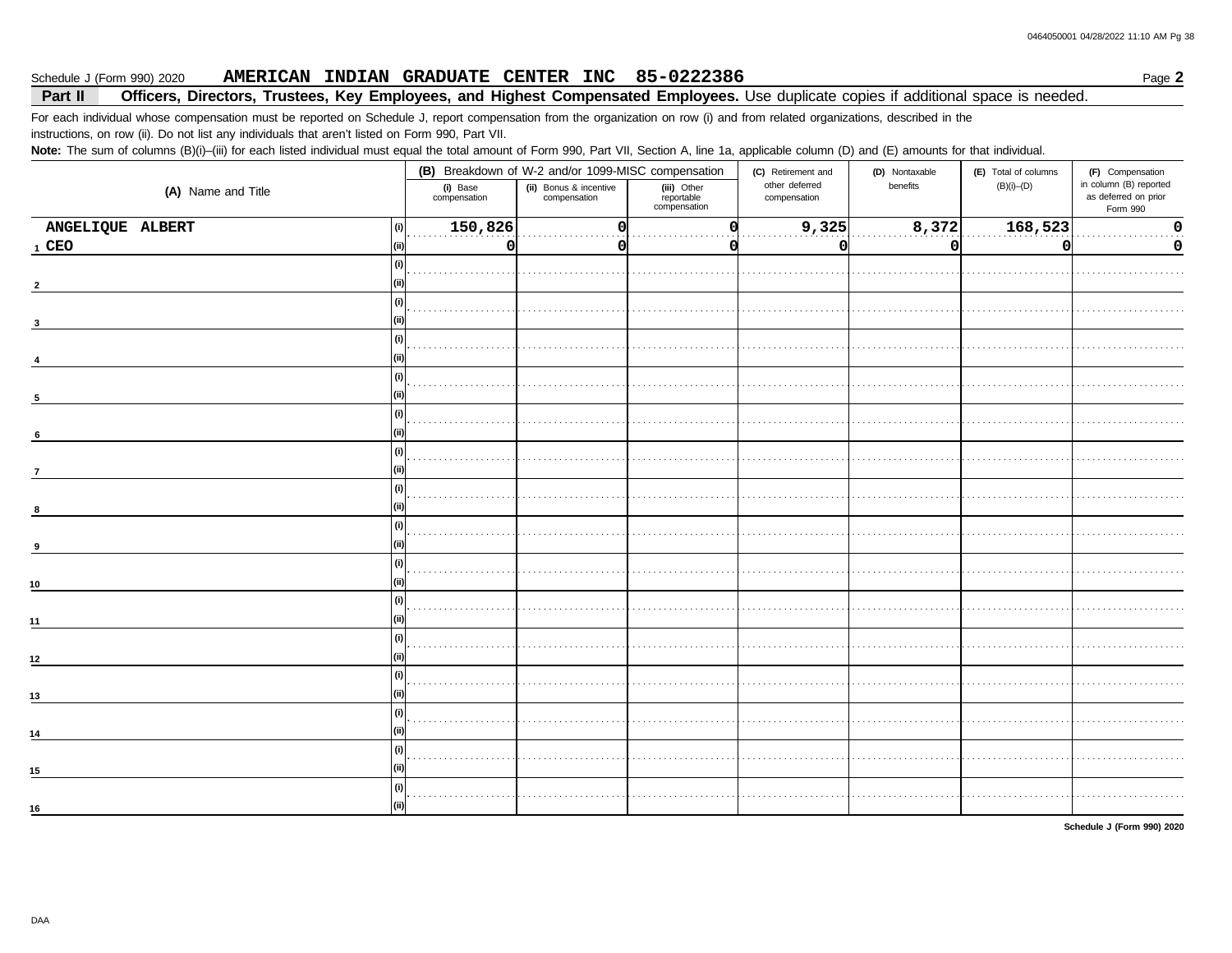#### AMERICAN INDIAN GRADUATE CENTER INC 85-0222386 Schedule J (Form 990) 2020

#### Page 2

#### Officers, Directors, Trustees, Key Employees, and Highest Compensated Employees. Use duplicate copies if additional space is needed. Part II

For each individual whose compensation must be reported on Schedule J, report compensation from the organization on row (i) and from related organizations, described in the instructions, on row (ii). Do not list any individuals that aren't listed on Form 990, Part VII.

Note: The sum of columns (B)(i)-(iii) for each listed individual must equal the total amount of Form 990, Part VII, Section A, line 1a, applicable column (D) and (E) amounts for that individual.

|                         |                          | (B) Breakdown of W-2 and/or 1099-MISC compensation |                                           | (C) Retirement and             | (D) Nontaxable | (E) Total of columns | (F) Compensation                                           |
|-------------------------|--------------------------|----------------------------------------------------|-------------------------------------------|--------------------------------|----------------|----------------------|------------------------------------------------------------|
| (A) Name and Title      | (i) Base<br>compensation | (ii) Bonus & incentive<br>compensation             | (iii) Other<br>reportable<br>compensation | other deferred<br>compensation | benefits       | $(B)(i)$ - $(D)$     | in column (B) reported<br>as deferred on prior<br>Form 990 |
| ANGELIQUE ALBERT<br>(i) | 150,826                  | $\mathbf 0$                                        |                                           | 9,325                          | 8,372          | 168,523              | 0                                                          |
| 1 CEO                   | 0                        | 0                                                  |                                           | Ω                              | 0              |                      | 0                                                          |
|                         |                          |                                                    |                                           |                                |                |                      |                                                            |
|                         |                          |                                                    |                                           |                                |                |                      |                                                            |
|                         |                          |                                                    |                                           |                                |                |                      |                                                            |
|                         |                          |                                                    |                                           |                                |                |                      |                                                            |
| (i)                     |                          |                                                    |                                           |                                |                |                      |                                                            |
|                         |                          |                                                    |                                           |                                |                |                      |                                                            |
|                         |                          |                                                    |                                           |                                |                |                      |                                                            |
| 5                       |                          |                                                    |                                           |                                |                |                      |                                                            |
| (i)                     |                          |                                                    |                                           |                                |                |                      |                                                            |
| 6                       |                          |                                                    |                                           |                                |                |                      |                                                            |
|                         |                          |                                                    |                                           |                                |                |                      |                                                            |
| $\overline{7}$          |                          |                                                    |                                           |                                |                |                      |                                                            |
|                         |                          |                                                    |                                           |                                |                |                      |                                                            |
|                         |                          |                                                    |                                           |                                |                |                      |                                                            |
| 9                       |                          |                                                    |                                           |                                |                |                      |                                                            |
|                         |                          |                                                    |                                           |                                |                |                      |                                                            |
| 10                      |                          |                                                    |                                           |                                |                |                      |                                                            |
|                         |                          |                                                    |                                           |                                |                |                      |                                                            |
| 11                      |                          |                                                    |                                           |                                |                |                      |                                                            |
|                         |                          |                                                    |                                           |                                |                |                      |                                                            |
| 12                      |                          |                                                    |                                           |                                |                |                      |                                                            |
|                         |                          |                                                    |                                           |                                |                |                      |                                                            |
| 13                      |                          |                                                    |                                           |                                |                |                      |                                                            |
|                         |                          |                                                    |                                           |                                |                |                      |                                                            |
| 14                      |                          |                                                    |                                           |                                |                |                      |                                                            |
|                         |                          |                                                    |                                           |                                |                |                      |                                                            |
| 15                      |                          |                                                    |                                           |                                |                |                      |                                                            |
|                         |                          |                                                    |                                           |                                |                |                      |                                                            |
| 16                      |                          |                                                    |                                           |                                |                |                      |                                                            |

Schedule J (Form 990) 2020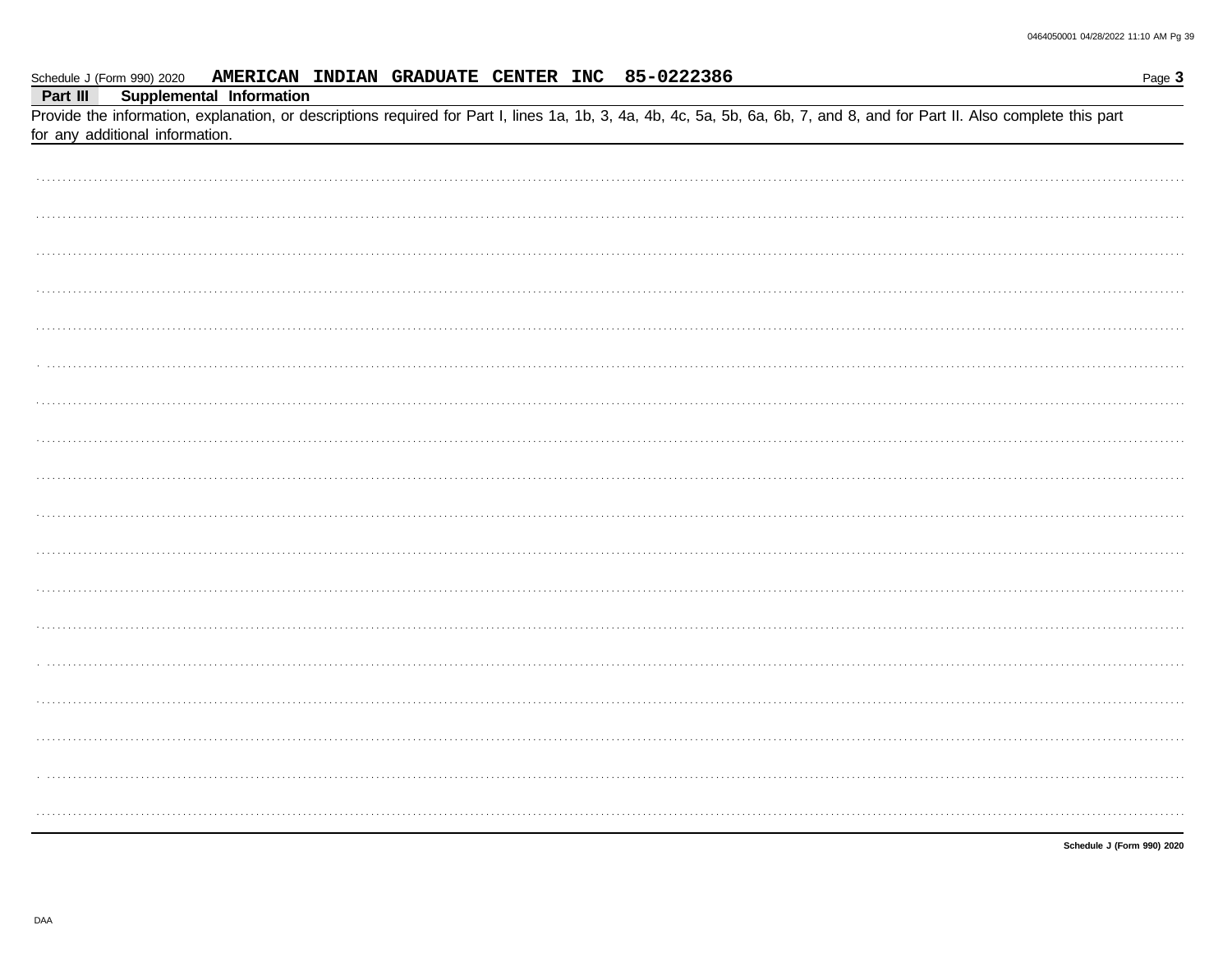| Schedule J (Form 990) 2020 AMERICAN INDIAN GRADUATE CENTER INC $85-0222386$ |  |  |  |  |
|-----------------------------------------------------------------------------|--|--|--|--|
|                                                                             |  |  |  |  |

Page 3

| Provide the information, explanation, or descriptions required for Part I, lines 1a, 1b, 3, 4a, 4b, 4c, 5a, 5b, 6a, 6b, 7, and 8, and for Part II. Also complete this part<br>for any additional information. |
|---------------------------------------------------------------------------------------------------------------------------------------------------------------------------------------------------------------|
|                                                                                                                                                                                                               |
|                                                                                                                                                                                                               |
|                                                                                                                                                                                                               |
|                                                                                                                                                                                                               |
|                                                                                                                                                                                                               |
|                                                                                                                                                                                                               |
|                                                                                                                                                                                                               |
|                                                                                                                                                                                                               |
|                                                                                                                                                                                                               |
|                                                                                                                                                                                                               |
|                                                                                                                                                                                                               |
|                                                                                                                                                                                                               |
|                                                                                                                                                                                                               |
|                                                                                                                                                                                                               |
|                                                                                                                                                                                                               |
|                                                                                                                                                                                                               |
|                                                                                                                                                                                                               |
|                                                                                                                                                                                                               |
|                                                                                                                                                                                                               |

Part III

Supplemental Information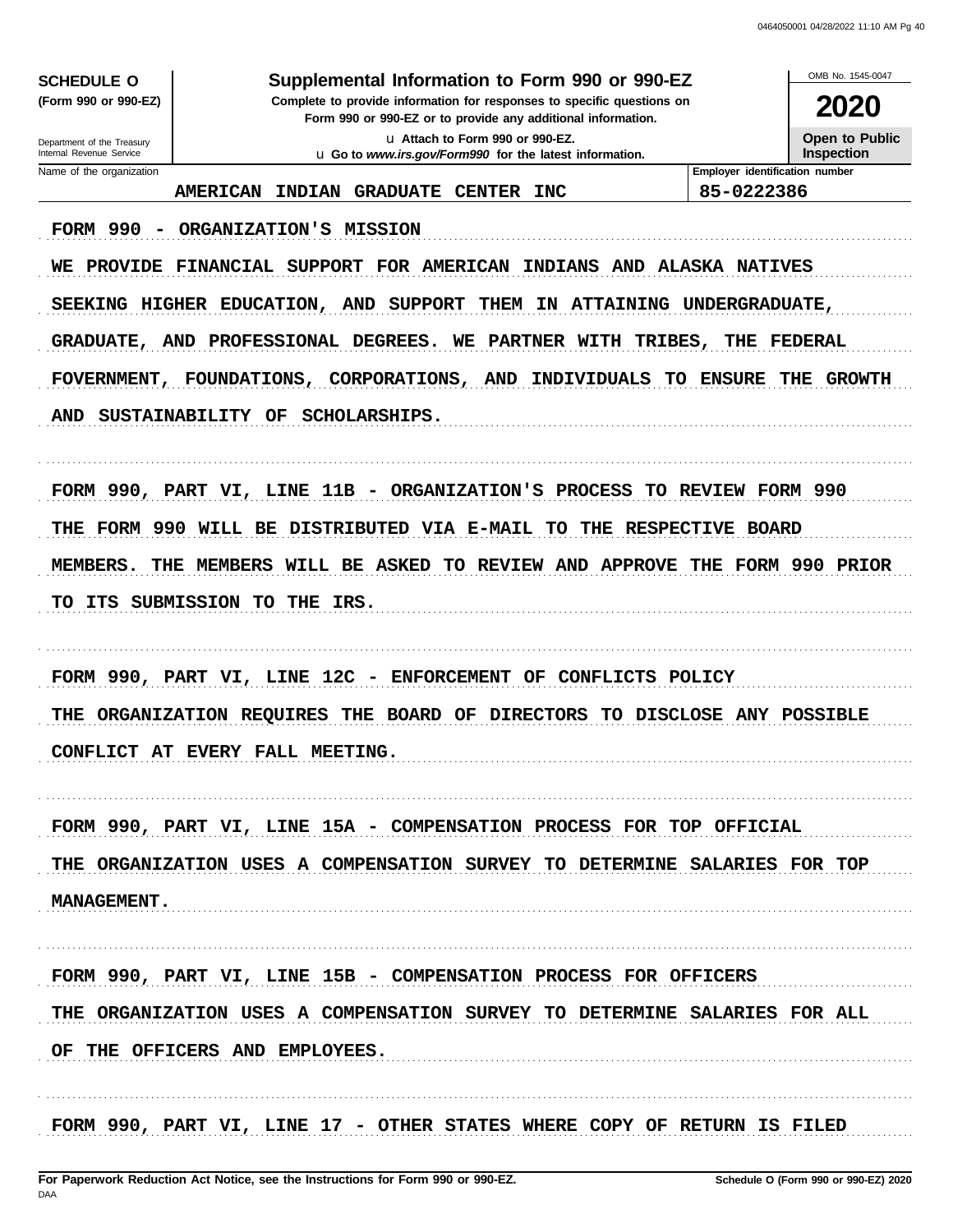OMB No 1545-0047

2020

**SCHEDULE O** 

(Form 990 or 990-EZ)

# Supplemental Information to Form 990 or 990-EZ

Complete to provide information for responses to specific questions on Form 990 or 990-EZ or to provide any additional information.

> u Attach to Form 990 or 990-EZ. u Go to www.irs.gov/Form990 for the latest information.

**Open to Public** Inspection Employer identification number

Department of the Treasury Internal Revenue Service Name of the organization

85-0222386

FORM 990 - ORGANIZATION'S MISSION

WE PROVIDE FINANCIAL SUPPORT FOR AMERICAN INDIANS AND ALASKA NATIVES

AMERICAN INDIAN GRADUATE CENTER INC

SEEKING HIGHER EDUCATION, AND SUPPORT THEM IN ATTAINING UNDERGRADUATE,

GRADUATE, AND PROFESSIONAL DEGREES. WE PARTNER WITH TRIBES, THE FEDERAL

FOVERNMENT, FOUNDATIONS, CORPORATIONS, AND INDIVIDUALS TO ENSURE THE GROWTH

AND SUSTAINABILITY OF SCHOLARSHIPS.

FORM 990, PART VI, LINE 11B - ORGANIZATION'S PROCESS TO REVIEW FORM 990 THE FORM 990 WILL BE DISTRIBUTED VIA E-MAIL TO THE RESPECTIVE BOARD MEMBERS. THE MEMBERS WILL BE ASKED TO REVIEW AND APPROVE THE FORM 990 PRIOR TO ITS SUBMISSION TO THE IRS.

FORM 990, PART VI, LINE 12C - ENFORCEMENT OF CONFLICTS POLICY THE ORGANIZATION REQUIRES THE BOARD OF DIRECTORS TO DISCLOSE ANY POSSIBLE CONFLICT AT EVERY FALL MEETING.

FORM 990, PART VI, LINE 15A - COMPENSATION PROCESS FOR TOP OFFICIAL THE ORGANIZATION USES A COMPENSATION SURVEY TO DETERMINE SALARIES FOR TOP **MANAGEMENT.** 

FORM 990, PART VI, LINE 15B - COMPENSATION PROCESS FOR OFFICERS THE ORGANIZATION USES A COMPENSATION SURVEY TO DETERMINE SALARIES FOR ALL OF THE OFFICERS AND EMPLOYEES.

FORM 990, PART VI, LINE 17 - OTHER STATES WHERE COPY OF RETURN IS FILED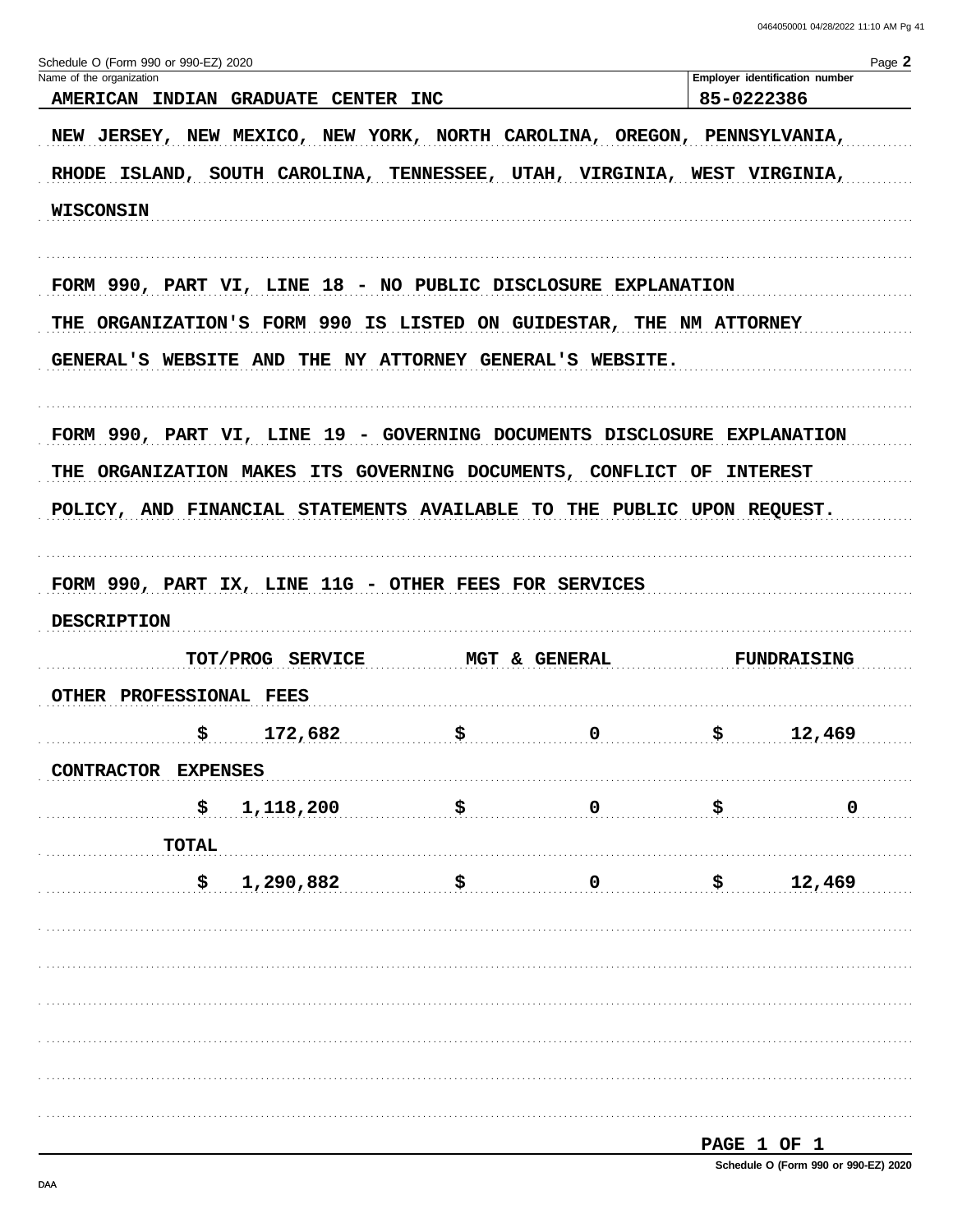| Name of the organization                                                    | Schedule O (Form 990 or 990-EZ) 2020 |                          |                    | Page 2<br>Employer identification number |
|-----------------------------------------------------------------------------|--------------------------------------|--------------------------|--------------------|------------------------------------------|
| AMERICAN INDIAN GRADUATE CENTER INC                                         |                                      |                          | 85-0222386         |                                          |
| NEW JERSEY, NEW MEXICO, NEW YORK, NORTH CAROLINA, OREGON, PENNSYLVANIA,     |                                      |                          |                    |                                          |
| RHODE ISLAND, SOUTH CAROLINA, TENNESSEE, UTAH, VIRGINIA, WEST VIRGINIA,     |                                      |                          |                    |                                          |
| <b>WISCONSIN</b>                                                            |                                      |                          |                    |                                          |
|                                                                             |                                      |                          |                    |                                          |
|                                                                             |                                      |                          |                    |                                          |
| FORM 990, PART VI, LINE 18 - NO PUBLIC DISCLOSURE EXPLANATION               |                                      |                          |                    |                                          |
| THE ORGANIZATION'S FORM 990 IS LISTED ON GUIDESTAR, THE NM ATTORNEY         |                                      |                          |                    |                                          |
| GENERAL'S WEBSITE AND THE NY ATTORNEY GENERAL'S WEBSITE.                    |                                      |                          |                    |                                          |
|                                                                             |                                      |                          |                    |                                          |
| FORM 990, PART VI, LINE 19 - GOVERNING DOCUMENTS DISCLOSURE EXPLANATION     |                                      |                          |                    |                                          |
| THE ORGANIZATION MAKES ITS GOVERNING DOCUMENTS, CONFLICT OF INTEREST        |                                      |                          |                    |                                          |
| POLICY, AND FINANCIAL STATEMENTS AVAILABLE TO THE PUBLIC UPON REQUEST.      |                                      |                          |                    |                                          |
|                                                                             |                                      |                          |                    |                                          |
| FORM 990, PART IX, LINE 11G - OTHER FEES FOR SERVICES<br><b>DESCRIPTION</b> |                                      |                          |                    |                                          |
|                                                                             | TOT/PROG SERVICE                     | <b>MGT &amp; GENERAL</b> |                    | <b>FUNDRAISING</b>                       |
| OTHER PROFESSIONAL FEES                                                     |                                      |                          |                    |                                          |
| \$                                                                          | 172,682                              | \$<br>$\mathbf 0$        | <b>\$ 200 ዓ.ም.</b> | 12,469                                   |
| CONTRACTOR EXPENSES                                                         |                                      |                          |                    |                                          |
| \$                                                                          | 1,118,200                            | \$<br>0                  | \$                 | 0                                        |
| <b>TOTAL</b>                                                                |                                      |                          |                    |                                          |
|                                                                             |                                      |                          |                    |                                          |
| \$                                                                          | 1,290,882                            | \$<br>$\mathbf 0$        |                    | \$12,469                                 |
|                                                                             |                                      |                          |                    |                                          |
|                                                                             |                                      |                          |                    |                                          |
|                                                                             |                                      |                          |                    |                                          |
|                                                                             |                                      |                          |                    |                                          |
|                                                                             |                                      |                          |                    |                                          |
|                                                                             |                                      |                          |                    |                                          |

Schedule O (Form 990 or 990-EZ) 2020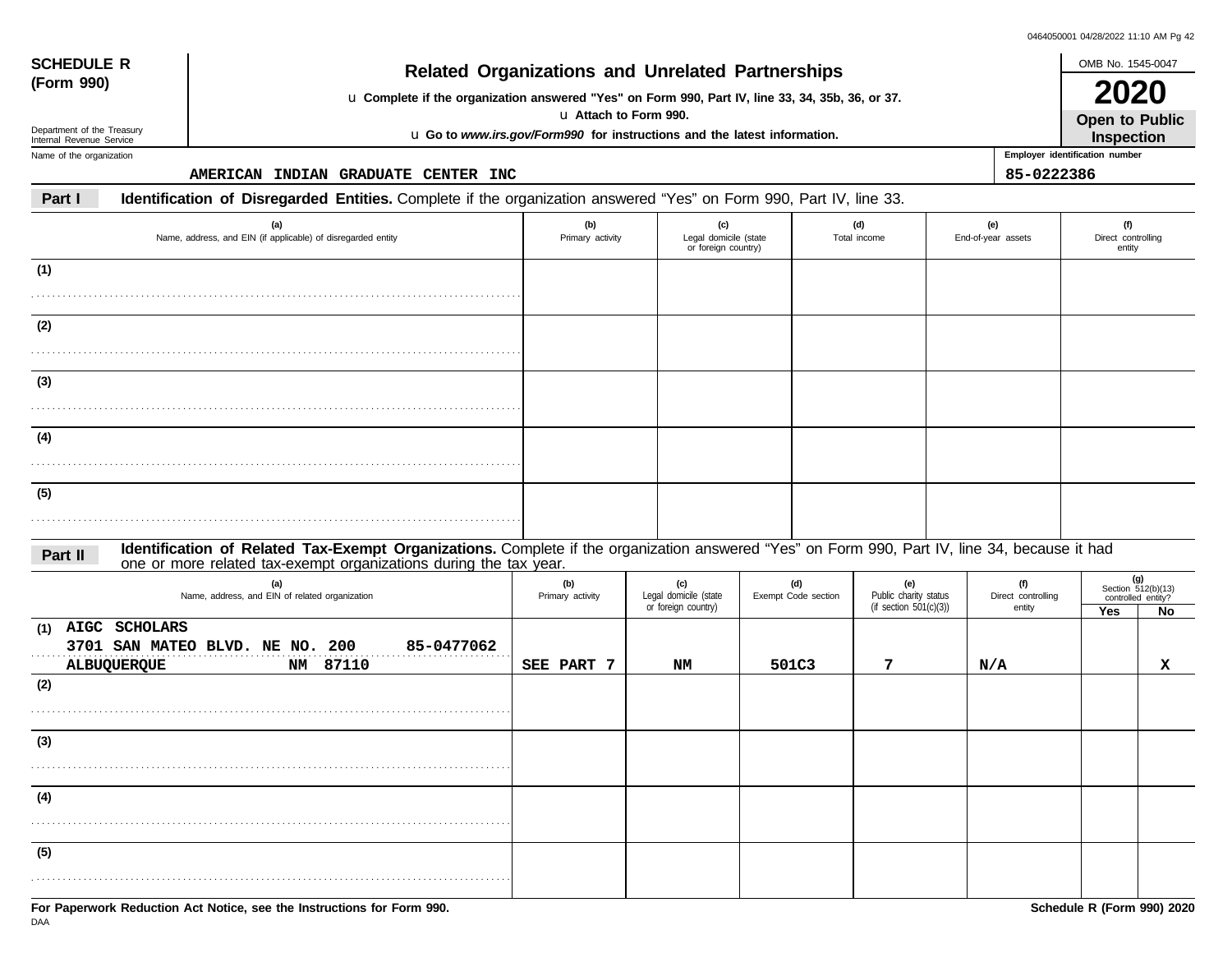| 0464050001 04/28/2022 11:10 AM Pg 42 |  |  |  |
|--------------------------------------|--|--|--|
|                                      |  |  |  |

| <b>SCHEDULE R</b>                                    |                                                                                                                                                                                                                    | <b>Related Organizations and Unrelated Partnerships</b>                                           |                                                     |                            |                                                        |                                     | OMB No. 1545-0047                   |                                                         |
|------------------------------------------------------|--------------------------------------------------------------------------------------------------------------------------------------------------------------------------------------------------------------------|---------------------------------------------------------------------------------------------------|-----------------------------------------------------|----------------------------|--------------------------------------------------------|-------------------------------------|-------------------------------------|---------------------------------------------------------|
| (Form 990)                                           | u Complete if the organization answered "Yes" on Form 990, Part IV, line 33, 34, 35b, 36, or 37.                                                                                                                   |                                                                                                   |                                                     |                            |                                                        |                                     | 2020                                |                                                         |
| Department of the Treasury                           |                                                                                                                                                                                                                    | u Attach to Form 990.<br>u Go to www.irs.gov/Form990 for instructions and the latest information. |                                                     |                            |                                                        |                                     | Open to Public<br>Inspection        |                                                         |
| Internal Revenue Service<br>Name of the organization |                                                                                                                                                                                                                    |                                                                                                   |                                                     |                            |                                                        |                                     | Employer identification number      |                                                         |
|                                                      | AMERICAN INDIAN GRADUATE CENTER INC                                                                                                                                                                                |                                                                                                   |                                                     |                            |                                                        | 85-0222386                          |                                     |                                                         |
| Part I                                               | Identification of Disregarded Entities. Complete if the organization answered "Yes" on Form 990, Part IV, line 33.                                                                                                 |                                                                                                   |                                                     |                            |                                                        |                                     |                                     |                                                         |
|                                                      | (a)<br>Name, address, and EIN (if applicable) of disregarded entity                                                                                                                                                | (b)<br>Primary activity                                                                           | (c)<br>Legal domicile (state<br>or foreign country) |                            | (d)<br>Total income                                    | (e)<br>End-of-year assets           | (f)<br>Direct controlling<br>entity |                                                         |
| (1)                                                  |                                                                                                                                                                                                                    |                                                                                                   |                                                     |                            |                                                        |                                     |                                     |                                                         |
|                                                      |                                                                                                                                                                                                                    |                                                                                                   |                                                     |                            |                                                        |                                     |                                     |                                                         |
| (2)                                                  |                                                                                                                                                                                                                    |                                                                                                   |                                                     |                            |                                                        |                                     |                                     |                                                         |
|                                                      |                                                                                                                                                                                                                    |                                                                                                   |                                                     |                            |                                                        |                                     |                                     |                                                         |
| (3)                                                  |                                                                                                                                                                                                                    |                                                                                                   |                                                     |                            |                                                        |                                     |                                     |                                                         |
|                                                      |                                                                                                                                                                                                                    |                                                                                                   |                                                     |                            |                                                        |                                     |                                     |                                                         |
| (4)                                                  |                                                                                                                                                                                                                    |                                                                                                   |                                                     |                            |                                                        |                                     |                                     |                                                         |
|                                                      |                                                                                                                                                                                                                    |                                                                                                   |                                                     |                            |                                                        |                                     |                                     |                                                         |
| (5)                                                  |                                                                                                                                                                                                                    |                                                                                                   |                                                     |                            |                                                        |                                     |                                     |                                                         |
|                                                      |                                                                                                                                                                                                                    |                                                                                                   |                                                     |                            |                                                        |                                     |                                     |                                                         |
| Part II                                              | Identification of Related Tax-Exempt Organizations. Complete if the organization answered "Yes" on Form 990, Part IV, line 34, because it had<br>one or more related tax-exempt organizations during the tax year. |                                                                                                   |                                                     |                            |                                                        |                                     |                                     |                                                         |
|                                                      | (a)<br>Name, address, and EIN of related organization                                                                                                                                                              | (b)<br>Primary activity                                                                           | (c)<br>Legal domicile (state<br>or foreign country) | (d)<br>Exempt Code section | (e)<br>Public charity status<br>(if section 501(c)(3)) | (f)<br>Direct controlling<br>entity | Yes                                 | $(g)$<br>Section 512(b)(13)<br>controlled entity?<br>No |
| <b>AIGC SCHOLARS</b><br>(1)                          | 3701 SAN MATEO BLVD. NE NO. 200<br>85-0477062<br>NM 87110                                                                                                                                                          |                                                                                                   |                                                     | 501C3                      | 7                                                      |                                     |                                     |                                                         |
| ALBUQUERQUE<br>(2)                                   |                                                                                                                                                                                                                    | SEE PART 7                                                                                        | NM                                                  |                            |                                                        | N/A                                 |                                     | X                                                       |
|                                                      |                                                                                                                                                                                                                    |                                                                                                   |                                                     |                            |                                                        |                                     |                                     |                                                         |
| (3)                                                  |                                                                                                                                                                                                                    |                                                                                                   |                                                     |                            |                                                        |                                     |                                     |                                                         |
| .                                                    |                                                                                                                                                                                                                    |                                                                                                   |                                                     |                            |                                                        |                                     |                                     |                                                         |
| (4)                                                  |                                                                                                                                                                                                                    |                                                                                                   |                                                     |                            |                                                        |                                     |                                     |                                                         |
|                                                      |                                                                                                                                                                                                                    |                                                                                                   |                                                     |                            |                                                        |                                     |                                     |                                                         |
| (5)                                                  |                                                                                                                                                                                                                    |                                                                                                   |                                                     |                            |                                                        |                                     |                                     |                                                         |
|                                                      |                                                                                                                                                                                                                    |                                                                                                   |                                                     |                            |                                                        |                                     |                                     |                                                         |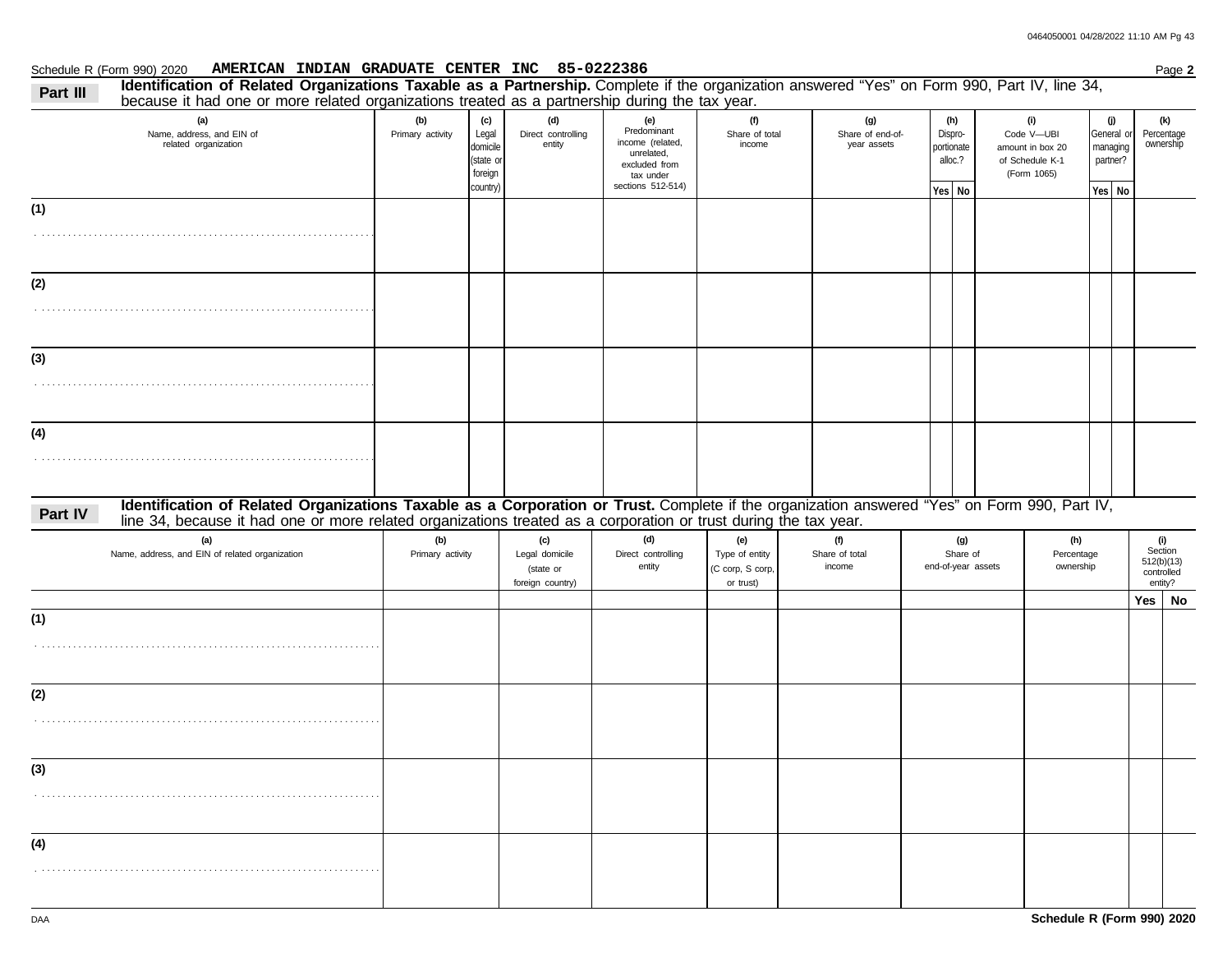### Schedule R (Form 990) 2020 Page **2 AMERICAN INDIAN GRADUATE CENTER INC 85-0222386**

| (a)<br>Name, address, and EIN of<br>related organization                                                                                                                                                                                                                | (b)<br>Primary activity | (c)<br>Legal<br>domicile<br>(state or<br>foreign | (d)<br>Direct controlling<br>entity             | (e)<br>Predominant<br>income (related,<br>unrelated,<br>excluded from<br>tax under | (f)<br>Share of total<br>income                 | (g)<br>Share of end-of-<br>year assets | (h)<br>Dispro-<br>portionate<br>alloc.? | (i)<br>Code V-UBI<br>amount in box 20<br>of Schedule K-1<br>(Form 1065) | General or | (j)<br>managing<br>partner? | (k)<br>Percentage<br>ownership                 |
|-------------------------------------------------------------------------------------------------------------------------------------------------------------------------------------------------------------------------------------------------------------------------|-------------------------|--------------------------------------------------|-------------------------------------------------|------------------------------------------------------------------------------------|-------------------------------------------------|----------------------------------------|-----------------------------------------|-------------------------------------------------------------------------|------------|-----------------------------|------------------------------------------------|
|                                                                                                                                                                                                                                                                         |                         | country)                                         |                                                 | sections 512-514)                                                                  |                                                 |                                        | Yes   No                                |                                                                         | Yes No     |                             |                                                |
| (1)                                                                                                                                                                                                                                                                     |                         |                                                  |                                                 |                                                                                    |                                                 |                                        |                                         |                                                                         |            |                             |                                                |
|                                                                                                                                                                                                                                                                         |                         |                                                  |                                                 |                                                                                    |                                                 |                                        |                                         |                                                                         |            |                             |                                                |
| (2)                                                                                                                                                                                                                                                                     |                         |                                                  |                                                 |                                                                                    |                                                 |                                        |                                         |                                                                         |            |                             |                                                |
|                                                                                                                                                                                                                                                                         |                         |                                                  |                                                 |                                                                                    |                                                 |                                        |                                         |                                                                         |            |                             |                                                |
| (3)                                                                                                                                                                                                                                                                     |                         |                                                  |                                                 |                                                                                    |                                                 |                                        |                                         |                                                                         |            |                             |                                                |
|                                                                                                                                                                                                                                                                         |                         |                                                  |                                                 |                                                                                    |                                                 |                                        |                                         |                                                                         |            |                             |                                                |
| (4)                                                                                                                                                                                                                                                                     |                         |                                                  |                                                 |                                                                                    |                                                 |                                        |                                         |                                                                         |            |                             |                                                |
|                                                                                                                                                                                                                                                                         |                         |                                                  |                                                 |                                                                                    |                                                 |                                        |                                         |                                                                         |            |                             |                                                |
|                                                                                                                                                                                                                                                                         |                         |                                                  |                                                 |                                                                                    |                                                 |                                        |                                         |                                                                         |            |                             |                                                |
| Identification of Related Organizations Taxable as a Corporation or Trust. Complete if the organization answered "Yes" on Form 990, Part IV,<br>line 34, because it had one or more related organizations treated as a corporation or trust during the tax year.<br>(a) | (b)                     |                                                  | (c)                                             | (d)                                                                                | (e)                                             | (f)                                    | (g)                                     | (h)                                                                     |            |                             | (i)                                            |
| Name, address, and EIN of related organization                                                                                                                                                                                                                          | Primary activity        |                                                  | Legal domicile<br>(state or<br>foreign country) | Direct controlling<br>entity                                                       | Type of entity<br>(C corp, S corp,<br>or trust) | Share of total<br>income               | Share of<br>end-of-year assets          | Percentage<br>ownership                                                 |            |                             | Section<br>512(b)(13)<br>controlled<br>entity? |
|                                                                                                                                                                                                                                                                         |                         |                                                  |                                                 |                                                                                    |                                                 |                                        |                                         |                                                                         |            |                             | Yes No                                         |
|                                                                                                                                                                                                                                                                         |                         |                                                  |                                                 |                                                                                    |                                                 |                                        |                                         |                                                                         |            |                             |                                                |
|                                                                                                                                                                                                                                                                         |                         |                                                  |                                                 |                                                                                    |                                                 |                                        |                                         |                                                                         |            |                             |                                                |
|                                                                                                                                                                                                                                                                         |                         |                                                  |                                                 |                                                                                    |                                                 |                                        |                                         |                                                                         |            |                             |                                                |
|                                                                                                                                                                                                                                                                         |                         |                                                  |                                                 |                                                                                    |                                                 |                                        |                                         |                                                                         |            |                             |                                                |
|                                                                                                                                                                                                                                                                         |                         |                                                  |                                                 |                                                                                    |                                                 |                                        |                                         |                                                                         |            |                             |                                                |
|                                                                                                                                                                                                                                                                         |                         |                                                  |                                                 |                                                                                    |                                                 |                                        |                                         |                                                                         |            |                             |                                                |
| Part IV<br>(1)<br>(2)<br>(3)<br>(4)                                                                                                                                                                                                                                     |                         |                                                  |                                                 |                                                                                    |                                                 |                                        |                                         |                                                                         |            |                             |                                                |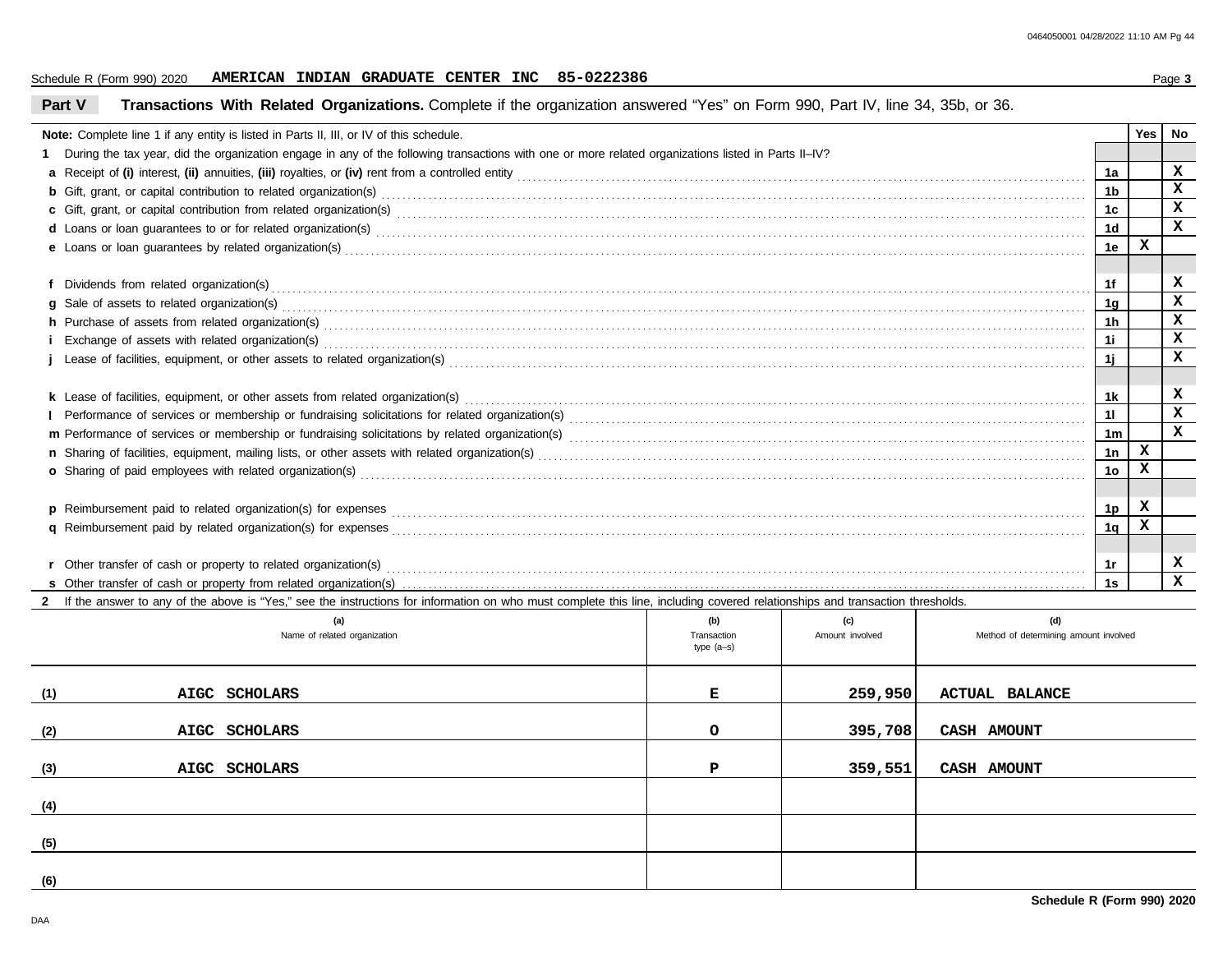#### Schedule R (Form 990) 2020 Page **3 AMERICAN INDIAN GRADUATE CENTER INC 85-0222386**

| Part V | Transactions With Related Organizations. Complete if the organization answered "Yes" on Form 990, Part IV, line 34, 35b, or 36.                                                                                                     |                                  |                        |                                              |                |             |   |
|--------|-------------------------------------------------------------------------------------------------------------------------------------------------------------------------------------------------------------------------------------|----------------------------------|------------------------|----------------------------------------------|----------------|-------------|---|
|        | Note: Complete line 1 if any entity is listed in Parts II, III, or IV of this schedule.                                                                                                                                             |                                  |                        |                                              |                | Yes   No    |   |
|        | 1 During the tax year, did the organization engage in any of the following transactions with one or more related organizations listed in Parts II–IV?                                                                               |                                  |                        |                                              |                |             |   |
|        |                                                                                                                                                                                                                                     |                                  |                        |                                              | 1a             |             | x |
|        | <b>b</b> Gift, grant, or capital contribution to related organization(s) encourse contained and contained and contribution to related organization(s) encourse contained and contained and contained and contained and contained an |                                  |                        |                                              | 1 <sub>b</sub> |             | x |
|        | c Gift, grant, or capital contribution from related organization(s) encourse the content of content and content of the content of the contribution from related organization(s) encourse the content of content of content of       |                                  |                        |                                              | 1 <sub>c</sub> |             | x |
|        | d Loans or loan guarantees to or for related organization(s) encourance contained and contained a contained and contained a contact the contact or for related organization(s) encourance contact the contact of contact or fo      |                                  |                        |                                              | 1 <sub>d</sub> |             | x |
|        |                                                                                                                                                                                                                                     |                                  |                        |                                              | 1e             | x           |   |
|        |                                                                                                                                                                                                                                     |                                  |                        |                                              | 1f             |             | x |
|        |                                                                                                                                                                                                                                     |                                  |                        |                                              |                |             | x |
|        |                                                                                                                                                                                                                                     |                                  |                        |                                              | 1 <sub>q</sub> |             | x |
|        | h Purchase of assets from related organization(s) with an intervention control control or control or control or control or control or control or control or control or control or control or control or control or control or       |                                  |                        |                                              | 1h             |             |   |
|        | i Exchange of assets with related organization(s) exchange that contains a substantial contains a set of assets with related organization(s) exchange of assets with related organization(s)                                        |                                  |                        |                                              | 1i.            |             | x |
|        |                                                                                                                                                                                                                                     |                                  |                        |                                              | 1i             |             | x |
|        |                                                                                                                                                                                                                                     |                                  |                        |                                              | 1k             |             | x |
|        |                                                                                                                                                                                                                                     |                                  |                        |                                              | 11             |             | x |
|        |                                                                                                                                                                                                                                     |                                  |                        |                                              | 1 <sub>m</sub> |             | x |
|        |                                                                                                                                                                                                                                     |                                  |                        |                                              | 1n             | x           |   |
|        |                                                                                                                                                                                                                                     |                                  |                        |                                              | 10             | x           |   |
|        |                                                                                                                                                                                                                                     |                                  |                        |                                              |                |             |   |
|        | p Reimbursement paid to related organization(s) for expenses <b>construction</b> and construction and construction of the expense of the expenses <b>paid in the expense of the expenses construction</b> and <b>p</b>              |                                  |                        |                                              | 1 <sub>p</sub> | x           |   |
|        |                                                                                                                                                                                                                                     |                                  |                        |                                              | 1q             | $\mathbf x$ |   |
|        |                                                                                                                                                                                                                                     |                                  |                        |                                              |                |             |   |
|        |                                                                                                                                                                                                                                     |                                  |                        |                                              | 1r             |             | x |
|        |                                                                                                                                                                                                                                     |                                  |                        |                                              | 1s             |             | x |
|        | 2 If the answer to any of the above is "Yes," see the instructions for information on who must complete this line, including covered relationships and transaction thresholds.                                                      |                                  |                        |                                              |                |             |   |
|        | (a)<br>Name of related organization                                                                                                                                                                                                 | (b)<br>Transaction<br>type (a-s) | (c)<br>Amount involved | (d)<br>Method of determining amount involved |                |             |   |
| (1)    | AIGC SCHOLARS                                                                                                                                                                                                                       | Е                                | 259,950                | <b>ACTUAL BALANCE</b>                        |                |             |   |
| (2)    | AIGC SCHOLARS                                                                                                                                                                                                                       | O                                | 395,708                | CASH AMOUNT                                  |                |             |   |
| (3)    | AIGC SCHOLARS                                                                                                                                                                                                                       | P                                | 359,551                | CASH AMOUNT                                  |                |             |   |
| (4)    |                                                                                                                                                                                                                                     |                                  |                        |                                              |                |             |   |
| (5)    |                                                                                                                                                                                                                                     |                                  |                        |                                              |                |             |   |
|        |                                                                                                                                                                                                                                     |                                  |                        |                                              |                |             |   |

**(6)**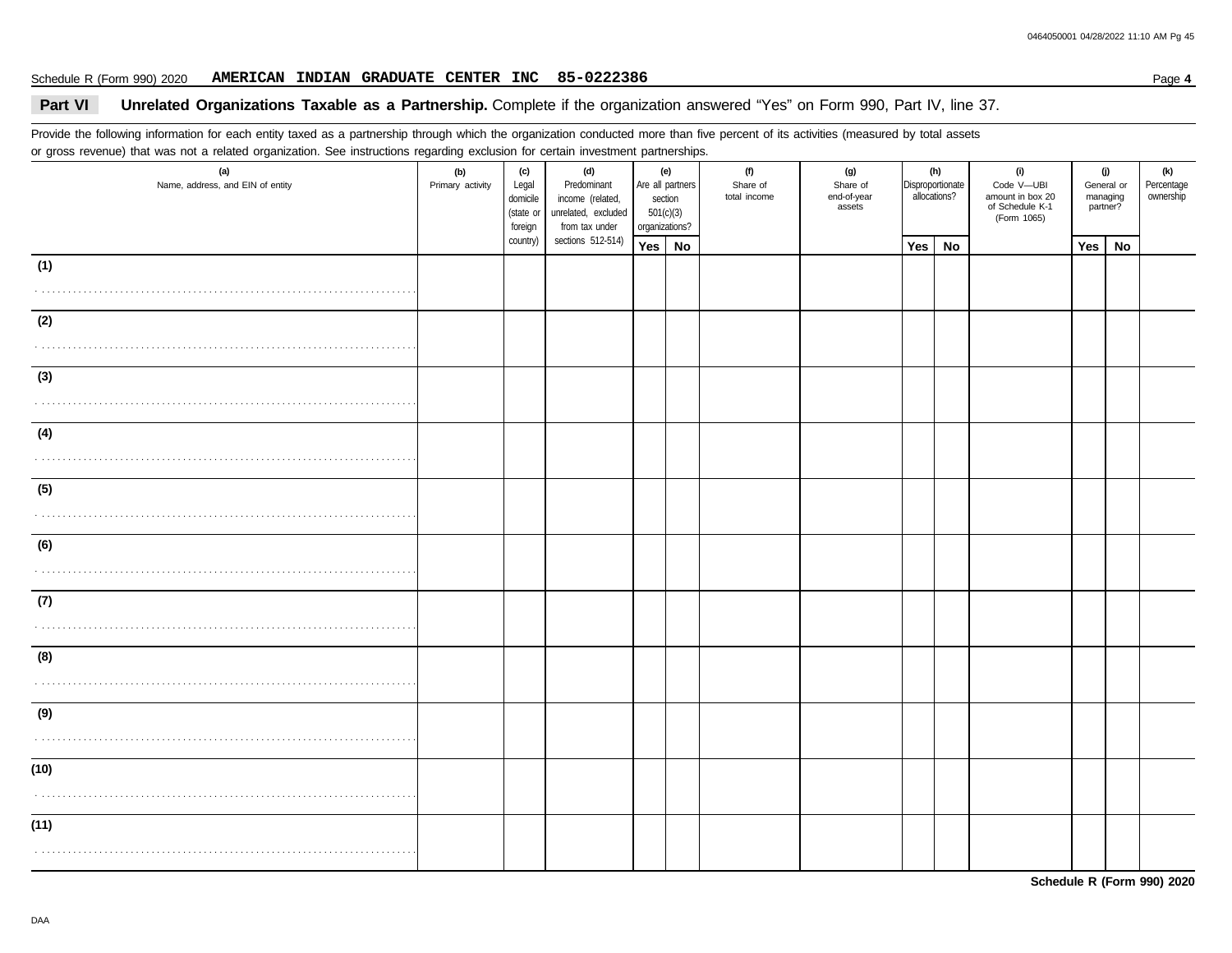#### Schedule R (Form 990) 2020 Page **4 AMERICAN INDIAN GRADUATE CENTER INC 85-0222386**

## **Part VI** Unrelated Organizations Taxable as a Partnership. Complete if the organization answered "Yes" on Form 990, Part IV, line 37.

Provide the following information for each entity taxed as a partnership through which the organization conducted more than five percent of its activities (measured by total assets or gross revenue) that was not a related organization. See instructions regarding exclusion for certain investment partnerships.

| (a)<br>Name, address, and EIN of entity | (b)<br>Primary activity | (c)<br>Legal<br>domicile<br>(state or<br>foreign | (d)<br>Predominant<br>income (related,<br>unrelated, excluded<br>from tax under | (e)<br>Are all partners<br>section<br>501(c)(3)<br>organizations? |           | (f)<br>Share of<br>total income | (g)<br>Share of<br>end-of-year<br>assets |     | (i)<br>(h)<br>Disproportionate<br>Code V-UBI<br>allocations?<br>amount in box 20<br>of Schedule K-1<br>(Form 1065) |  | (j)<br>General or<br>managing<br>partner? |           | (k)<br>Percentage<br>ownership |
|-----------------------------------------|-------------------------|--------------------------------------------------|---------------------------------------------------------------------------------|-------------------------------------------------------------------|-----------|---------------------------------|------------------------------------------|-----|--------------------------------------------------------------------------------------------------------------------|--|-------------------------------------------|-----------|--------------------------------|
|                                         |                         | country)                                         | sections 512-514)                                                               | Yes                                                               | <b>No</b> |                                 |                                          | Yes | <b>No</b>                                                                                                          |  | Yes                                       | <b>No</b> |                                |
| (1)                                     |                         |                                                  |                                                                                 |                                                                   |           |                                 |                                          |     |                                                                                                                    |  |                                           |           |                                |
|                                         |                         |                                                  |                                                                                 |                                                                   |           |                                 |                                          |     |                                                                                                                    |  |                                           |           |                                |
| (2)                                     |                         |                                                  |                                                                                 |                                                                   |           |                                 |                                          |     |                                                                                                                    |  |                                           |           |                                |
|                                         |                         |                                                  |                                                                                 |                                                                   |           |                                 |                                          |     |                                                                                                                    |  |                                           |           |                                |
| (3)                                     |                         |                                                  |                                                                                 |                                                                   |           |                                 |                                          |     |                                                                                                                    |  |                                           |           |                                |
|                                         |                         |                                                  |                                                                                 |                                                                   |           |                                 |                                          |     |                                                                                                                    |  |                                           |           |                                |
| (4)                                     |                         |                                                  |                                                                                 |                                                                   |           |                                 |                                          |     |                                                                                                                    |  |                                           |           |                                |
|                                         |                         |                                                  |                                                                                 |                                                                   |           |                                 |                                          |     |                                                                                                                    |  |                                           |           |                                |
| (5)                                     |                         |                                                  |                                                                                 |                                                                   |           |                                 |                                          |     |                                                                                                                    |  |                                           |           |                                |
|                                         |                         |                                                  |                                                                                 |                                                                   |           |                                 |                                          |     |                                                                                                                    |  |                                           |           |                                |
| (6)                                     |                         |                                                  |                                                                                 |                                                                   |           |                                 |                                          |     |                                                                                                                    |  |                                           |           |                                |
|                                         |                         |                                                  |                                                                                 |                                                                   |           |                                 |                                          |     |                                                                                                                    |  |                                           |           |                                |
| (7)                                     |                         |                                                  |                                                                                 |                                                                   |           |                                 |                                          |     |                                                                                                                    |  |                                           |           |                                |
|                                         |                         |                                                  |                                                                                 |                                                                   |           |                                 |                                          |     |                                                                                                                    |  |                                           |           |                                |
| (8)                                     |                         |                                                  |                                                                                 |                                                                   |           |                                 |                                          |     |                                                                                                                    |  |                                           |           |                                |
|                                         |                         |                                                  |                                                                                 |                                                                   |           |                                 |                                          |     |                                                                                                                    |  |                                           |           |                                |
| (9)                                     |                         |                                                  |                                                                                 |                                                                   |           |                                 |                                          |     |                                                                                                                    |  |                                           |           |                                |
|                                         |                         |                                                  |                                                                                 |                                                                   |           |                                 |                                          |     |                                                                                                                    |  |                                           |           |                                |
| (10)                                    |                         |                                                  |                                                                                 |                                                                   |           |                                 |                                          |     |                                                                                                                    |  |                                           |           |                                |
|                                         |                         |                                                  |                                                                                 |                                                                   |           |                                 |                                          |     |                                                                                                                    |  |                                           |           |                                |
| (11)                                    |                         |                                                  |                                                                                 |                                                                   |           |                                 |                                          |     |                                                                                                                    |  |                                           |           |                                |
|                                         |                         |                                                  |                                                                                 |                                                                   |           |                                 |                                          |     |                                                                                                                    |  |                                           |           |                                |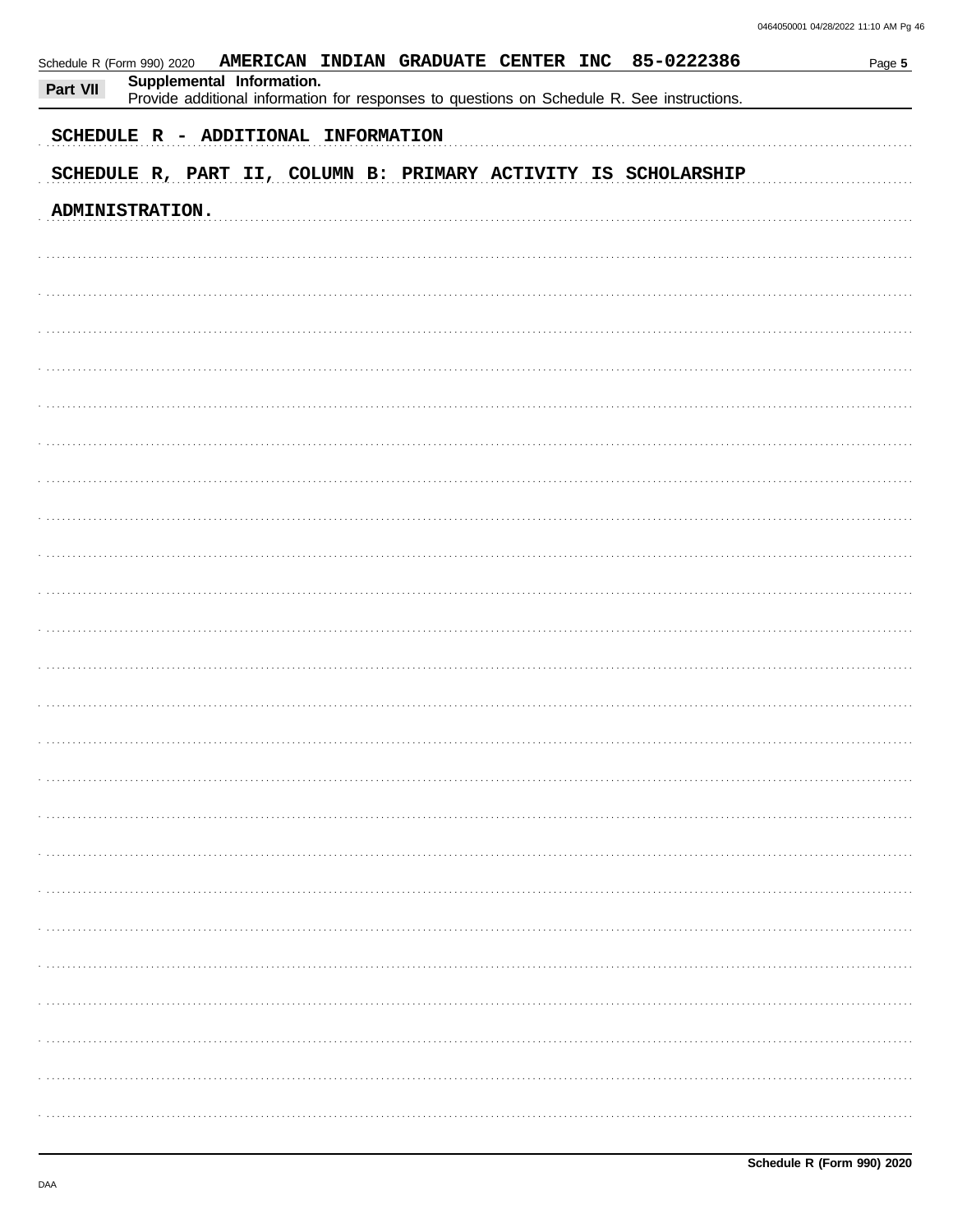| Schedule R (Form 990) 2020<br>Part VII | Supplemental Information. |  |  |  | AMERICAN INDIAN GRADUATE CENTER INC 85-0222386<br>Provide additional information for responses to questions on Schedule R. See instructions. |  | Page 5 |
|----------------------------------------|---------------------------|--|--|--|----------------------------------------------------------------------------------------------------------------------------------------------|--|--------|
| SCHEDULE R - ADDITIONAL INFORMATION    |                           |  |  |  |                                                                                                                                              |  |        |
|                                        |                           |  |  |  | SCHEDULE R, PART II, COLUMN B: PRIMARY ACTIVITY IS SCHOLARSHIP                                                                               |  |        |
| ADMINISTRATION.                        |                           |  |  |  |                                                                                                                                              |  |        |
|                                        |                           |  |  |  |                                                                                                                                              |  |        |
|                                        |                           |  |  |  |                                                                                                                                              |  |        |
|                                        |                           |  |  |  |                                                                                                                                              |  |        |
|                                        |                           |  |  |  |                                                                                                                                              |  |        |
|                                        |                           |  |  |  |                                                                                                                                              |  |        |
|                                        |                           |  |  |  |                                                                                                                                              |  |        |
|                                        |                           |  |  |  |                                                                                                                                              |  |        |
|                                        |                           |  |  |  |                                                                                                                                              |  |        |
|                                        |                           |  |  |  |                                                                                                                                              |  |        |
|                                        |                           |  |  |  |                                                                                                                                              |  |        |
|                                        |                           |  |  |  |                                                                                                                                              |  |        |
|                                        |                           |  |  |  |                                                                                                                                              |  |        |
|                                        |                           |  |  |  |                                                                                                                                              |  |        |
|                                        |                           |  |  |  |                                                                                                                                              |  |        |
|                                        |                           |  |  |  |                                                                                                                                              |  |        |
|                                        |                           |  |  |  |                                                                                                                                              |  |        |
|                                        |                           |  |  |  |                                                                                                                                              |  |        |
|                                        |                           |  |  |  |                                                                                                                                              |  |        |
|                                        |                           |  |  |  |                                                                                                                                              |  |        |
|                                        |                           |  |  |  |                                                                                                                                              |  |        |
|                                        |                           |  |  |  |                                                                                                                                              |  |        |
|                                        |                           |  |  |  |                                                                                                                                              |  |        |
|                                        |                           |  |  |  |                                                                                                                                              |  |        |
|                                        |                           |  |  |  |                                                                                                                                              |  |        |
|                                        |                           |  |  |  |                                                                                                                                              |  |        |